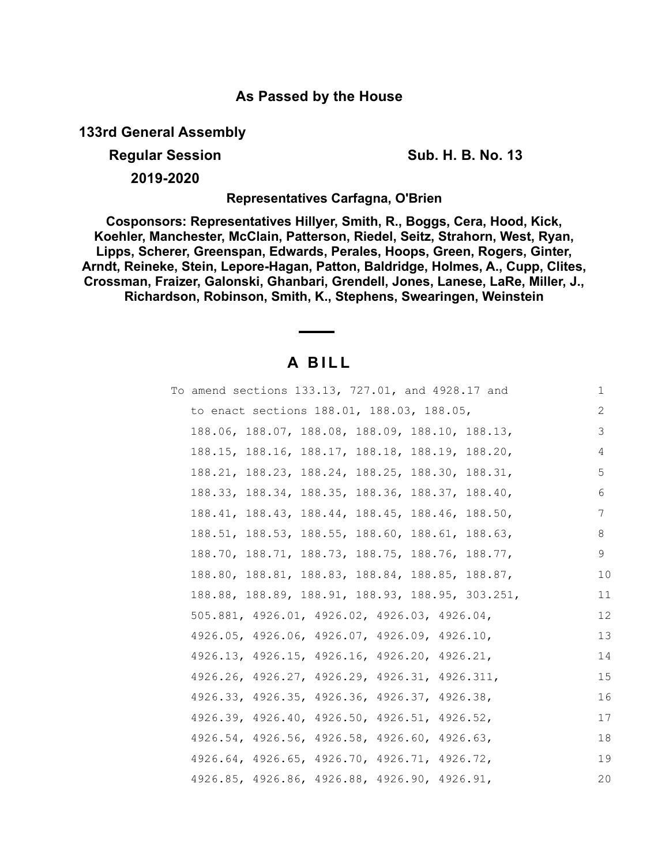## **As Passed by the House**

**133rd General Assembly**

**Regular Session Sub. H. B. No. 13** 

**2019-2020**

**Representatives Carfagna, O'Brien**

**Cosponsors: Representatives Hillyer, Smith, R., Boggs, Cera, Hood, Kick, Koehler, Manchester, McClain, Patterson, Riedel, Seitz, Strahorn, West, Ryan, Lipps, Scherer, Greenspan, Edwards, Perales, Hoops, Green, Rogers, Ginter, Arndt, Reineke, Stein, Lepore-Hagan, Patton, Baldridge, Holmes, A., Cupp, Clites, Crossman, Fraizer, Galonski, Ghanbari, Grendell, Jones, Lanese, LaRe, Miller, J., Richardson, Robinson, Smith, K., Stephens, Swearingen, Weinstein**

# **A B I L L**

|  |                                              |  | To amend sections 133.13, 727.01, and 4928.17 and | 1  |
|--|----------------------------------------------|--|---------------------------------------------------|----|
|  | to enact sections 188.01, 188.03, 188.05,    |  |                                                   | 2  |
|  |                                              |  | 188.06, 188.07, 188.08, 188.09, 188.10, 188.13,   | 3  |
|  |                                              |  | 188.15, 188.16, 188.17, 188.18, 188.19, 188.20,   | 4  |
|  |                                              |  | 188.21, 188.23, 188.24, 188.25, 188.30, 188.31,   | 5  |
|  |                                              |  | 188.33, 188.34, 188.35, 188.36, 188.37, 188.40,   | 6  |
|  |                                              |  | 188.41, 188.43, 188.44, 188.45, 188.46, 188.50,   | 7  |
|  |                                              |  | 188.51, 188.53, 188.55, 188.60, 188.61, 188.63,   | 8  |
|  |                                              |  | 188.70, 188.71, 188.73, 188.75, 188.76, 188.77,   | 9  |
|  |                                              |  | 188.80, 188.81, 188.83, 188.84, 188.85, 188.87,   | 10 |
|  |                                              |  | 188.88, 188.89, 188.91, 188.93, 188.95, 303.251,  | 11 |
|  | 505.881, 4926.01, 4926.02, 4926.03, 4926.04, |  |                                                   | 12 |
|  | 4926.05, 4926.06, 4926.07, 4926.09, 4926.10, |  |                                                   | 13 |
|  | 4926.13, 4926.15, 4926.16, 4926.20, 4926.21, |  |                                                   | 14 |
|  |                                              |  | 4926.26, 4926.27, 4926.29, 4926.31, 4926.311,     | 15 |
|  | 4926.33, 4926.35, 4926.36, 4926.37, 4926.38, |  |                                                   | 16 |
|  | 4926.39, 4926.40, 4926.50, 4926.51, 4926.52, |  |                                                   | 17 |
|  | 4926.54, 4926.56, 4926.58, 4926.60, 4926.63, |  |                                                   | 18 |
|  | 4926.64, 4926.65, 4926.70, 4926.71, 4926.72, |  |                                                   | 19 |
|  | 4926.85, 4926.86, 4926.88, 4926.90, 4926.91, |  |                                                   | 20 |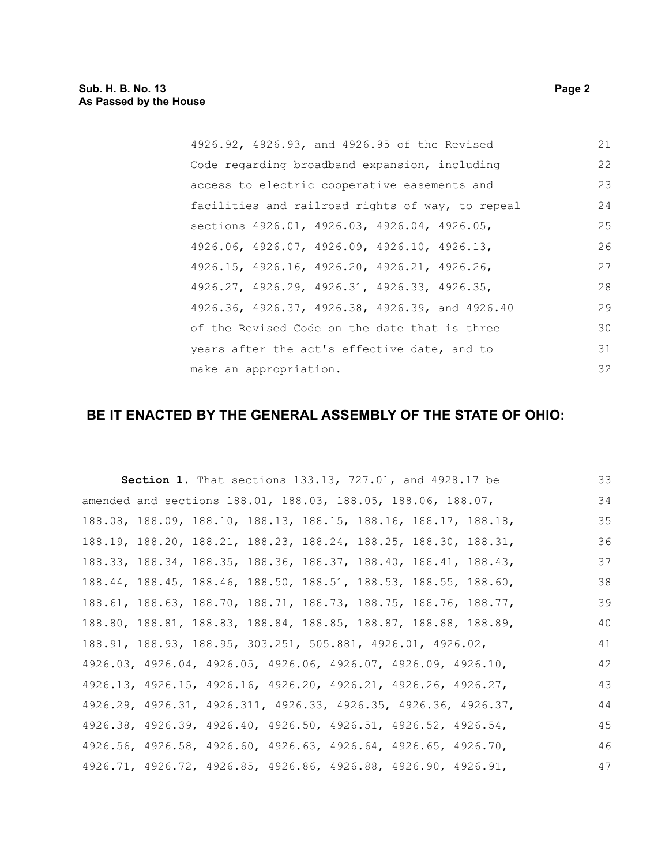| 4926.92, 4926.93, and 4926.95 of the Revised     | 21 |
|--------------------------------------------------|----|
| Code regarding broadband expansion, including    | 22 |
| access to electric cooperative easements and     | 23 |
| facilities and railroad rights of way, to repeal | 24 |
| sections 4926.01, 4926.03, 4926.04, 4926.05,     | 25 |
| 4926.06, 4926.07, 4926.09, 4926.10, 4926.13,     | 26 |
| 4926.15, 4926.16, 4926.20, 4926.21, 4926.26,     | 27 |
| 4926.27, 4926.29, 4926.31, 4926.33, 4926.35,     | 28 |
| 4926.36, 4926.37, 4926.38, 4926.39, and 4926.40  | 29 |
| of the Revised Code on the date that is three    | 30 |
| years after the act's effective date, and to     | 31 |
| make an appropriation.                           | 32 |

## **BE IT ENACTED BY THE GENERAL ASSEMBLY OF THE STATE OF OHIO:**

|                                                                 |  | <b>Section 1.</b> That sections 133.13, 727.01, and 4928.17 be | 33 |
|-----------------------------------------------------------------|--|----------------------------------------------------------------|----|
| amended and sections 188.01, 188.03, 188.05, 188.06, 188.07,    |  |                                                                | 34 |
| 188.08, 188.09, 188.10, 188.13, 188.15, 188.16, 188.17, 188.18, |  |                                                                | 35 |
| 188.19, 188.20, 188.21, 188.23, 188.24, 188.25, 188.30, 188.31, |  |                                                                | 36 |
| 188.33, 188.34, 188.35, 188.36, 188.37, 188.40, 188.41, 188.43, |  |                                                                | 37 |
| 188.44, 188.45, 188.46, 188.50, 188.51, 188.53, 188.55, 188.60, |  |                                                                | 38 |
| 188.61, 188.63, 188.70, 188.71, 188.73, 188.75, 188.76, 188.77, |  |                                                                | 39 |
| 188.80, 188.81, 188.83, 188.84, 188.85, 188.87, 188.88, 188.89, |  |                                                                | 40 |
| 188.91, 188.93, 188.95, 303.251, 505.881, 4926.01, 4926.02,     |  |                                                                | 41 |
| 4926.03, 4926.04, 4926.05, 4926.06, 4926.07, 4926.09, 4926.10,  |  |                                                                | 42 |
| 4926.13, 4926.15, 4926.16, 4926.20, 4926.21, 4926.26, 4926.27,  |  |                                                                | 43 |
| 4926.29, 4926.31, 4926.311, 4926.33, 4926.35, 4926.36, 4926.37, |  |                                                                | 44 |
| 4926.38, 4926.39, 4926.40, 4926.50, 4926.51, 4926.52, 4926.54,  |  |                                                                | 45 |
| 4926.56, 4926.58, 4926.60, 4926.63, 4926.64, 4926.65, 4926.70,  |  |                                                                | 46 |
| 4926.71, 4926.72, 4926.85, 4926.86, 4926.88, 4926.90, 4926.91,  |  |                                                                | 47 |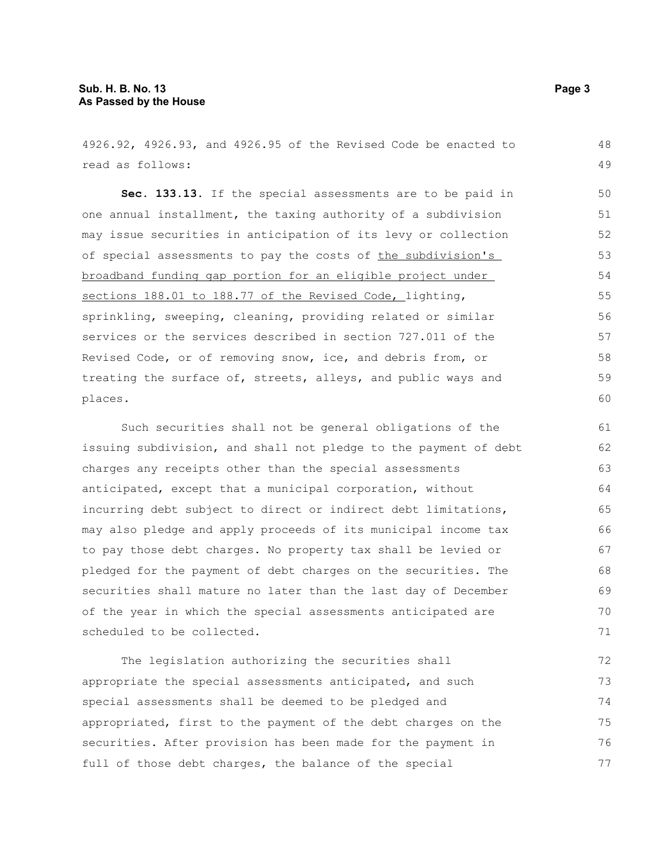4926.92, 4926.93, and 4926.95 of the Revised Code be enacted to read as follows:

**Sec. 133.13.** If the special assessments are to be paid in one annual installment, the taxing authority of a subdivision may issue securities in anticipation of its levy or collection of special assessments to pay the costs of the subdivision's broadband funding gap portion for an eligible project under sections 188.01 to 188.77 of the Revised Code, lighting, sprinkling, sweeping, cleaning, providing related or similar services or the services described in section 727.011 of the Revised Code, or of removing snow, ice, and debris from, or treating the surface of, streets, alleys, and public ways and places.

Such securities shall not be general obligations of the issuing subdivision, and shall not pledge to the payment of debt charges any receipts other than the special assessments anticipated, except that a municipal corporation, without incurring debt subject to direct or indirect debt limitations, may also pledge and apply proceeds of its municipal income tax to pay those debt charges. No property tax shall be levied or pledged for the payment of debt charges on the securities. The securities shall mature no later than the last day of December of the year in which the special assessments anticipated are scheduled to be collected. 61 62 63 64 65 66 67 68 69 70 71

The legislation authorizing the securities shall appropriate the special assessments anticipated, and such special assessments shall be deemed to be pledged and appropriated, first to the payment of the debt charges on the securities. After provision has been made for the payment in full of those debt charges, the balance of the special 72 73 74 75 76 77

48 49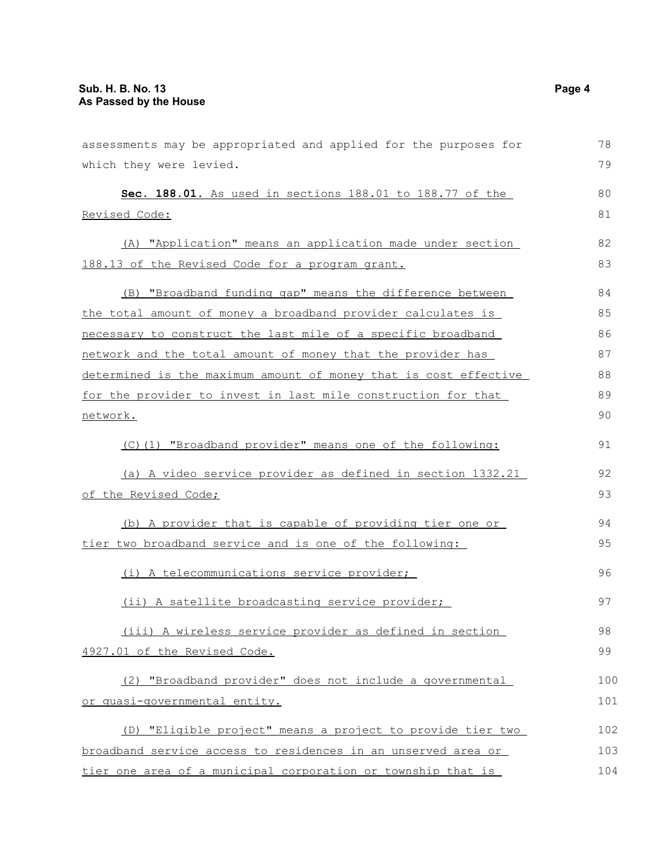| assessments may be appropriated and applied for the purposes for      | 78  |
|-----------------------------------------------------------------------|-----|
| which they were levied.                                               | 79  |
| Sec. 188.01. As used in sections 188.01 to 188.77 of the              | 80  |
| <u>Revised Code:</u>                                                  | 81  |
| (A) "Application" means an application made under section             | 82  |
| 188.13 of the Revised Code for a program grant.                       | 83  |
| (B) "Broadband funding gap" means the difference between              | 84  |
| the total amount of money a broadband provider calculates is          | 85  |
| necessary to construct the last mile of a specific broadband          | 86  |
| network and the total amount of money that the provider has           | 87  |
| determined is the maximum amount of money that is cost effective      | 88  |
| for the provider to invest in last mile construction for that         | 89  |
| network.                                                              | 90  |
| (C)(1) "Broadband provider" means one of the following:               | 91  |
| (a) A video service provider as defined in section 1332.21            | 92  |
| <u>of the Revised Code;</u>                                           | 93  |
| (b) A provider that is capable of providing tier one or               | 94  |
| tier two broadband service and is one of the following:               | 95  |
| (i) A telecommunications service provider;                            | 96  |
| (ii) A satellite broadcasting service provider;                       | 97  |
| (iii) A wireless service provider as defined in section               | 98  |
| 4927.01 of the Revised Code.                                          | 99  |
| (2) "Broadband provider" does not include a governmental              | 100 |
| <u>or quasi-governmental entity.</u>                                  | 101 |
| (D) "Eligible project" means a project to provide tier two            | 102 |
| <u>broadband service access to residences in an unserved area or </u> | 103 |
| tier one area of a municipal corporation or township that is          | 104 |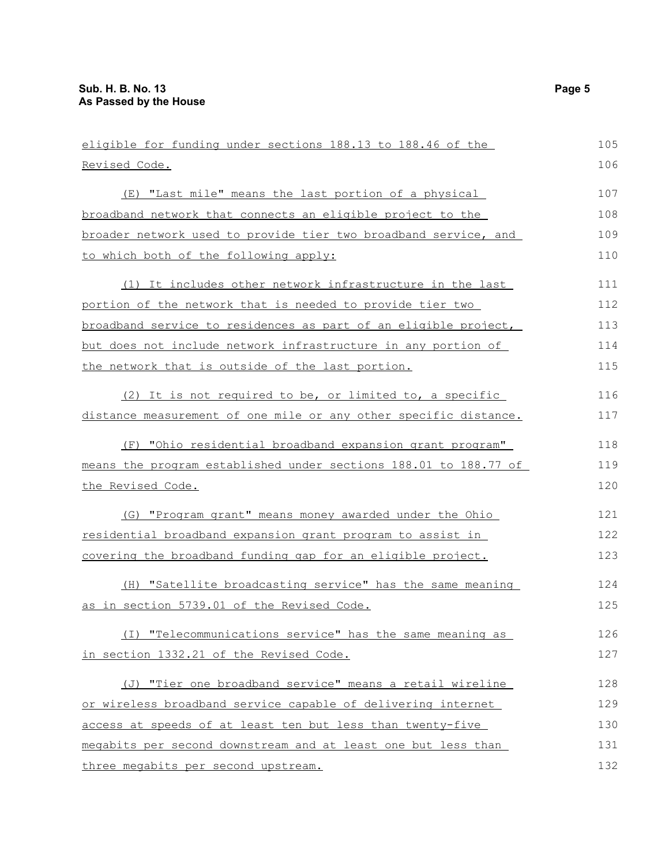| eligible for funding under sections 188.13 to 188.46 of the      | 105 |
|------------------------------------------------------------------|-----|
| Revised Code.                                                    | 106 |
| (E) "Last mile" means the last portion of a physical             | 107 |
| broadband network that connects an eligible project to the       | 108 |
| broader network used to provide tier two broadband service, and  | 109 |
| to which both of the following apply:                            | 110 |
| (1) It includes other network infrastructure in the last         | 111 |
| portion of the network that is needed to provide tier two        | 112 |
| broadband service to residences as part of an eligible project,  | 113 |
| but does not include network infrastructure in any portion of    | 114 |
| the network that is outside of the last portion.                 | 115 |
| (2) It is not required to be, or limited to, a specific          | 116 |
| distance measurement of one mile or any other specific distance. | 117 |
| (F) "Ohio residential broadband expansion grant program"         | 118 |
| means the program established under sections 188.01 to 188.77 of | 119 |
| the Revised Code.                                                | 120 |
| (G) "Program grant" means money awarded under the Ohio           | 121 |
| residential broadband expansion grant program to assist in       | 122 |
| covering the broadband funding gap for an eligible project.      | 123 |
| (H) "Satellite broadcasting service" has the same meaning        | 124 |
| as in section 5739.01 of the Revised Code.                       | 125 |
| (I) "Telecommunications service" has the same meaning as         | 126 |
| in section 1332.21 of the Revised Code.                          | 127 |
| (J) "Tier one broadband service" means a retail wireline         | 128 |
| or wireless broadband service capable of delivering internet     | 129 |
| access at speeds of at least ten but less than twenty-five       | 130 |
| megabits per second downstream and at least one but less than    | 131 |
| three megabits per second upstream.                              | 132 |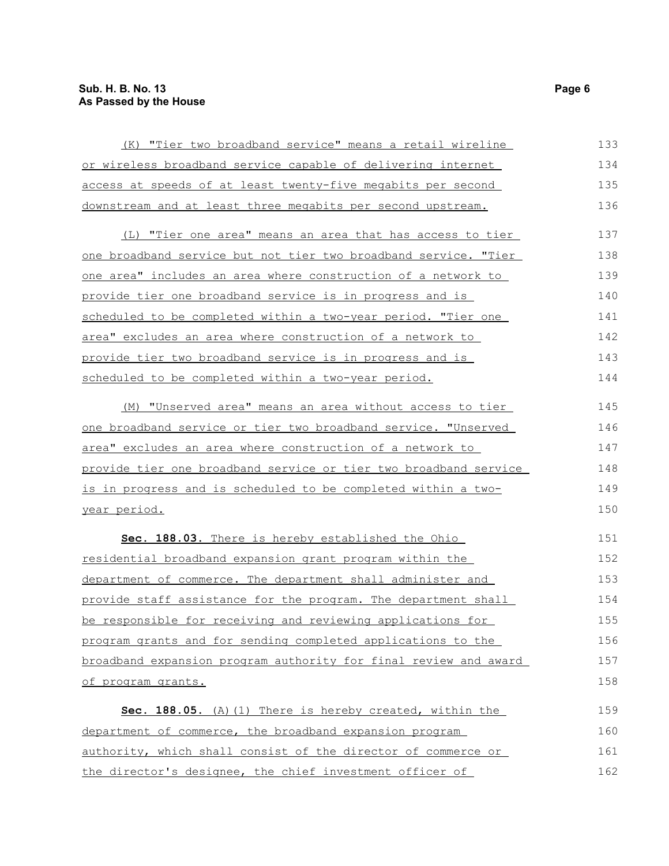| (K) "Tier two broadband service" means a retail wireline         | 133 |
|------------------------------------------------------------------|-----|
| or wireless broadband service capable of delivering internet     | 134 |
| access at speeds of at least twenty-five megabits per second     | 135 |
| downstream and at least three megabits per second upstream.      | 136 |
| (L) "Tier one area" means an area that has access to tier        | 137 |
| one broadband service but not tier two broadband service. "Tier  | 138 |
| one area" includes an area where construction of a network to    | 139 |
| provide tier one broadband service is in progress and is         | 140 |
| scheduled to be completed within a two-year period. "Tier one    | 141 |
| area" excludes an area where construction of a network to        | 142 |
| provide tier two broadband service is in progress and is         | 143 |
| scheduled to be completed within a two-year period.              | 144 |
| (M) "Unserved area" means an area without access to tier         | 145 |
| one broadband service or tier two broadband service. "Unserved   | 146 |
| area" excludes an area where construction of a network to        | 147 |
| provide tier one broadband service or tier two broadband service | 148 |
| is in progress and is scheduled to be completed within a two-    | 149 |
| <u>year period.</u>                                              | 150 |
| Sec. 188.03. There is hereby established the Ohio                | 151 |
| <u>residential broadband expansion grant program within the</u>  | 152 |
| department of commerce. The department shall administer and      | 153 |
| provide staff assistance for the program. The department shall   | 154 |
| be responsible for receiving and reviewing applications for      | 155 |
| program grants and for sending completed applications to the     | 156 |
| broadband expansion program authority for final review and award | 157 |
| of program grants.                                               | 158 |
| Sec. 188.05. (A) (1) There is hereby created, within the         | 159 |
| department of commerce, the broadband expansion program          | 160 |
| authority, which shall consist of the director of commerce or    | 161 |
| the director's designee, the chief investment officer of         | 162 |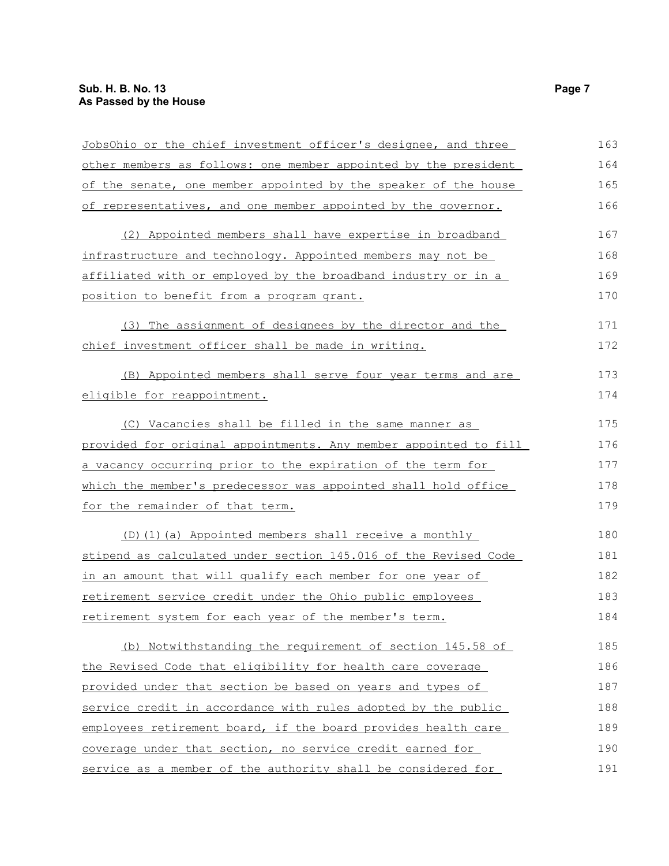| JobsOhio or the chief investment officer's designee, and three   | 163 |
|------------------------------------------------------------------|-----|
| other members as follows: one member appointed by the president  | 164 |
| of the senate, one member appointed by the speaker of the house  | 165 |
| of representatives, and one member appointed by the governor.    | 166 |
| (2) Appointed members shall have expertise in broadband          | 167 |
| infrastructure and technology. Appointed members may not be      | 168 |
| affiliated with or employed by the broadband industry or in a    | 169 |
| <u>position to benefit from a program grant.</u>                 | 170 |
| (3) The assignment of designees by the director and the          | 171 |
| chief investment officer shall be made in writing.               | 172 |
| (B) Appointed members shall serve four year terms and are        | 173 |
| eligible for reappointment.                                      | 174 |
| (C) Vacancies shall be filled in the same manner as              | 175 |
| provided for original appointments. Any member appointed to fill | 176 |
| a vacancy occurring prior to the expiration of the term for      | 177 |
| which the member's predecessor was appointed shall hold office   | 178 |
| <u>for the remainder of that term.</u>                           | 179 |
| (D) (1) (a) Appointed members shall receive a monthly            | 180 |
| stipend as calculated under section 145.016 of the Revised Code  | 181 |
| in an amount that will qualify each member for one year of       | 182 |
| retirement service credit under the Ohio public employees        | 183 |
| retirement system for each year of the member's term.            | 184 |
| (b) Notwithstanding the requirement of section 145.58 of         | 185 |
| the Revised Code that eligibility for health care coverage       | 186 |
| provided under that section be based on years and types of       | 187 |
| service credit in accordance with rules adopted by the public    | 188 |
| employees retirement board, if the board provides health care    | 189 |
| coverage under that section, no service credit earned for        | 190 |
| service as a member of the authority shall be considered for     | 191 |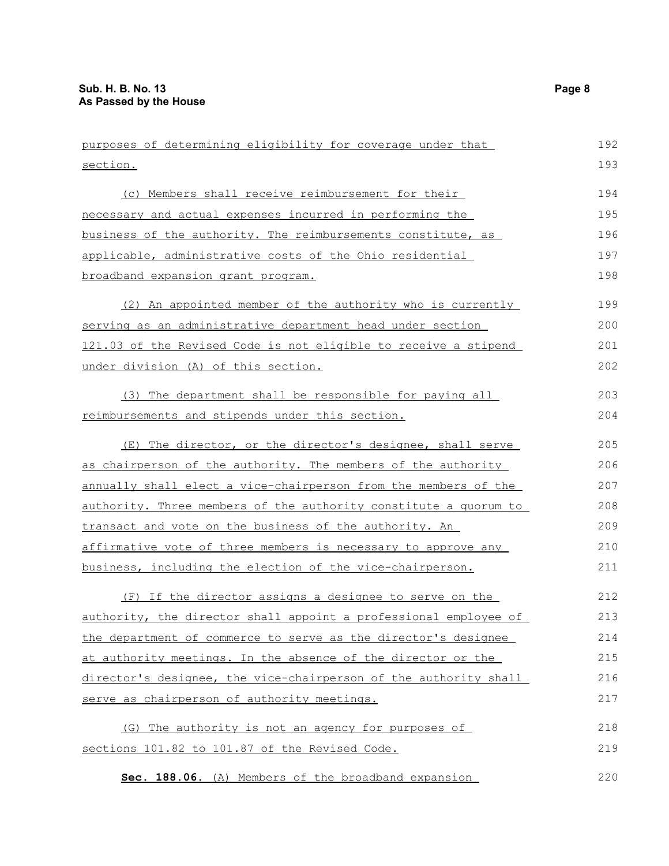| purposes of determining eligibility for coverage under that             | 192 |
|-------------------------------------------------------------------------|-----|
| section.                                                                | 193 |
| (c) Members shall receive reimbursement for their                       | 194 |
| necessary and actual expenses incurred in performing the                | 195 |
| business of the authority. The reimbursements constitute, as            | 196 |
| applicable, administrative costs of the Ohio residential                | 197 |
| broadband expansion grant program.                                      | 198 |
| (2) An appointed member of the authority who is currently               | 199 |
| serving as an administrative department head under section              | 200 |
| 121.03 of the Revised Code is not eligible to receive a stipend         | 201 |
| under division (A) of this section.                                     | 202 |
| (3) The department shall be responsible for paying all                  | 203 |
| reimbursements and stipends under this section.                         | 204 |
| (E) The director, or the director's designee, shall serve               | 205 |
| as chairperson of the authority. The members of the authority           | 206 |
| annually shall elect a vice-chairperson from the members of the         | 207 |
| <u>authority. Three members of the authority constitute a quorum to</u> | 208 |
| transact and vote on the business of the authority. An                  | 209 |
| affirmative vote of three members is necessary to approve any           | 210 |
| business, including the election of the vice-chairperson.               | 211 |
| (F) If the director assigns a designee to serve on the                  | 212 |
| authority, the director shall appoint a professional employee of        | 213 |
| the department of commerce to serve as the director's designee          | 214 |
| at authority meetings. In the absence of the director or the            | 215 |
| director's designee, the vice-chairperson of the authority shall        | 216 |
| serve as chairperson of authority meetings.                             | 217 |
| (G) The authority is not an agency for purposes of                      | 218 |
| sections 101.82 to 101.87 of the Revised Code.                          | 219 |
| Sec. 188.06. (A) Members of the broadband expansion                     | 220 |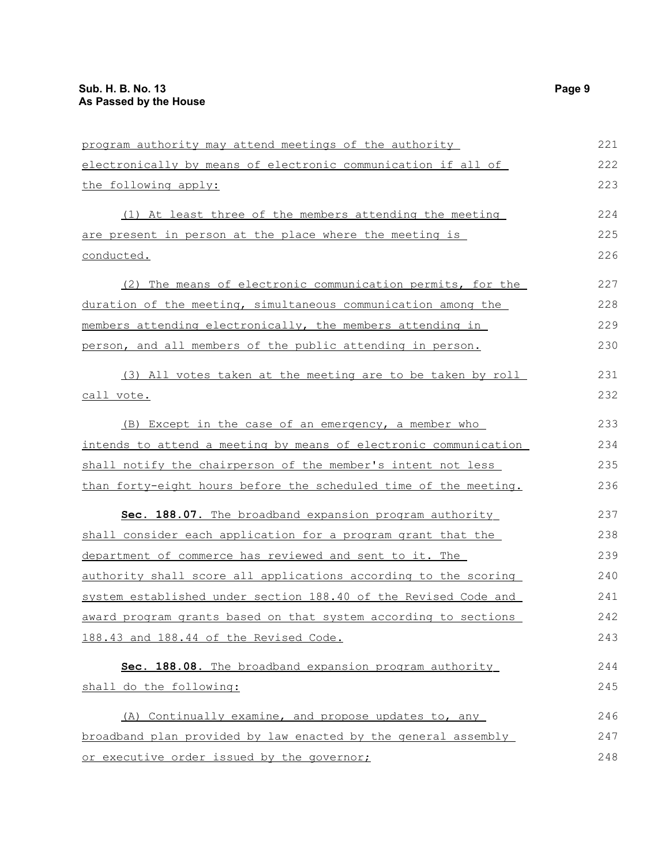| program authority may attend meetings of the authority           | 221 |
|------------------------------------------------------------------|-----|
| electronically by means of electronic communication if all of    | 222 |
| the following apply:                                             | 223 |
| (1) At least three of the members attending the meeting          | 224 |
| are present in person at the place where the meeting is          | 225 |
| conducted.                                                       | 226 |
| (2) The means of electronic communication permits, for the       | 227 |
| duration of the meeting, simultaneous communication among the    | 228 |
| members attending electronically, the members attending in       | 229 |
| person, and all members of the public attending in person.       | 230 |
| (3) All votes taken at the meeting are to be taken by roll       | 231 |
| call vote.                                                       | 232 |
| (B) Except in the case of an emergency, a member who             | 233 |
| intends to attend a meeting by means of electronic communication | 234 |
| shall notify the chairperson of the member's intent not less     | 235 |
| than forty-eight hours before the scheduled time of the meeting. | 236 |
| Sec. 188.07. The broadband expansion program authority           | 237 |
| shall consider each application for a program grant that the     | 238 |
| department of commerce has reviewed and sent to it. The          | 239 |
| authority shall score all applications according to the scoring  | 240 |
| system established under section 188.40 of the Revised Code and  | 241 |
| award program grants based on that system according to sections  | 242 |
| 188.43 and 188.44 of the Revised Code.                           | 243 |
| Sec. 188.08. The broadband expansion program authority           | 244 |
| shall do the following:                                          | 245 |
| (A) Continually examine, and propose updates to, any             | 246 |
| broadband plan provided by law enacted by the general assembly   | 247 |
| or executive order issued by the governor;                       | 248 |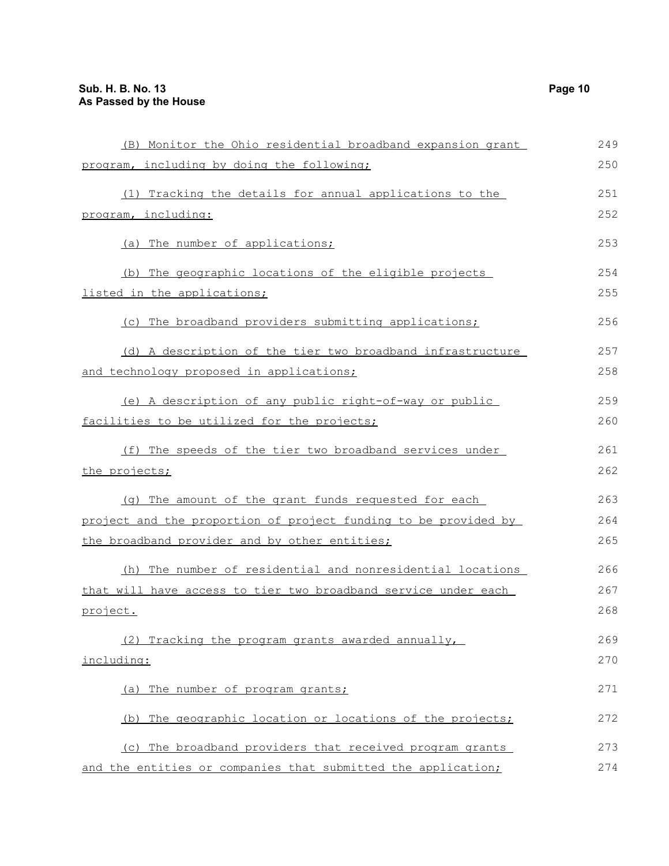| (B) Monitor the Ohio residential broadband expansion grant      | 249 |
|-----------------------------------------------------------------|-----|
| program, including by doing the following;                      | 250 |
| (1) Tracking the details for annual applications to the         | 251 |
| program, including:                                             | 252 |
| (a) The number of applications;                                 | 253 |
| (b) The geographic locations of the eligible projects           | 254 |
| listed in the applications;                                     | 255 |
| (c) The broadband providers submitting applications;            | 256 |
| (d) A description of the tier two broadband infrastructure      | 257 |
| and technology proposed in applications;                        | 258 |
| (e) A description of any public right-of-way or public          | 259 |
| facilities to be utilized for the projects;                     | 260 |
| (f) The speeds of the tier two broadband services under         | 261 |
| the projects;                                                   | 262 |
| (g) The amount of the grant funds requested for each            | 263 |
| project and the proportion of project funding to be provided by | 264 |
| the broadband provider and by other entities;                   | 265 |
| (h) The number of residential and nonresidential locations      | 266 |
| that will have access to tier two broadband service under each  | 267 |
| project.                                                        | 268 |
| (2) Tracking the program grants awarded annually,               | 269 |
| including:                                                      | 270 |
| The number of program grants;<br>(a)                            | 271 |
| (b) The geographic location or locations of the projects;       | 272 |
| (c) The broadband providers that received program grants        | 273 |
| and the entities or companies that submitted the application;   | 274 |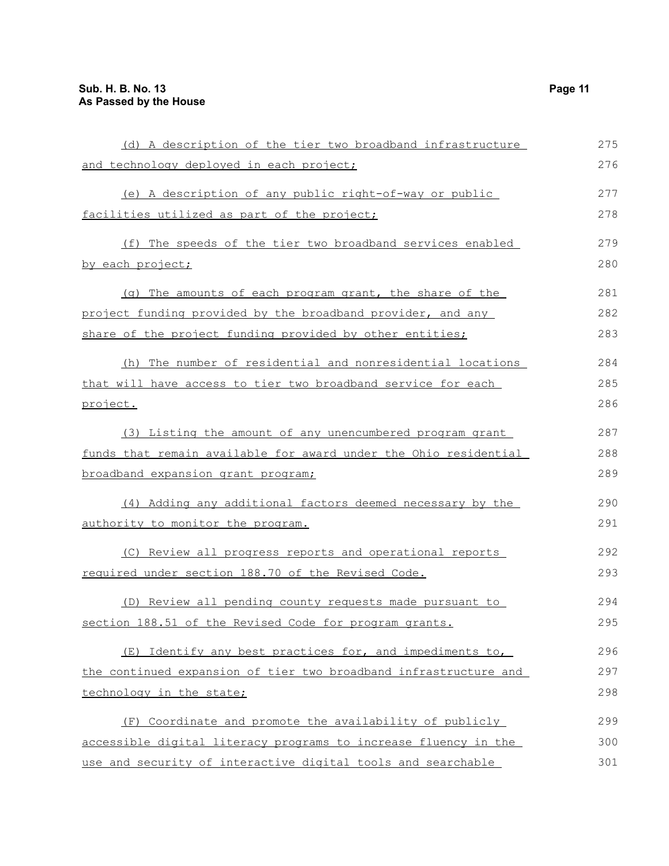| (d) A description of the tier two broadband infrastructure       | 275 |
|------------------------------------------------------------------|-----|
| and technology deployed in each project;                         | 276 |
| (e) A description of any public right-of-way or public           | 277 |
| facilities utilized as part of the project;                      | 278 |
| (f) The speeds of the tier two broadband services enabled        | 279 |
| by each project;                                                 | 280 |
| (g) The amounts of each program grant, the share of the          | 281 |
| project funding provided by the broadband provider, and any      | 282 |
| share of the project funding provided by other entities;         | 283 |
| (h) The number of residential and nonresidential locations       | 284 |
| that will have access to tier two broadband service for each     | 285 |
| project.                                                         | 286 |
| (3) Listing the amount of any unencumbered program grant         | 287 |
| funds that remain available for award under the Ohio residential | 288 |
| broadband expansion grant program;                               | 289 |
| (4) Adding any additional factors deemed necessary by the        | 290 |
| authority to monitor the program.                                | 291 |
| (C) Review all progress reports and operational reports          | 292 |
| required under section 188.70 of the Revised Code.               | 293 |
| (D) Review all pending county requests made pursuant to          | 294 |
| section 188.51 of the Revised Code for program grants.           | 295 |
| (E) Identify any best practices for, and impediments to,         | 296 |
| the continued expansion of tier two broadband infrastructure and | 297 |
| technology in the state;                                         | 298 |
| (F) Coordinate and promote the availability of publicly          | 299 |
| accessible digital literacy programs to increase fluency in the  | 300 |
| use and security of interactive digital tools and searchable     | 301 |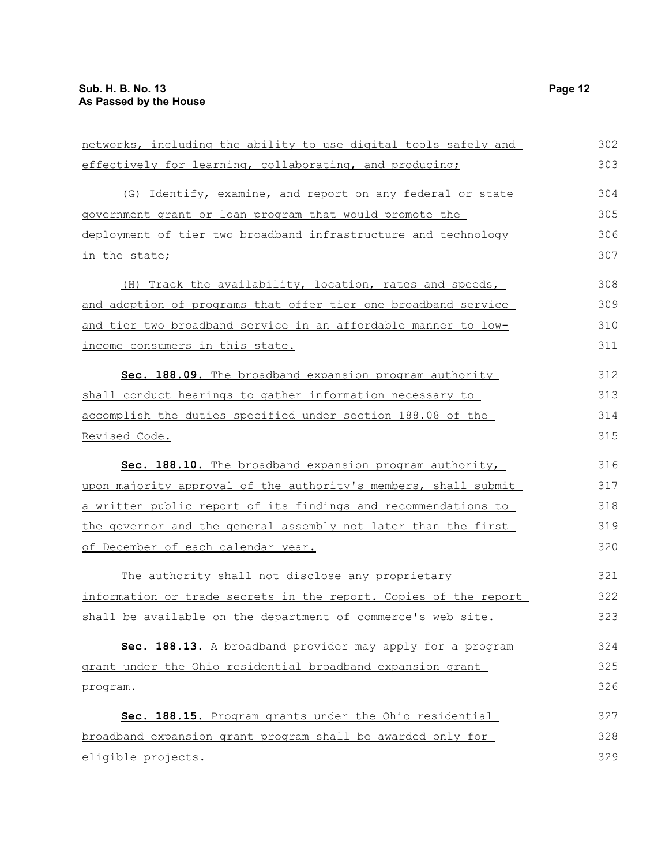| networks, including the ability to use digital tools safely and  | 302 |
|------------------------------------------------------------------|-----|
| effectively for learning, collaborating, and producing;          | 303 |
| (G) Identify, examine, and report on any federal or state        | 304 |
| government grant or loan program that would promote the          | 305 |
| deployment of tier two broadband infrastructure and technology   | 306 |
| in the state;                                                    | 307 |
| (H) Track the availability, location, rates and speeds,          | 308 |
| and adoption of programs that offer tier one broadband service   | 309 |
| and tier two broadband service in an affordable manner to low-   | 310 |
| income consumers in this state.                                  | 311 |
| Sec. 188.09. The broadband expansion program authority           | 312 |
| shall conduct hearings to gather information necessary to        | 313 |
| accomplish the duties specified under section 188.08 of the      | 314 |
| Revised Code.                                                    | 315 |
| Sec. 188.10. The broadband expansion program authority,          | 316 |
| upon majority approval of the authority's members, shall submit  | 317 |
| a written public report of its findings and recommendations to   | 318 |
| the governor and the general assembly not later than the first   | 319 |
| of December of each calendar year.                               | 320 |
| The authority shall not disclose any proprietary                 | 321 |
| information or trade secrets in the report. Copies of the report | 322 |
| shall be available on the department of commerce's web site.     | 323 |
| Sec. 188.13. A broadband provider may apply for a program        | 324 |
| grant under the Ohio residential broadband expansion grant       | 325 |
| program.                                                         | 326 |
| Sec. 188.15. Program grants under the Ohio residential           | 327 |
| broadband expansion grant program shall be awarded only for      | 328 |
| eligible projects.                                               | 329 |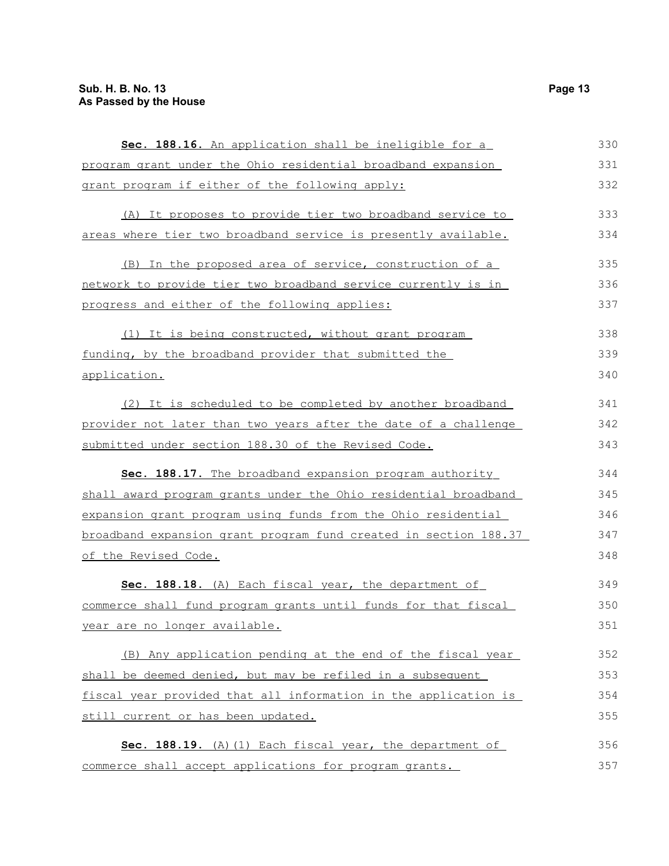| Sec. 188.16. An application shall be ineligible for a            | 330 |
|------------------------------------------------------------------|-----|
| program grant under the Ohio residential broadband expansion     | 331 |
| grant program if either of the following apply:                  | 332 |
| (A) It proposes to provide tier two broadband service to         | 333 |
| areas where tier two broadband service is presently available.   | 334 |
| (B) In the proposed area of service, construction of a           | 335 |
| network to provide tier two broadband service currently is in    | 336 |
| progress and either of the following applies:                    | 337 |
| (1) It is being constructed, without grant program               | 338 |
| funding, by the broadband provider that submitted the            | 339 |
| application.                                                     | 340 |
| (2) It is scheduled to be completed by another broadband         | 341 |
| provider not later than two years after the date of a challenge  | 342 |
| submitted under section 188.30 of the Revised Code.              | 343 |
| Sec. 188.17. The broadband expansion program authority           | 344 |
| shall award program grants under the Ohio residential broadband  | 345 |
| expansion grant program using funds from the Ohio residential    | 346 |
| broadband expansion grant program fund created in section 188.37 | 347 |
| of the Revised Code.                                             | 348 |
| Sec. 188.18. (A) Each fiscal year, the department of             | 349 |
| commerce shall fund program grants until funds for that fiscal   | 350 |
| year are no longer available.                                    | 351 |
| (B) Any application pending at the end of the fiscal year        | 352 |
| shall be deemed denied, but may be refiled in a subsequent       | 353 |
| fiscal year provided that all information in the application is  | 354 |
| still current or has been updated.                               | 355 |
| Sec. 188.19. (A) (1) Each fiscal year, the department of         | 356 |
| commerce shall accept applications for program grants.           | 357 |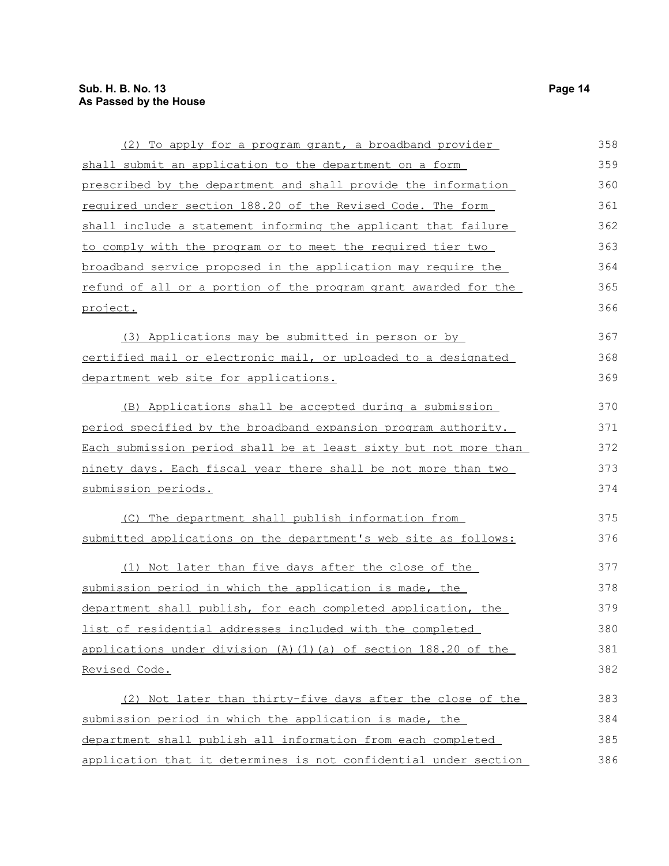| (2) To apply for a program grant, a broadband provider           | 358 |
|------------------------------------------------------------------|-----|
| shall submit an application to the department on a form          | 359 |
| prescribed by the department and shall provide the information   | 360 |
| required under section 188.20 of the Revised Code. The form      | 361 |
| shall include a statement informing the applicant that failure   | 362 |
| to comply with the program or to meet the required tier two      | 363 |
| broadband service proposed in the application may require the    | 364 |
| refund of all or a portion of the program grant awarded for the  | 365 |
| project.                                                         | 366 |
| (3) Applications may be submitted in person or by                | 367 |
| certified mail or electronic mail, or uploaded to a designated   | 368 |
| department web site for applications.                            | 369 |
| (B) Applications shall be accepted during a submission           | 370 |
| period specified by the broadband expansion program authority.   | 371 |
| Each submission period shall be at least sixty but not more than | 372 |
| ninety days. Each fiscal year there shall be not more than two   | 373 |
| submission periods.                                              | 374 |
| (C) The department shall publish information from                | 375 |
| submitted applications on the department's web site as follows:  | 376 |
| (1) Not later than five days after the close of the              | 377 |
| submission period in which the application is made, the          | 378 |
| department shall publish, for each completed application, the    | 379 |
| list of residential addresses included with the completed        | 380 |
| applications under division (A) (1) (a) of section 188.20 of the | 381 |
| <u>Revised Code.</u>                                             | 382 |
| (2) Not later than thirty-five days after the close of the       | 383 |
| submission period in which the application is made, the          | 384 |
| department shall publish all information from each completed     | 385 |
| application that it determines is not confidential under section | 386 |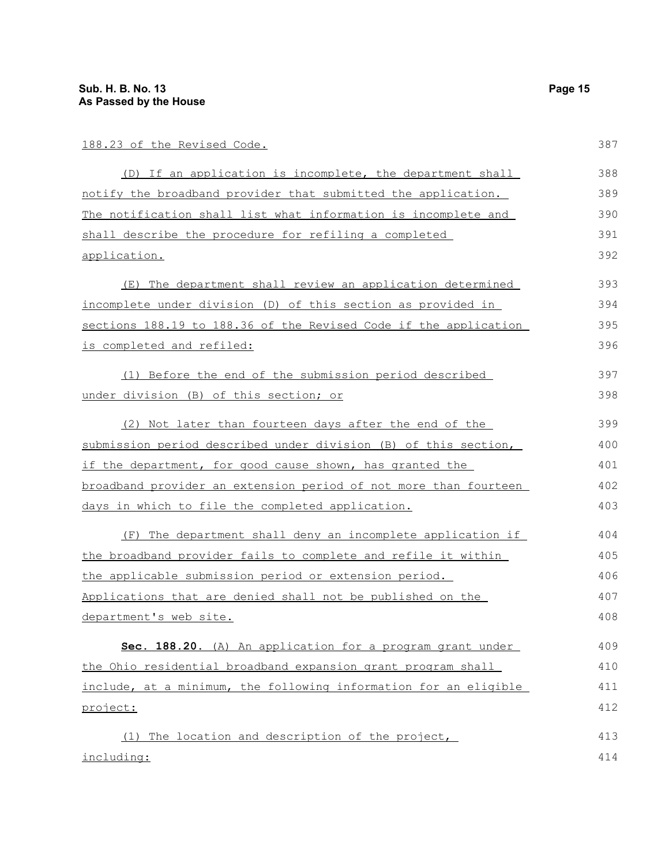|--|

| 188.23 of the Revised Code.                                      | 387 |
|------------------------------------------------------------------|-----|
| (D) If an application is incomplete, the department shall        | 388 |
| notify the broadband provider that submitted the application.    | 389 |
| The notification shall list what information is incomplete and   | 390 |
| shall describe the procedure for refiling a completed            | 391 |
| <u>application.</u>                                              | 392 |
| (E) The department shall review an application determined        | 393 |
| incomplete under division (D) of this section as provided in     | 394 |
| sections 188.19 to 188.36 of the Revised Code if the application | 395 |
| is completed and refiled:                                        | 396 |
| (1) Before the end of the submission period described            | 397 |
| under division (B) of this section; or                           | 398 |
| (2) Not later than fourteen days after the end of the            | 399 |
| submission period described under division (B) of this section,  | 400 |
| if the department, for good cause shown, has granted the         | 401 |
| broadband provider an extension period of not more than fourteen | 402 |
| days in which to file the completed application.                 | 403 |
| (F) The department shall deny an incomplete application if       | 404 |
| the broadband provider fails to complete and refile it within    | 405 |
| the applicable submission period or extension period.            | 406 |
| Applications that are denied shall not be published on the       | 407 |
| department's web site.                                           | 408 |
| Sec. 188.20. (A) An application for a program grant under        | 409 |
| the Ohio residential broadband expansion grant program shall     | 410 |
| include, at a minimum, the following information for an eligible | 411 |
| project:                                                         | 412 |
| The location and description of the project,<br>(1)              | 413 |
| including:                                                       | 414 |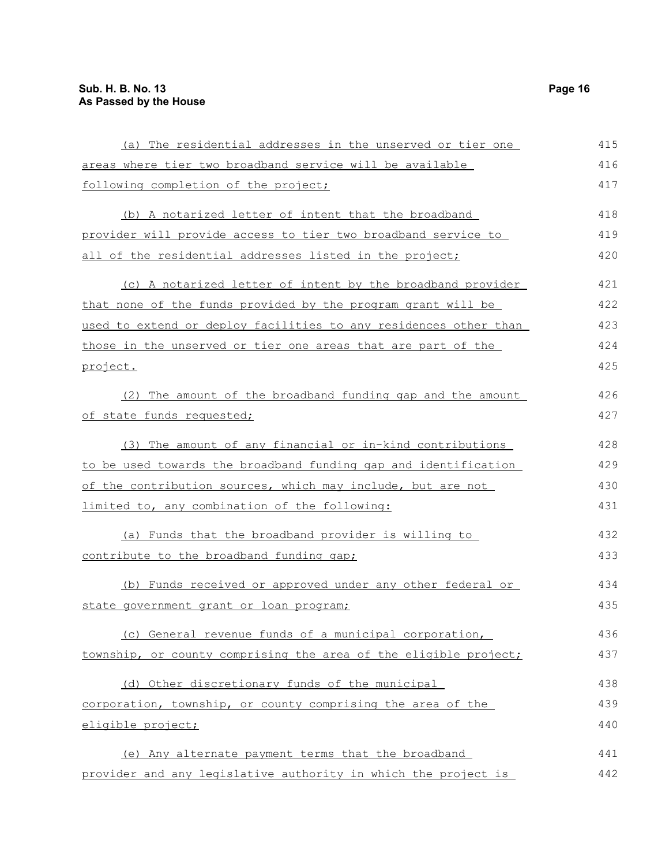| (a) The residential addresses in the unserved or tier one        | 415 |
|------------------------------------------------------------------|-----|
| areas where tier two broadband service will be available         | 416 |
| following completion of the project;                             | 417 |
| (b) A notarized letter of intent that the broadband              | 418 |
| provider will provide access to tier two broadband service to    | 419 |
| all of the residential addresses listed in the project;          | 420 |
| (c) A notarized letter of intent by the broadband provider       | 421 |
| that none of the funds provided by the program grant will be     | 422 |
| used to extend or deploy facilities to any residences other than | 423 |
| those in the unserved or tier one areas that are part of the     | 424 |
| project.                                                         | 425 |
| (2) The amount of the broadband funding gap and the amount       | 426 |
| of state funds requested;                                        | 427 |
| (3) The amount of any financial or in-kind contributions         | 428 |
| to be used towards the broadband funding gap and identification  | 429 |
| of the contribution sources, which may include, but are not      | 430 |
| limited to, any combination of the following:                    | 431 |
| (a) Funds that the broadband provider is willing to              | 432 |
| contribute to the broadband funding gap;                         | 433 |
| (b) Funds received or approved under any other federal or        | 434 |
| state government grant or loan program;                          | 435 |
| (c) General revenue funds of a municipal corporation,            | 436 |
| township, or county comprising the area of the eligible project; | 437 |
| (d) Other discretionary funds of the municipal                   | 438 |
| corporation, township, or county comprising the area of the      | 439 |
| eligible project;                                                | 440 |
| (e) Any alternate payment terms that the broadband               | 441 |
| provider and any legislative authority in which the project is   | 442 |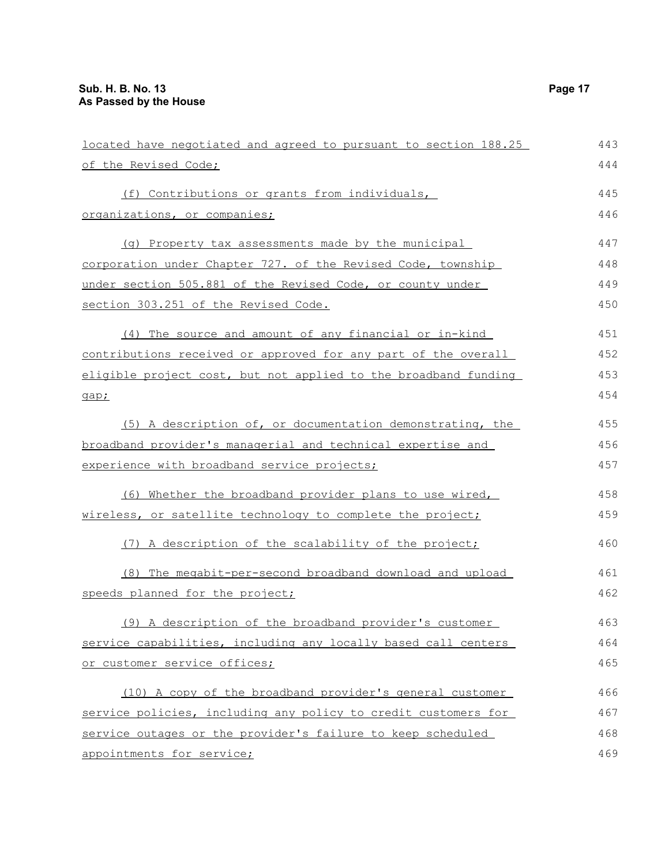| located have negotiated and agreed to pursuant to section 188.25 | 443 |
|------------------------------------------------------------------|-----|
| of the Revised Code;                                             | 444 |
| (f) Contributions or grants from individuals,                    | 445 |
| organizations, or companies;                                     | 446 |
| (g) Property tax assessments made by the municipal               | 447 |
| corporation under Chapter 727. of the Revised Code, township     | 448 |
| under section 505.881 of the Revised Code, or county under       | 449 |
| section 303.251 of the Revised Code.                             | 450 |
| (4) The source and amount of any financial or in-kind            | 451 |
| contributions received or approved for any part of the overall   | 452 |
| eligible project cost, but not applied to the broadband funding  | 453 |
| gap;                                                             | 454 |
| (5) A description of, or documentation demonstrating, the        | 455 |
| broadband provider's managerial and technical expertise and      | 456 |
| experience with broadband service projects;                      | 457 |
| (6) Whether the broadband provider plans to use wired,           | 458 |
| wireless, or satellite technology to complete the project;       | 459 |
| (7) A description of the scalability of the project;             | 460 |
| (8) The megabit-per-second broadband download and upload         | 461 |
| speeds planned for the project;                                  | 462 |
| (9) A description of the broadband provider's customer           | 463 |
| service capabilities, including any locally based call centers   | 464 |
| or customer service offices;                                     | 465 |
| (10) A copy of the broadband provider's general customer         | 466 |
| service policies, including any policy to credit customers for   | 467 |
| service outages or the provider's failure to keep scheduled      | 468 |
| appointments for service;                                        | 469 |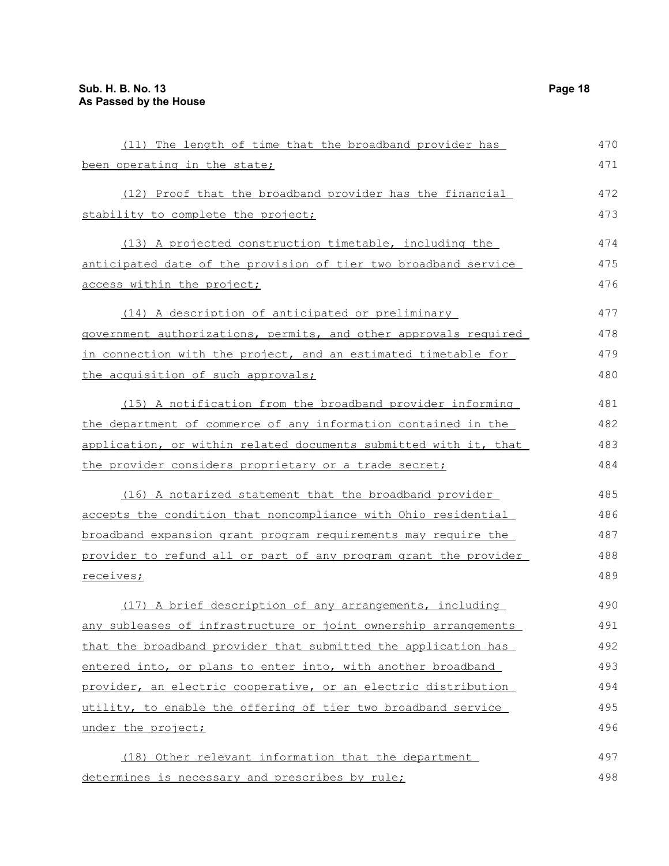| (11) The length of time that the broadband provider has          | 470 |
|------------------------------------------------------------------|-----|
| been operating in the state;                                     | 471 |
| (12) Proof that the broadband provider has the financial         | 472 |
| stability to complete the project;                               | 473 |
| (13) A projected construction timetable, including the           | 474 |
| anticipated date of the provision of tier two broadband service  | 475 |
| access within the project;                                       | 476 |
| (14) A description of anticipated or preliminary                 | 477 |
| government authorizations, permits, and other approvals required | 478 |
| in connection with the project, and an estimated timetable for   | 479 |
| the acquisition of such approvals;                               | 480 |
| (15) A notification from the broadband provider informing        | 481 |
| the department of commerce of any information contained in the   | 482 |
| application, or within related documents submitted with it, that | 483 |
| the provider considers proprietary or a trade secret;            | 484 |
| (16) A notarized statement that the broadband provider           | 485 |
| accepts the condition that noncompliance with Ohio residential   | 486 |
| broadband expansion grant program requirements may require the   | 487 |
| provider to refund all or part of any program grant the provider | 488 |
| receives;                                                        | 489 |
| (17) A brief description of any arrangements, including          | 490 |
| any subleases of infrastructure or joint ownership arrangements  | 491 |
| that the broadband provider that submitted the application has   | 492 |
| entered into, or plans to enter into, with another broadband     | 493 |
| provider, an electric cooperative, or an electric distribution   | 494 |
| utility, to enable the offering of tier two broadband service    | 495 |
| under the project;                                               | 496 |
| (18) Other relevant information that the department              | 497 |
| determines is necessary and prescribes by rule;                  | 498 |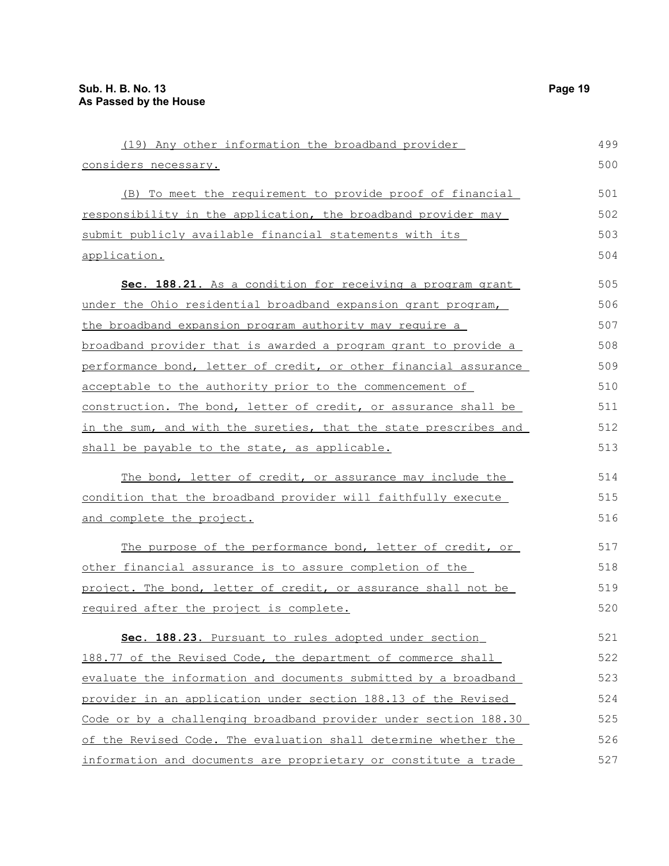| (19) Any other information the broadband provider                | 499 |
|------------------------------------------------------------------|-----|
| considers necessary.                                             | 500 |
| (B) To meet the requirement to provide proof of financial        | 501 |
| responsibility in the application, the broadband provider may    | 502 |
| submit publicly available financial statements with its          | 503 |
| application.                                                     | 504 |
| Sec. 188.21. As a condition for receiving a program grant        | 505 |
| under the Ohio residential broadband expansion grant program,    | 506 |
| the broadband expansion program authority may require a          | 507 |
| broadband provider that is awarded a program grant to provide a  | 508 |
| performance bond, letter of credit, or other financial assurance | 509 |
| acceptable to the authority prior to the commencement of         | 510 |
| construction. The bond, letter of credit, or assurance shall be  | 511 |
| in the sum, and with the sureties, that the state prescribes and | 512 |
| shall be payable to the state, as applicable.                    | 513 |
| The bond, letter of credit, or assurance may include the         | 514 |
| condition that the broadband provider will faithfully execute    | 515 |
| and complete the project.                                        | 516 |
| The purpose of the performance bond, letter of credit, or        | 517 |
| other financial assurance is to assure completion of the         | 518 |
| project. The bond, letter of credit, or assurance shall not be   | 519 |
| required after the project is complete.                          | 520 |
| Sec. 188.23. Pursuant to rules adopted under section             | 521 |
| 188.77 of the Revised Code, the department of commerce shall     | 522 |
| evaluate the information and documents submitted by a broadband  | 523 |
| provider in an application under section 188.13 of the Revised   | 524 |
| Code or by a challenging broadband provider under section 188.30 | 525 |
| of the Revised Code. The evaluation shall determine whether the  | 526 |
| information and documents are proprietary or constitute a trade  | 527 |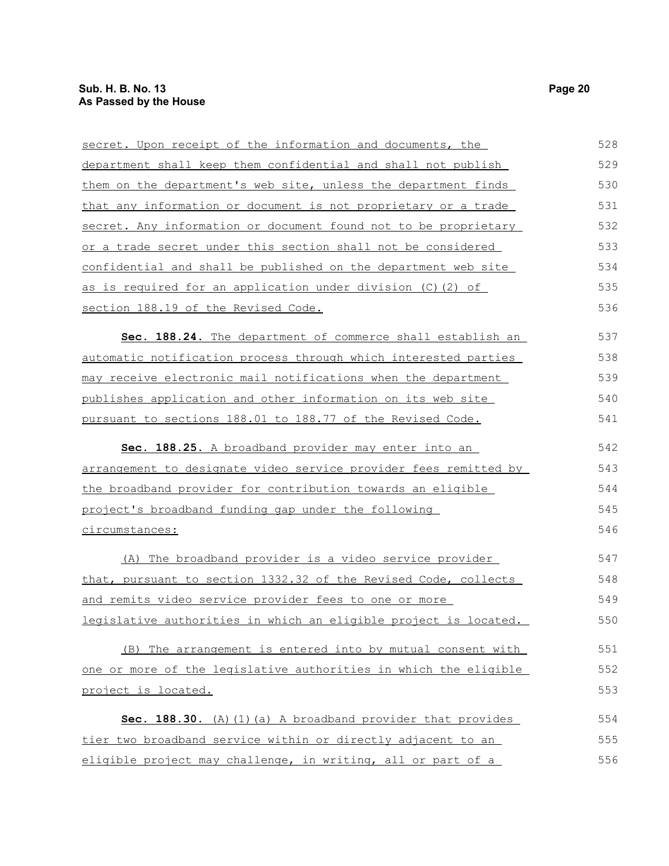| secret. Upon receipt of the information and documents, the        | 528 |
|-------------------------------------------------------------------|-----|
| department shall keep them confidential and shall not publish     | 529 |
| them on the department's web site, unless the department finds    | 530 |
| that any information or document is not proprietary or a trade    | 531 |
| secret. Any information or document found not to be proprietary   | 532 |
| or a trade secret under this section shall not be considered      | 533 |
| confidential and shall be published on the department web site    | 534 |
| <u>as is required for an application under division (C)(2) of</u> | 535 |
| section 188.19 of the Revised Code.                               | 536 |
| Sec. 188.24. The department of commerce shall establish an        | 537 |
| automatic notification process through which interested parties   | 538 |
| may receive electronic mail notifications when the department     | 539 |
| publishes application and other information on its web site       | 540 |
| pursuant to sections 188.01 to 188.77 of the Revised Code.        | 541 |
| Sec. 188.25. A broadband provider may enter into an               | 542 |
| arrangement to designate video service provider fees remitted by  | 543 |
| the broadband provider for contribution towards an eligible       | 544 |
| project's broadband funding gap under the following               | 545 |
| circumstances:                                                    | 546 |
| (A) The broadband provider is a video service provider            | 547 |
| that, pursuant to section 1332.32 of the Revised Code, collects   | 548 |
| and remits video service provider fees to one or more             | 549 |
| legislative authorities in which an eligible project is located.  | 550 |
| (B) The arrangement is entered into by mutual consent with        | 551 |
| one or more of the legislative authorities in which the eligible  | 552 |
| project is located.                                               | 553 |
| Sec. 188.30. (A) (1) (a) A broadband provider that provides       | 554 |
| tier two broadband service within or directly adjacent to an      | 555 |
| eligible project may challenge, in writing, all or part of a      | 556 |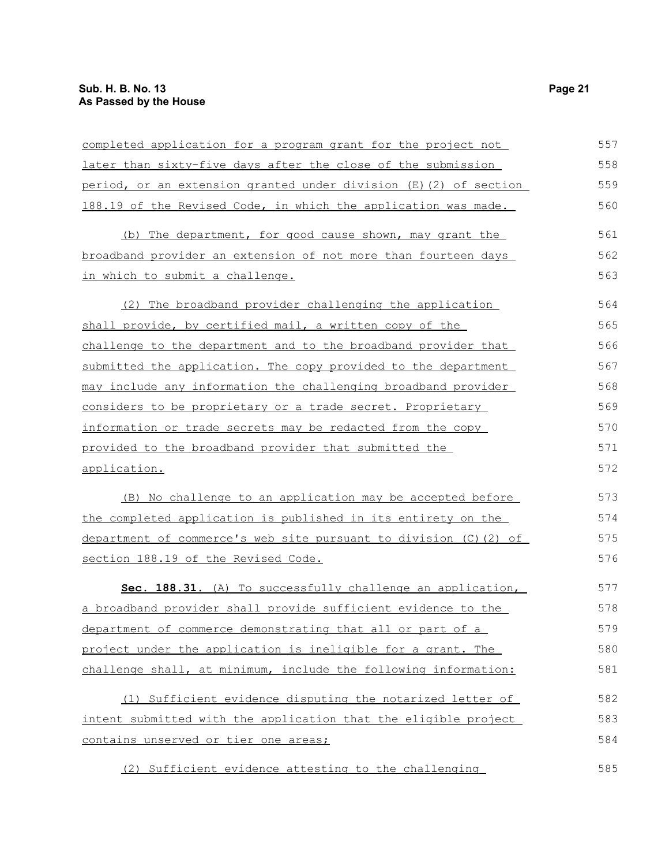| completed application for a program grant for the project not     | 557 |
|-------------------------------------------------------------------|-----|
| later than sixty-five days after the close of the submission      | 558 |
| period, or an extension granted under division (E) (2) of section | 559 |
| 188.19 of the Revised Code, in which the application was made.    | 560 |
| (b) The department, for good cause shown, may grant the           | 561 |
| broadband provider an extension of not more than fourteen days    | 562 |
| in which to submit a challenge.                                   | 563 |
| The broadband provider challenging the application<br>(2)         | 564 |
| shall provide, by certified mail, a written copy of the           | 565 |
| challenge to the department and to the broadband provider that    | 566 |
| submitted the application. The copy provided to the department    | 567 |
| may include any information the challenging broadband provider    | 568 |
| considers to be proprietary or a trade secret. Proprietary        | 569 |
| information or trade secrets may be redacted from the copy        | 570 |
| provided to the broadband provider that submitted the             | 571 |
| application.                                                      | 572 |
| (B) No challenge to an application may be accepted before         | 573 |
| the completed application is published in its entirety on the     | 574 |
| department of commerce's web site pursuant to division (C) (2) of | 575 |
| section 188.19 of the Revised Code.                               | 576 |
| Sec. 188.31. (A) To successfully challenge an application,        | 577 |
| a broadband provider shall provide sufficient evidence to the     | 578 |
| department of commerce demonstrating that all or part of a        | 579 |
| project under the application is ineligible for a grant. The      | 580 |
| challenge shall, at minimum, include the following information:   | 581 |
| (1) Sufficient evidence disputing the notarized letter of         | 582 |
| intent submitted with the application that the eligible project   | 583 |
| contains unserved or tier one areas;                              | 584 |
| (2) Sufficient evidence attesting to the challenging              | 585 |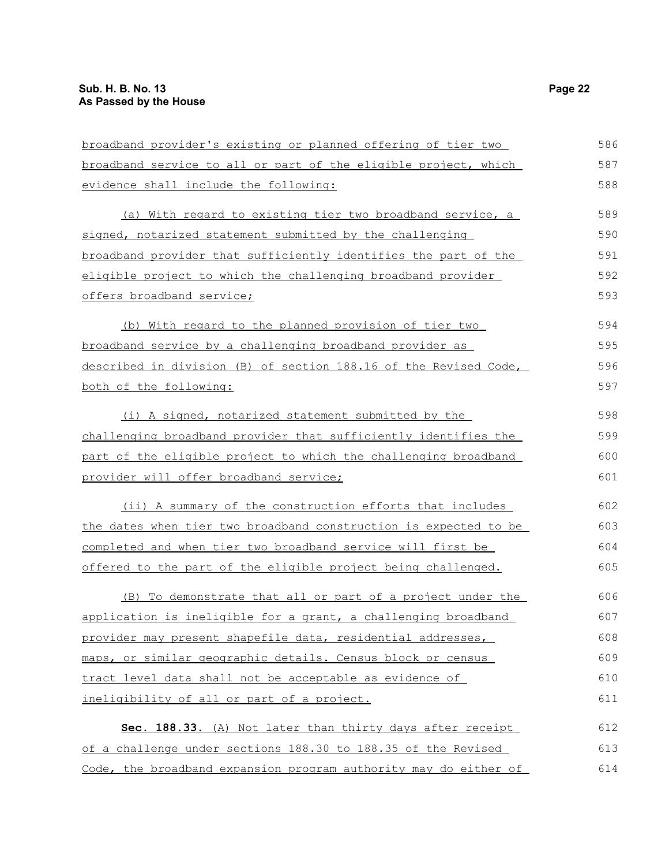| broadband provider's existing or planned offering of tier two    | 586 |
|------------------------------------------------------------------|-----|
| broadband service to all or part of the eligible project, which  | 587 |
| evidence shall include the following:                            | 588 |
| (a) With regard to existing tier two broadband service, a        | 589 |
| signed, notarized statement submitted by the challenging         | 590 |
| broadband provider that sufficiently identifies the part of the  | 591 |
| eligible project to which the challenging broadband provider     | 592 |
| offers broadband service;                                        | 593 |
| (b) With regard to the planned provision of tier two             | 594 |
| broadband service by a challenging broadband provider as         | 595 |
| described in division (B) of section 188.16 of the Revised Code, | 596 |
| both of the following:                                           | 597 |
| (i) A signed, notarized statement submitted by the               | 598 |
| challenging broadband provider that sufficiently identifies the  | 599 |
| part of the eligible project to which the challenging broadband  | 600 |
| provider will offer broadband service;                           | 601 |
| (ii) A summary of the construction efforts that includes         | 602 |
| the dates when tier two broadband construction is expected to be | 603 |
| completed and when tier two broadband service will first be      | 604 |
| offered to the part of the eligible project being challenged.    | 605 |
| (B) To demonstrate that all or part of a project under the       | 606 |
| application is ineligible for a grant, a challenging broadband   | 607 |
| provider may present shapefile data, residential addresses,      | 608 |
| maps, or similar geographic details. Census block or census      | 609 |
| tract level data shall not be acceptable as evidence of          | 610 |
| ineligibility of all or part of a project.                       | 611 |
| Sec. 188.33. (A) Not later than thirty days after receipt        | 612 |
| of a challenge under sections 188.30 to 188.35 of the Revised    | 613 |
| Code, the broadband expansion program authority may do either of | 614 |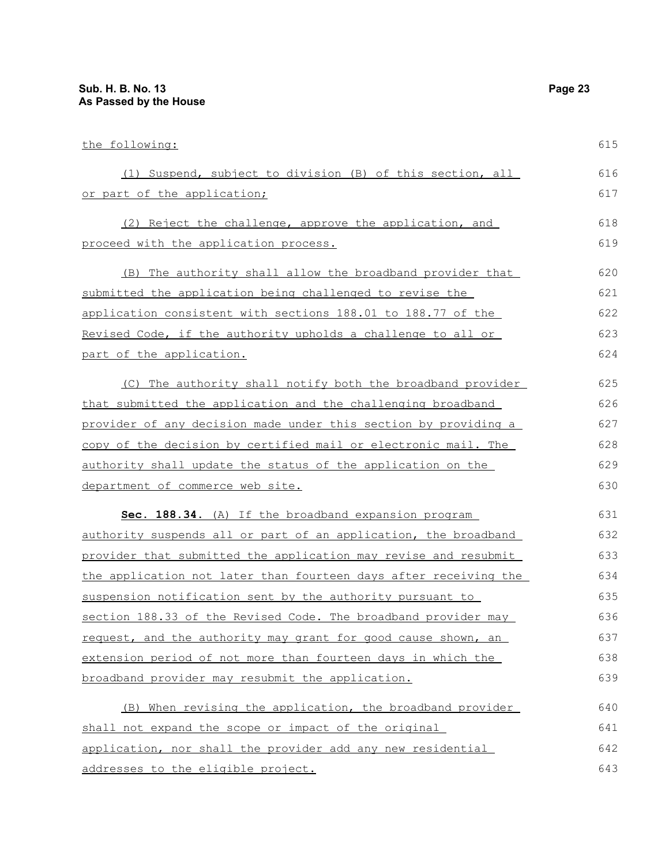| the following:                                                  | 615 |
|-----------------------------------------------------------------|-----|
| Suspend, subject to division (B) of this section, all<br>(1)    | 616 |
| or part of the application;                                     | 617 |
| (2) Reject the challenge, approve the application, and          | 618 |
| proceed with the application process.                           | 619 |
| (B) The authority shall allow the broadband provider that       | 620 |
| submitted the application being challenged to revise the        | 621 |
| application consistent with sections 188.01 to 188.77 of the    | 622 |
| Revised Code, if the authority upholds a challenge to all or    | 623 |
| part of the application.                                        | 624 |
| The authority shall notify both the broadband provider<br>(C)   | 625 |
| that submitted the application and the challenging broadband    | 626 |
| provider of any decision made under this section by providing a | 627 |

that submitted the applicati provider of any decision mad copy of the decision by certified mail or electronic mail. The authority shall update the status of the application on the department of commerce web site. 628 629 630

 **Sec. 188.34.** (A) If the broadband expansion program authority suspends all or part of an application, the broadband provider that submitted the application may revise and resubmit the application not later than fourteen days after receiving the suspension notification sent by the authority pursuant to section 188.33 of the Revised Code. The broadband provider may request, and the authority may grant for good cause shown, an extension period of not more than fourteen days in which the broadband provider may resubmit the application. 631 632 633 634 635 636 637 638 639

(B) When revising the application, the broadband provider shall not expand the scope or impact of the original application, nor shall the provider add any new residential addresses to the eligible project. 640 641 642 643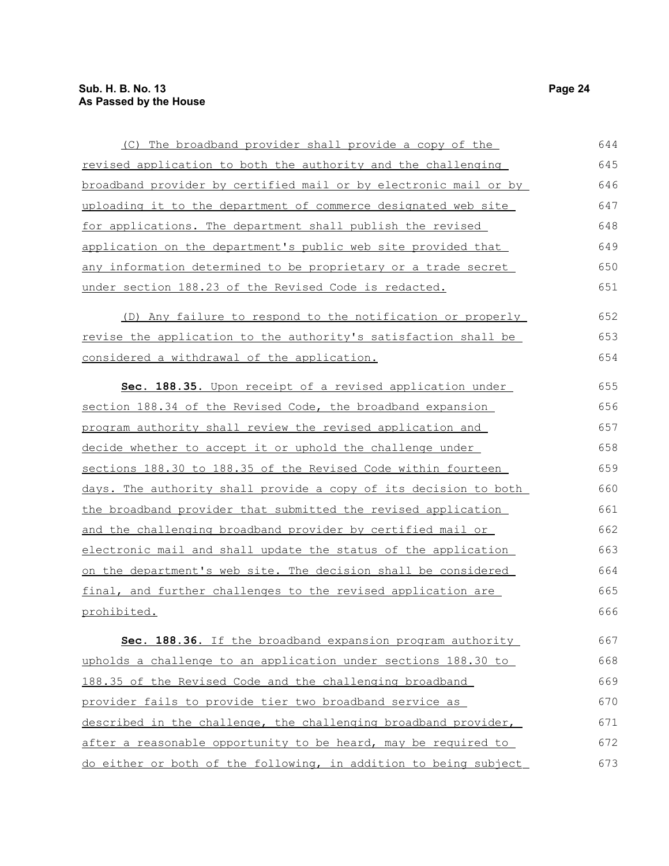| (C) The broadband provider shall provide a copy of the           | 644 |
|------------------------------------------------------------------|-----|
| revised application to both the authority and the challenging    | 645 |
| broadband provider by certified mail or by electronic mail or by | 646 |
| uploading it to the department of commerce designated web site   | 647 |
| for applications. The department shall publish the revised       | 648 |
| application on the department's public web site provided that    | 649 |
| any information determined to be proprietary or a trade secret   | 650 |
| under section 188.23 of the Revised Code is redacted.            | 651 |
| (D) Any failure to respond to the notification or properly       | 652 |
| revise the application to the authority's satisfaction shall be  | 653 |
| considered a withdrawal of the application.                      | 654 |
| Sec. 188.35. Upon receipt of a revised application under         | 655 |
| section 188.34 of the Revised Code, the broadband expansion      | 656 |
| program authority shall review the revised application and       | 657 |
| decide whether to accept it or uphold the challenge under        | 658 |
| sections 188.30 to 188.35 of the Revised Code within fourteen    | 659 |
| days. The authority shall provide a copy of its decision to both | 660 |
| the broadband provider that submitted the revised application    | 661 |
| and the challenging broadband provider by certified mail or      | 662 |
| electronic mail and shall update the status of the application   | 663 |
| on the department's web site. The decision shall be considered   | 664 |
| final, and further challenges to the revised application are     | 665 |
| prohibited.                                                      | 666 |
| Sec. 188.36. If the broadband expansion program authority        | 667 |
| upholds a challenge to an application under sections 188.30 to   | 668 |
| 188.35 of the Revised Code and the challenging broadband         | 669 |
| provider fails to provide tier two broadband service as          | 670 |
| described in the challenge, the challenging broadband provider,  | 671 |
| after a reasonable opportunity to be heard, may be required to   | 672 |
| do either or both of the following, in addition to being subject | 673 |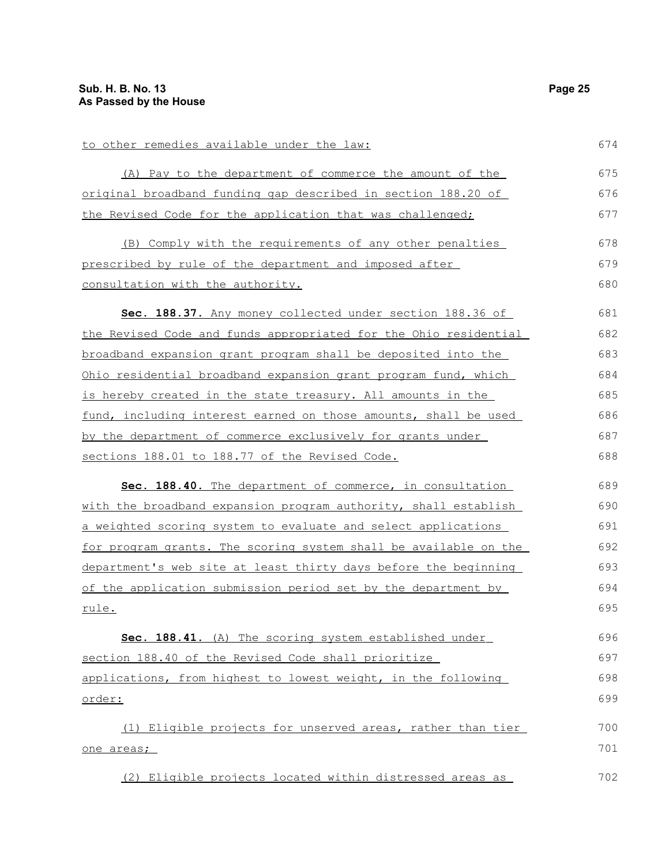| to other remedies available under the law:                         | 674 |
|--------------------------------------------------------------------|-----|
| (A) Pay to the department of commerce the amount of the            | 675 |
| original broadband funding gap described in section 188.20 of      | 676 |
| the Revised Code for the application that was challenged;          | 677 |
|                                                                    |     |
| (B) Comply with the requirements of any other penalties            | 678 |
| prescribed by rule of the department and imposed after             | 679 |
| consultation with the authority.                                   | 680 |
| Sec. 188.37. Any money collected under section 188.36 of           | 681 |
| the Revised Code and funds appropriated for the Ohio residential   | 682 |
| broadband expansion grant program shall be deposited into the      | 683 |
| Ohio residential broadband expansion grant program fund, which     | 684 |
| <u>is hereby created in the state treasury. All amounts in the</u> | 685 |
| fund, including interest earned on those amounts, shall be used    | 686 |
| by the department of commerce exclusively for grants under         | 687 |
| sections 188.01 to 188.77 of the Revised Code.                     | 688 |
| Sec. 188.40. The department of commerce, in consultation           | 689 |
| with the broadband expansion program authority, shall establish    | 690 |
| a weighted scoring system to evaluate and select applications      | 691 |
| for program grants. The scoring system shall be available on the   | 692 |
| department's web site at least thirty days before the beginning    | 693 |
| of the application submission period set by the department by      | 694 |
| rule.                                                              | 695 |
| Sec. 188.41. (A) The scoring system established under              | 696 |
| section 188.40 of the Revised Code shall prioritize                | 697 |
| applications, from highest to lowest weight, in the following      | 698 |
| <u>order:</u>                                                      | 699 |
|                                                                    | 700 |
| (1) Eligible projects for unserved areas, rather than tier         |     |
| one areas;                                                         | 701 |
| (2) Eligible projects located within distressed areas as           | 702 |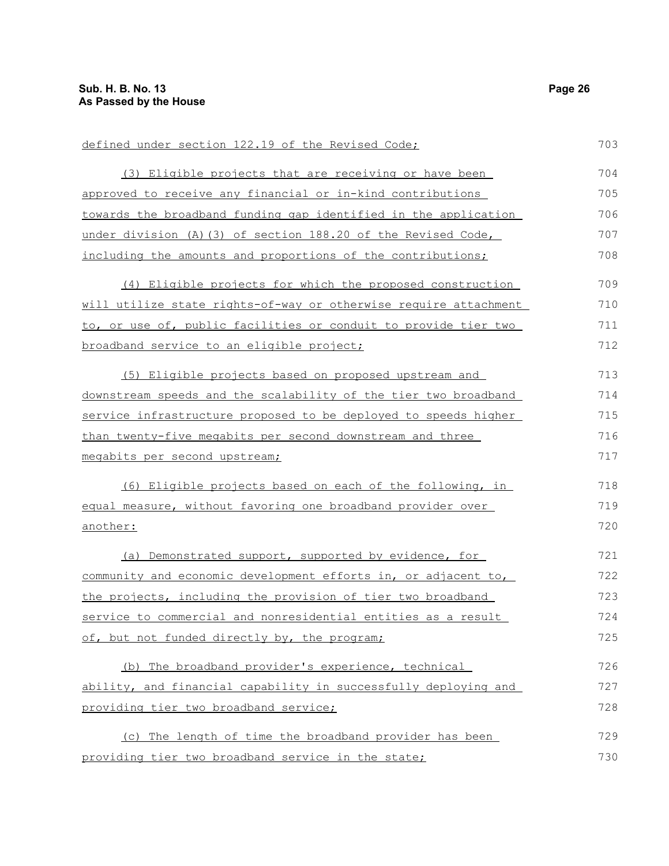| defined under section 122.19 of the Revised Code;                | 703 |
|------------------------------------------------------------------|-----|
| (3) Eligible projects that are receiving or have been            | 704 |
| approved to receive any financial or in-kind contributions       | 705 |
| towards the broadband funding gap identified in the application  | 706 |
| under division (A) (3) of section 188.20 of the Revised Code,    | 707 |
| including the amounts and proportions of the contributions;      | 708 |
| (4) Eligible projects for which the proposed construction        | 709 |
| will utilize state rights-of-way or otherwise require attachment | 710 |
| to, or use of, public facilities or conduit to provide tier two  | 711 |
| broadband service to an eligible project;                        | 712 |
| (5) Eligible projects based on proposed upstream and             | 713 |
| downstream speeds and the scalability of the tier two broadband  | 714 |
| service infrastructure proposed to be deployed to speeds higher  | 715 |
| than twenty-five megabits per second downstream and three        | 716 |
| megabits per second upstream;                                    | 717 |
| (6) Eligible projects based on each of the following, in         | 718 |
| equal measure, without favoring one broadband provider over      | 719 |
| <u>another:</u>                                                  | 720 |
| (a) Demonstrated support, supported by evidence, for             | 721 |
| community and economic development efforts in, or adjacent to,   | 722 |
| the projects, including the provision of tier two broadband      | 723 |
| service to commercial and nonresidential entities as a result    | 724 |
| of, but not funded directly by, the program;                     | 725 |
| (b) The broadband provider's experience, technical               | 726 |
| ability, and financial capability in successfully deploying and  | 727 |
| providing tier two broadband service;                            | 728 |
| (c) The length of time the broadband provider has been           | 729 |
| providing tier two broadband service in the state;               | 730 |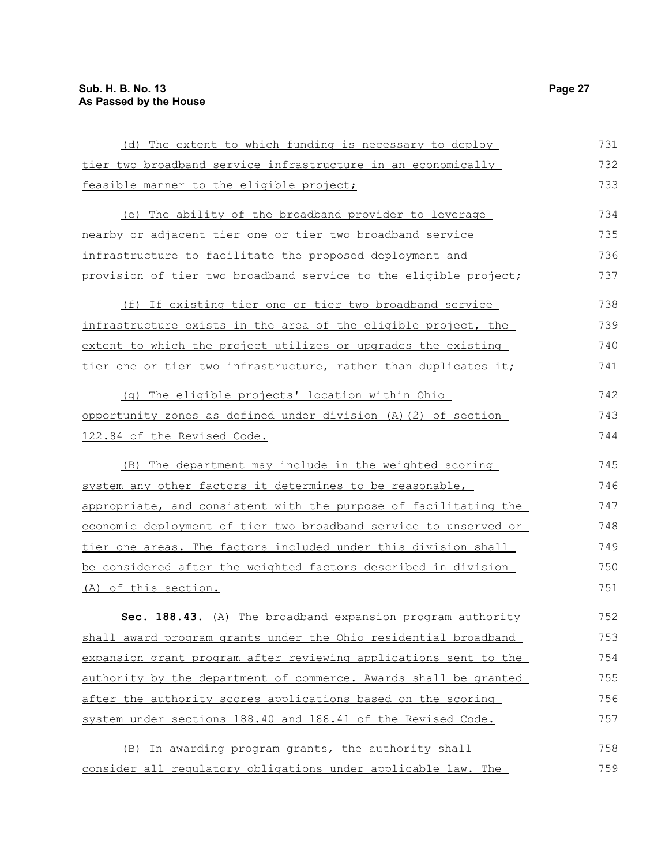| (d) The extent to which funding is necessary to deploy                  | 731 |
|-------------------------------------------------------------------------|-----|
| tier two broadband service infrastructure in an economically            | 732 |
| feasible manner to the eligible project;                                | 733 |
| (e) The ability of the broadband provider to leverage                   | 734 |
| nearby or adjacent tier one or tier two broadband service               | 735 |
| infrastructure to facilitate the proposed deployment and                | 736 |
| provision of tier two broadband service to the eligible project;        | 737 |
| (f) If existing tier one or tier two broadband service                  | 738 |
| infrastructure exists in the area of the eligible project, the          | 739 |
| extent to which the project utilizes or upgrades the existing           | 740 |
| tier one or tier two infrastructure, rather than duplicates it;         | 741 |
| (g) The eligible projects' location within Ohio                         | 742 |
| opportunity zones as defined under division (A) (2) of section          | 743 |
| 122.84 of the Revised Code.                                             | 744 |
| (B) The department may include in the weighted scoring                  | 745 |
| system any other factors it determines to be reasonable,                | 746 |
| <u>appropriate, and consistent with the purpose of facilitating the</u> | 747 |
| economic deployment of tier two broadband service to unserved or        | 748 |
| tier one areas. The factors included under this division shall          | 749 |
| be considered after the weighted factors described in division          | 750 |
| (A) of this section.                                                    | 751 |
| Sec. 188.43. (A) The broadband expansion program authority              | 752 |
| shall award program grants under the Ohio residential broadband         | 753 |
| expansion grant program after reviewing applications sent to the        | 754 |
| authority by the department of commerce. Awards shall be granted        | 755 |
| after the authority scores applications based on the scoring            | 756 |
| system under sections 188.40 and 188.41 of the Revised Code.            | 757 |
| (B) In awarding program grants, the authority shall                     | 758 |
| consider all regulatory obligations under applicable law. The           | 759 |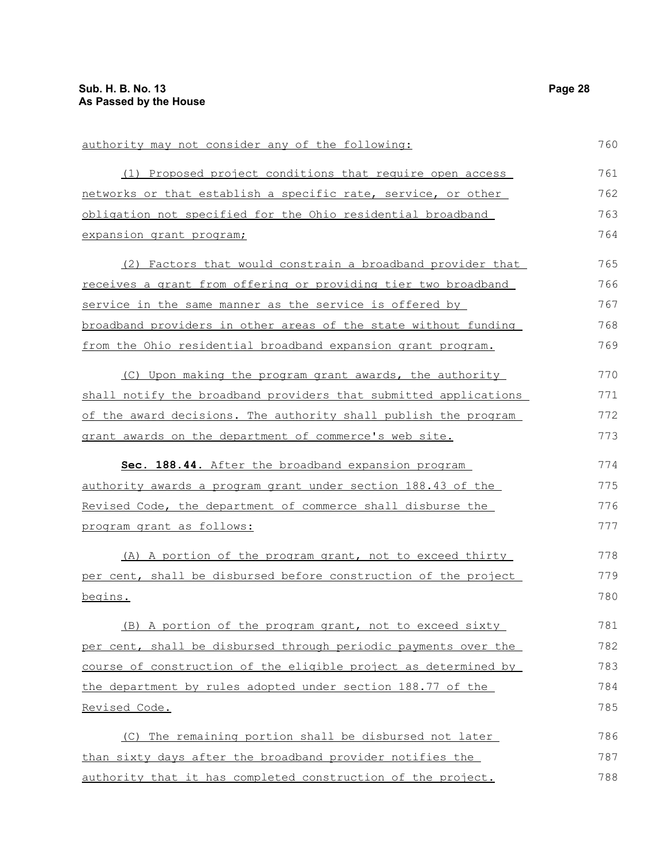| authority may not consider any of the following:                 | 760 |
|------------------------------------------------------------------|-----|
| (1) Proposed project conditions that require open access         | 761 |
| networks or that establish a specific rate, service, or other    | 762 |
| obligation not specified for the Ohio residential broadband      | 763 |
| expansion grant program;                                         | 764 |
| (2) Factors that would constrain a broadband provider that       | 765 |
| receives a grant from offering or providing tier two broadband   | 766 |
| service in the same manner as the service is offered by          | 767 |
| broadband providers in other areas of the state without funding  | 768 |
| from the Ohio residential broadband expansion grant program.     | 769 |
| (C) Upon making the program grant awards, the authority          | 770 |
| shall notify the broadband providers that submitted applications | 771 |
| of the award decisions. The authority shall publish the program  | 772 |
| grant awards on the department of commerce's web site.           | 773 |
| Sec. 188.44. After the broadband expansion program               | 774 |
| authority awards a program grant under section 188.43 of the     | 775 |
| Revised Code, the department of commerce shall disburse the      | 776 |
| program grant as follows:                                        | 777 |
| (A) A portion of the program grant, not to exceed thirty         | 778 |
| per cent, shall be disbursed before construction of the project  | 779 |
| begins.                                                          | 780 |
| (B) A portion of the program grant, not to exceed sixty          | 781 |
| per cent, shall be disbursed through periodic payments over the  | 782 |
| course of construction of the eligible project as determined by  | 783 |
| the department by rules adopted under section 188.77 of the      | 784 |
| <u>Revised Code.</u>                                             | 785 |
| (C) The remaining portion shall be disbursed not later           | 786 |
| than sixty days after the broadband provider notifies the        | 787 |
| authority that it has completed construction of the project.     | 788 |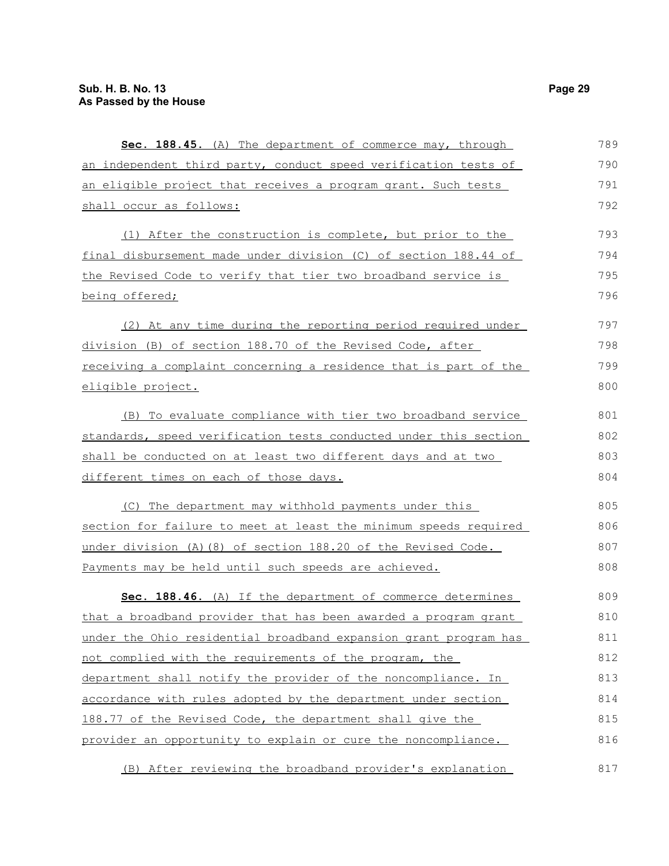| Sec. 188.45. (A) The department of commerce may, through         | 789 |
|------------------------------------------------------------------|-----|
| an independent third party, conduct speed verification tests of  | 790 |
| an eligible project that receives a program grant. Such tests    | 791 |
| shall occur as follows:                                          | 792 |
| (1) After the construction is complete, but prior to the         | 793 |
| final disbursement made under division (C) of section 188.44 of  | 794 |
| the Revised Code to verify that tier two broadband service is    | 795 |
| being offered;                                                   | 796 |
| (2) At any time during the reporting period required under       | 797 |
| division (B) of section 188.70 of the Revised Code, after        | 798 |
| receiving a complaint concerning a residence that is part of the | 799 |
| eligible project.                                                | 800 |
| (B) To evaluate compliance with tier two broadband service       | 801 |
| standards, speed verification tests conducted under this section | 802 |
| shall be conducted on at least two different days and at two     | 803 |
| different times on each of those days.                           | 804 |
| (C) The department may withhold payments under this              | 805 |
| section for failure to meet at least the minimum speeds required | 806 |
| under division (A) (8) of section 188.20 of the Revised Code.    | 807 |
| Payments may be held until such speeds are achieved.             | 808 |
| Sec. 188.46. (A) If the department of commerce determines        | 809 |
| that a broadband provider that has been awarded a program grant  | 810 |
| under the Ohio residential broadband expansion grant program has | 811 |
| not complied with the requirements of the program, the           | 812 |
| department shall notify the provider of the noncompliance. In    | 813 |
| accordance with rules adopted by the department under section    | 814 |
| 188.77 of the Revised Code, the department shall give the        | 815 |
| provider an opportunity to explain or cure the noncompliance.    | 816 |
| (B) After reviewing the broadband provider's explanation         | 817 |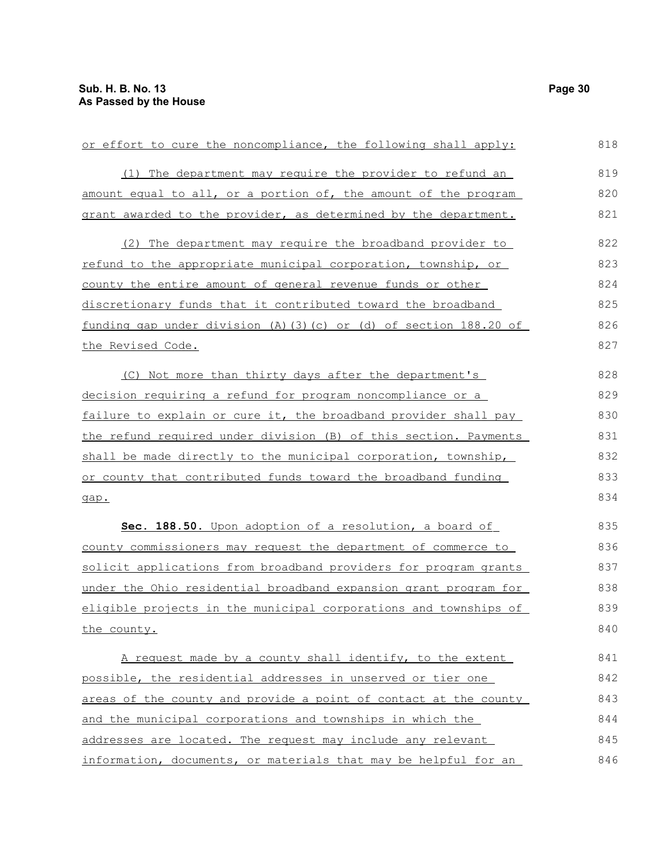| or effort to cure the noncompliance, the following shall apply:  | 818 |
|------------------------------------------------------------------|-----|
| (1) The department may require the provider to refund an         | 819 |
| amount equal to all, or a portion of, the amount of the program  | 820 |
| grant awarded to the provider, as determined by the department.  | 821 |
| (2) The department may require the broadband provider to         | 822 |
| refund to the appropriate municipal corporation, township, or    | 823 |
| county the entire amount of general revenue funds or other       | 824 |
| discretionary funds that it contributed toward the broadband     | 825 |
| funding gap under division (A)(3)(c) or (d) of section 188.20 of | 826 |
| the Revised Code.                                                | 827 |
| (C) Not more than thirty days after the department's             | 828 |
| decision requiring a refund for program noncompliance or a       | 829 |
| failure to explain or cure it, the broadband provider shall pay  | 830 |
| the refund required under division (B) of this section. Payments | 831 |
| shall be made directly to the municipal corporation, township,   | 832 |
| or county that contributed funds toward the broadband funding    | 833 |
| gap.                                                             | 834 |
| Sec. 188.50. Upon adoption of a resolution, a board of           | 835 |
| county commissioners may request the department of commerce to   | 836 |
| solicit applications from broadband providers for program grants | 837 |
| under the Ohio residential broadband expansion grant program for | 838 |
| eligible projects in the municipal corporations and townships of | 839 |
| the county.                                                      | 840 |
| A request made by a county shall identify, to the extent         | 841 |
| possible, the residential addresses in unserved or tier one      | 842 |
| areas of the county and provide a point of contact at the county | 843 |
| and the municipal corporations and townships in which the        | 844 |
| addresses are located. The request may include any relevant      | 845 |
| information, documents, or materials that may be helpful for an  | 846 |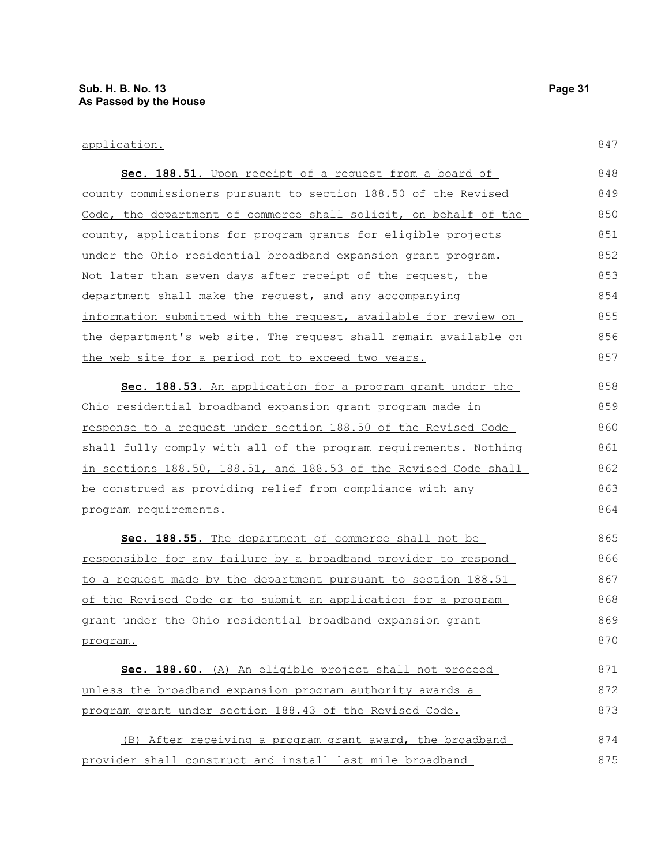### application.

| Sec. 188.51. Upon receipt of a request from a board of                | 848 |
|-----------------------------------------------------------------------|-----|
| <u>county commissioners pursuant to section 188.50 of the Revised</u> | 849 |
| Code, the department of commerce shall solicit, on behalf of the      | 850 |
| county, applications for program grants for eligible projects         | 851 |
| <u>under the Ohio residential broadband expansion grant program.</u>  | 852 |
| <u>Not later than seven days after receipt of the request, the </u>   | 853 |
| department shall make the request, and any accompanying               | 854 |
| information submitted with the request, available for review on       | 855 |
| the department's web site. The request shall remain available on      | 856 |
| the web site for a period not to exceed two years.                    | 857 |
| Sec. 188.53. An application for a program grant under the             | 858 |
| <u>Ohio residential broadband expansion grant program made in </u>    | 859 |
| response to a request under section 188.50 of the Revised Code        | 860 |
| shall fully comply with all of the program requirements. Nothing      | 861 |
| in sections 188.50, 188.51, and 188.53 of the Revised Code shall      | 862 |
| be construed as providing relief from compliance with any             | 863 |
| program requirements.                                                 | 864 |
| Sec. 188.55. The department of commerce shall not be                  | 865 |
| <u>responsible for any failure by a broadband provider to respond</u> | 866 |
| to a request made by the department pursuant to section 188.51        | 867 |
| <u>of the Revised Code or to submit an application for a program </u> | 868 |
| grant under the Ohio residential broadband expansion grant            | 869 |
| program.                                                              | 870 |
| Sec. 188.60. (A) An eligible project shall not proceed                | 871 |
| unless the broadband expansion program authority awards a             | 872 |
| program grant under section 188.43 of the Revised Code.               | 873 |
|                                                                       |     |
| (B) After receiving a program grant award, the broadband              | 874 |
| <u>provider shall construct and install last mile broadband </u>      | 875 |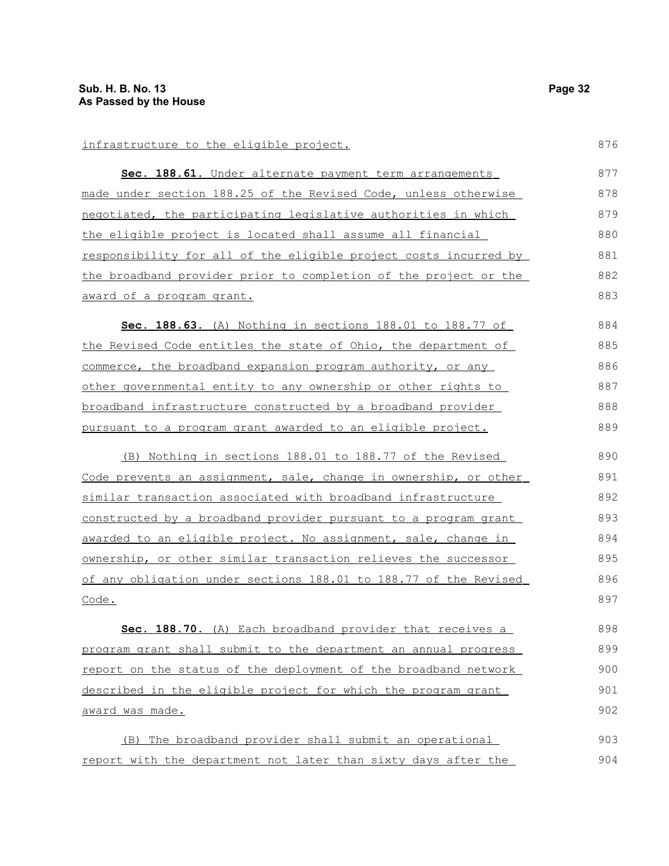| infrastructure to the eligible project.                               | 876 |
|-----------------------------------------------------------------------|-----|
| Sec. 188.61. Under alternate payment term arrangements                | 877 |
| made under section 188.25 of the Revised Code, unless otherwise       | 878 |
| negotiated, the participating legislative authorities in which        | 879 |
| the eligible project is located shall assume all financial            | 880 |
| responsibility for all of the eligible project costs incurred by      | 881 |
| the broadband provider prior to completion of the project or the      | 882 |
| award of a program grant.                                             | 883 |
| Sec. 188.63. (A) Nothing in sections 188.01 to 188.77 of              | 884 |
| the Revised Code entitles the state of Ohio, the department of        | 885 |
| commerce, the broadband expansion program authority, or any           | 886 |
| other governmental entity to any ownership or other rights to         | 887 |
| broadband infrastructure constructed by a broadband provider          | 888 |
| pursuant to a program grant awarded to an eligible project.           | 889 |
| (B) Nothing in sections 188.01 to 188.77 of the Revised               | 890 |
| Code prevents an assignment, sale, change in ownership, or other      | 891 |
| similar transaction associated with broadband infrastructure          | 892 |
| constructed by a broadband provider pursuant to a program grant       | 893 |
| awarded to an eligible project. No assignment, sale, change in        | 894 |
| <u>ownership, or other similar transaction relieves the successor</u> | 895 |
| of any obligation under sections 188.01 to 188.77 of the Revised      | 896 |
| Code.                                                                 | 897 |
| Sec. 188.70. (A) Each broadband provider that receives a              | 898 |
| program grant shall submit to the department an annual progress       | 899 |
| report on the status of the deployment of the broadband network       | 900 |
| described in the eligible project for which the program grant         | 901 |
| award was made.                                                       | 902 |
| (B) The broadband provider shall submit an operational                | 903 |
| report with the department not later than sixty days after the        | 904 |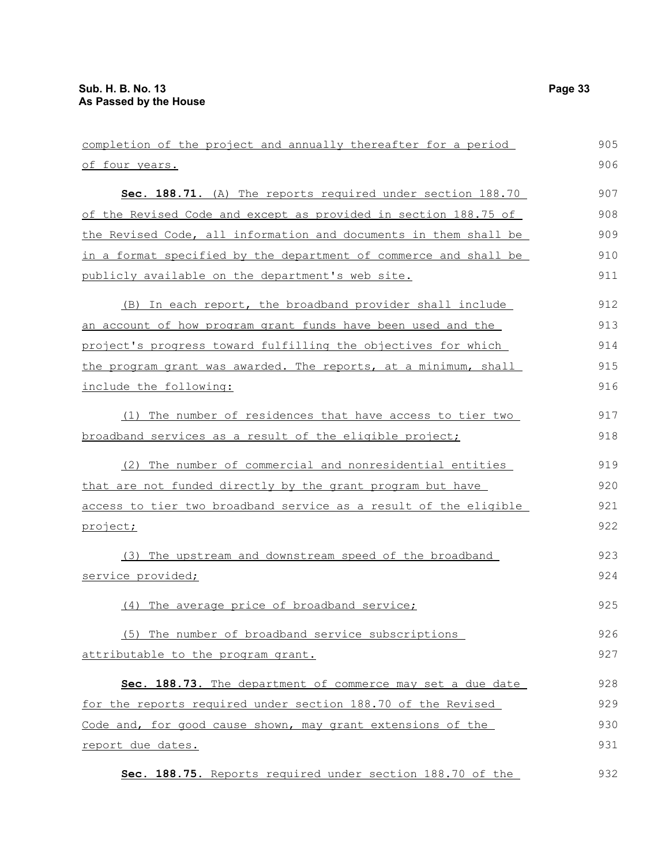completion of the project and annually thereafter for a period of four years. **Sec. 188.71.** (A) The reports required under section 188.70 of the Revised Code and except as provided in section 188.75 of the Revised Code, all information and documents in them shall be in a format specified by the department of commerce and shall be publicly available on the department's web site. (B) In each report, the broadband provider shall include an account of how program grant funds have been used and the project's progress toward fulfilling the objectives for which the program grant was awarded. The reports, at a minimum, shall include the following: (1) The number of residences that have access to tier two broadband services as a result of the eligible project; (2) The number of commercial and nonresidential entities that are not funded directly by the grant program but have access to tier two broadband service as a result of the eligible project; (3) The upstream and downstream speed of the broadband service provided; (4) The average price of broadband service; (5) The number of broadband service subscriptions attributable to the program grant. **Sec. 188.73.** The department of commerce may set a due date for the reports required under section 188.70 of the Revised Code and, for good cause shown, may grant extensions of the report due dates. **Sec. 188.75.** Reports required under section 188.70 of the 905 906 907 908 909 910 911 912 913 914 915 916 917 918 919 920 921 922 923 924 925 926 927 928 929 930 931 932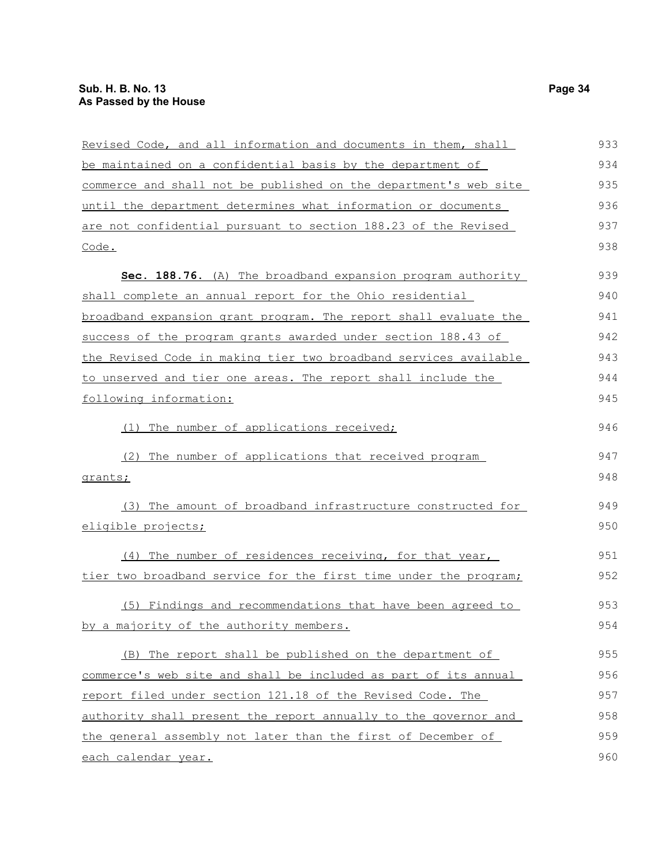| Revised Code, and all information and documents in them, shall   | 933 |
|------------------------------------------------------------------|-----|
| be maintained on a confidential basis by the department of       | 934 |
| commerce and shall not be published on the department's web site | 935 |
| until the department determines what information or documents    | 936 |
| are not confidential pursuant to section 188.23 of the Revised   | 937 |
| Code.                                                            | 938 |
| Sec. 188.76. (A) The broadband expansion program authority       | 939 |
| shall complete an annual report for the Ohio residential         | 940 |
| broadband expansion grant program. The report shall evaluate the | 941 |
| success of the program grants awarded under section 188.43 of    | 942 |
| the Revised Code in making tier two broadband services available | 943 |
| to unserved and tier one areas. The report shall include the     | 944 |
| following information:                                           | 945 |
| (1) The number of applications received;                         | 946 |
| (2) The number of applications that received program             | 947 |
| grants;                                                          | 948 |
| (3) The amount of broadband infrastructure constructed for       | 949 |
| eligible projects;                                               | 950 |
| (4) The number of residences receiving, for that year,           | 951 |
| tier two broadband service for the first time under the program; | 952 |
| (5) Findings and recommendations that have been agreed to        | 953 |
| by a majority of the authority members.                          | 954 |
| (B) The report shall be published on the department of           | 955 |
| commerce's web site and shall be included as part of its annual  | 956 |
| report filed under section 121.18 of the Revised Code. The       | 957 |
| authority shall present the report annually to the governor and  | 958 |
| the general assembly not later than the first of December of     | 959 |
| each calendar year.                                              | 960 |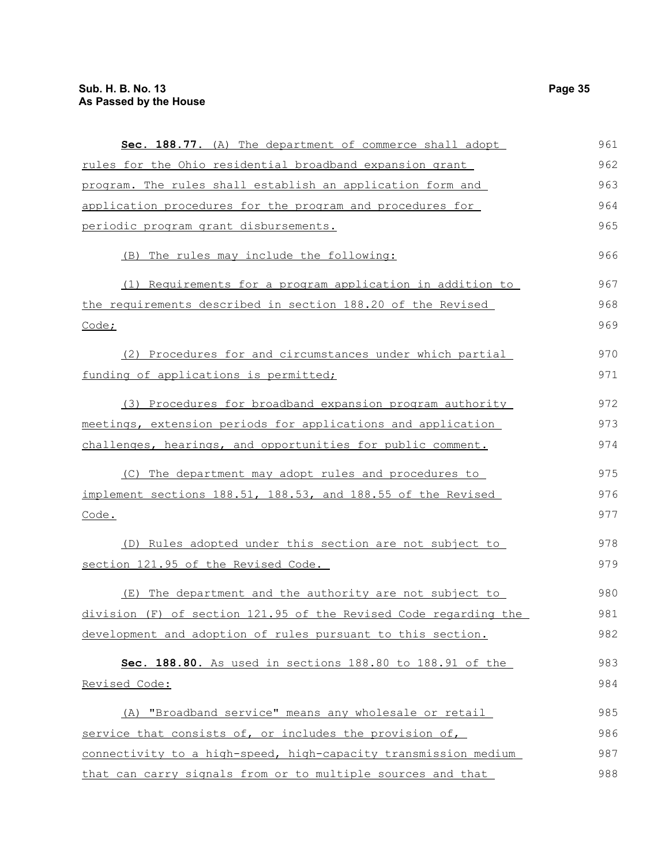| Sec. 188.77. (A) The department of commerce shall adopt          | 961 |
|------------------------------------------------------------------|-----|
| <u>rules for the Ohio residential broadband expansion grant</u>  | 962 |
| program. The rules shall establish an application form and       | 963 |
| application procedures for the program and procedures for        | 964 |
| periodic program grant disbursements.                            | 965 |
| (B) The rules may include the following:                         | 966 |
| (1) Requirements for a program application in addition to        | 967 |
| the requirements described in section 188.20 of the Revised      | 968 |
| Code;                                                            | 969 |
| (2) Procedures for and circumstances under which partial         | 970 |
| funding of applications is permitted;                            | 971 |
| (3) Procedures for broadband expansion program authority         | 972 |
| meetings, extension periods for applications and application     | 973 |
| challenges, hearings, and opportunities for public comment.      | 974 |
| (C) The department may adopt rules and procedures to             | 975 |
| implement sections 188.51, 188.53, and 188.55 of the Revised     | 976 |
| Code.                                                            | 977 |
| (D) Rules adopted under this section are not subject to          | 978 |
| section 121.95 of the Revised Code.                              | 979 |
| (E) The department and the authority are not subject to          | 980 |
| division (F) of section 121.95 of the Revised Code regarding the | 981 |
| development and adoption of rules pursuant to this section.      | 982 |
| Sec. 188.80. As used in sections 188.80 to 188.91 of the         | 983 |
| Revised Code:                                                    | 984 |
| (A) "Broadband service" means any wholesale or retail            | 985 |
| service that consists of, or includes the provision of,          | 986 |
| connectivity to a high-speed, high-capacity transmission medium  | 987 |
| that can carry signals from or to multiple sources and that      | 988 |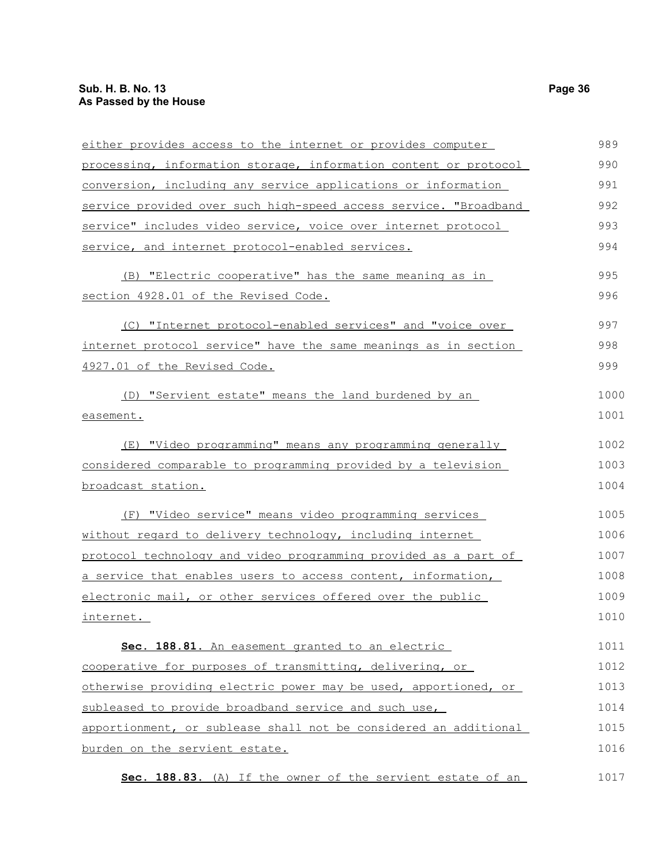| either provides access to the internet or provides computer      | 989  |
|------------------------------------------------------------------|------|
| processing, information storage, information content or protocol | 990  |
| conversion, including any service applications or information    | 991  |
| service provided over such high-speed access service. "Broadband | 992  |
| service" includes video service, voice over internet protocol    | 993  |
| service, and internet protocol-enabled services.                 | 994  |
| (B) "Electric cooperative" has the same meaning as in            | 995  |
| section 4928.01 of the Revised Code.                             | 996  |
| (C) "Internet protocol-enabled services" and "voice over         | 997  |
| internet protocol service" have the same meanings as in section  | 998  |
| 4927.01 of the Revised Code.                                     | 999  |
| (D) "Servient estate" means the land burdened by an              | 1000 |
| easement.                                                        | 1001 |
| (E) "Video programming" means any programming generally          | 1002 |
| considered comparable to programming provided by a television    | 1003 |
| broadcast station.                                               | 1004 |
| (F) "Video service" means video programming services             | 1005 |
| without regard to delivery technology, including internet        | 1006 |
| protocol technology and video programming provided as a part of  | 1007 |
| a service that enables users to access content, information,     | 1008 |
| electronic mail, or other services offered over the public       | 1009 |
| internet.                                                        | 1010 |
| Sec. 188.81. An easement granted to an electric                  | 1011 |
| cooperative for purposes of transmitting, delivering, or         | 1012 |
| otherwise providing electric power may be used, apportioned, or  | 1013 |
| subleased to provide broadband service and such use,             | 1014 |
| apportionment, or sublease shall not be considered an additional | 1015 |
| burden on the servient estate.                                   | 1016 |
| Sec. 188.83. (A) If the owner of the servient estate of an       | 1017 |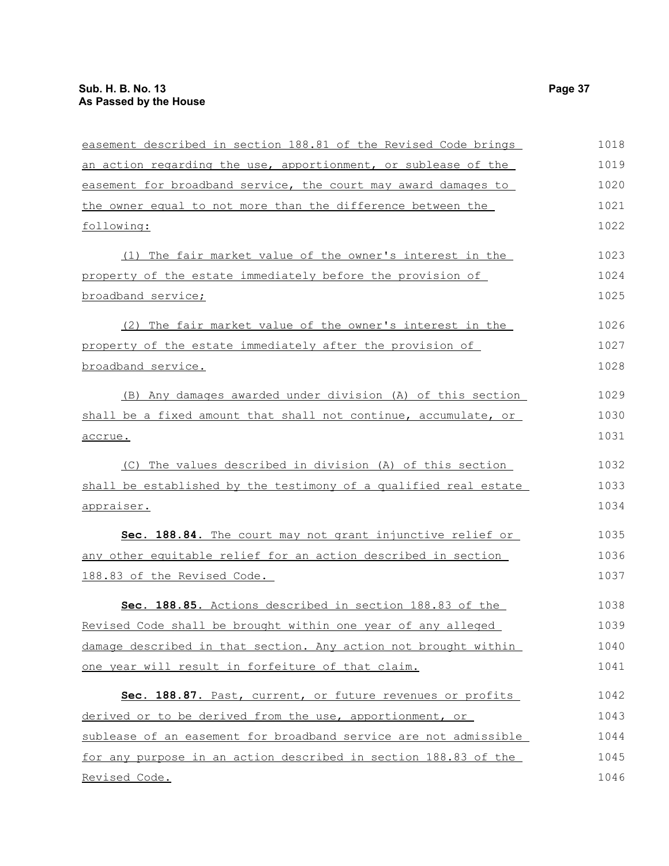| easement described in section 188.81 of the Revised Code brings  | 1018 |
|------------------------------------------------------------------|------|
| an action regarding the use, apportionment, or sublease of the   | 1019 |
| easement for broadband service, the court may award damages to   | 1020 |
| the owner equal to not more than the difference between the      | 1021 |
| following:                                                       | 1022 |
| (1) The fair market value of the owner's interest in the         | 1023 |
| property of the estate immediately before the provision of       | 1024 |
| broadband service;                                               | 1025 |
| (2) The fair market value of the owner's interest in the         | 1026 |
| property of the estate immediately after the provision of        | 1027 |
| broadband service.                                               | 1028 |
| (B) Any damages awarded under division (A) of this section       | 1029 |
| shall be a fixed amount that shall not continue, accumulate, or  | 1030 |
| accrue.                                                          | 1031 |
| (C) The values described in division (A) of this section         | 1032 |
| shall be established by the testimony of a qualified real estate | 1033 |
| <u>appraiser.</u>                                                | 1034 |
| Sec. 188.84. The court may not grant injunctive relief or        | 1035 |
| any other equitable relief for an action described in section    | 1036 |
| 188.83 of the Revised Code.                                      | 1037 |
| Sec. 188.85. Actions described in section 188.83 of the          | 1038 |
| Revised Code shall be brought within one year of any alleged     | 1039 |
| damage described in that section. Any action not brought within  | 1040 |
| one year will result in forfeiture of that claim.                | 1041 |
| Sec. 188.87. Past, current, or future revenues or profits        | 1042 |
| derived or to be derived from the use, apportionment, or         | 1043 |
| sublease of an easement for broadband service are not admissible | 1044 |
| for any purpose in an action described in section 188.83 of the  | 1045 |
| Revised Code.                                                    | 1046 |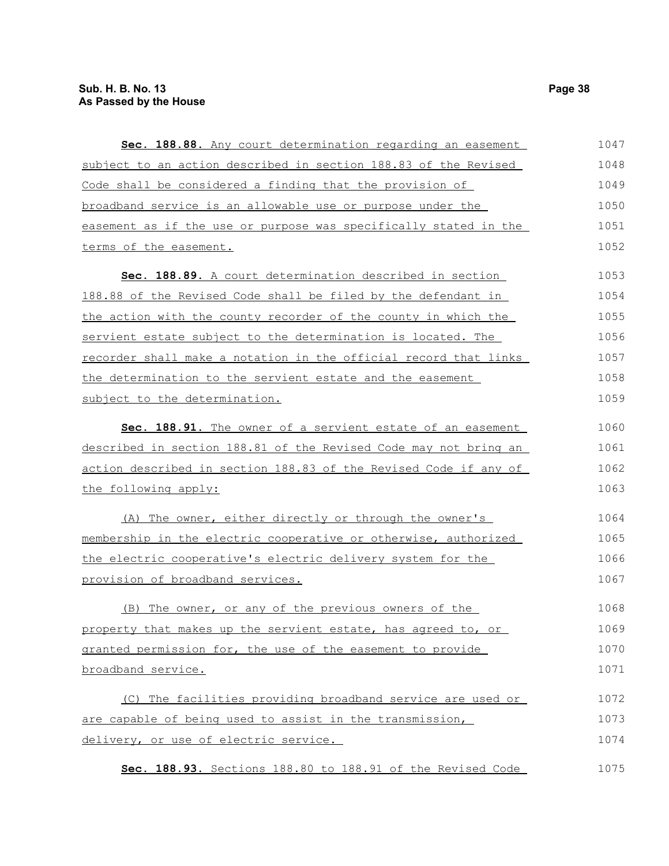| Sec. 188.88. Any court determination regarding an easement       | 1047 |
|------------------------------------------------------------------|------|
| subject to an action described in section 188.83 of the Revised  | 1048 |
| Code shall be considered a finding that the provision of         | 1049 |
| broadband service is an allowable use or purpose under the       | 1050 |
| easement as if the use or purpose was specifically stated in the | 1051 |
| terms of the easement.                                           | 1052 |
| Sec. 188.89. A court determination described in section          | 1053 |
| 188.88 of the Revised Code shall be filed by the defendant in    | 1054 |
| the action with the county recorder of the county in which the   | 1055 |
| servient estate subject to the determination is located. The     | 1056 |
| recorder shall make a notation in the official record that links | 1057 |
| the determination to the servient estate and the easement        | 1058 |
| subject to the determination.                                    | 1059 |
| Sec. 188.91. The owner of a servient estate of an easement       | 1060 |
| described in section 188.81 of the Revised Code may not bring an | 1061 |
| action described in section 188.83 of the Revised Code if any of | 1062 |
| the following apply:                                             | 1063 |
| The owner, either directly or through the owner's<br>(A)         | 1064 |
| membership in the electric cooperative or otherwise, authorized  | 1065 |
| the electric cooperative's electric delivery system for the      | 1066 |
| provision of broadband services.                                 | 1067 |
| (B) The owner, or any of the previous owners of the              | 1068 |
| property that makes up the servient estate, has agreed to, or    | 1069 |
| granted permission for, the use of the easement to provide       | 1070 |
| broadband service.                                               | 1071 |
| (C) The facilities providing broadband service are used or       | 1072 |
| are capable of being used to assist in the transmission,         | 1073 |
| delivery, or use of electric service.                            | 1074 |
| Sec. 188.93. Sections 188.80 to 188.91 of the Revised Code       | 1075 |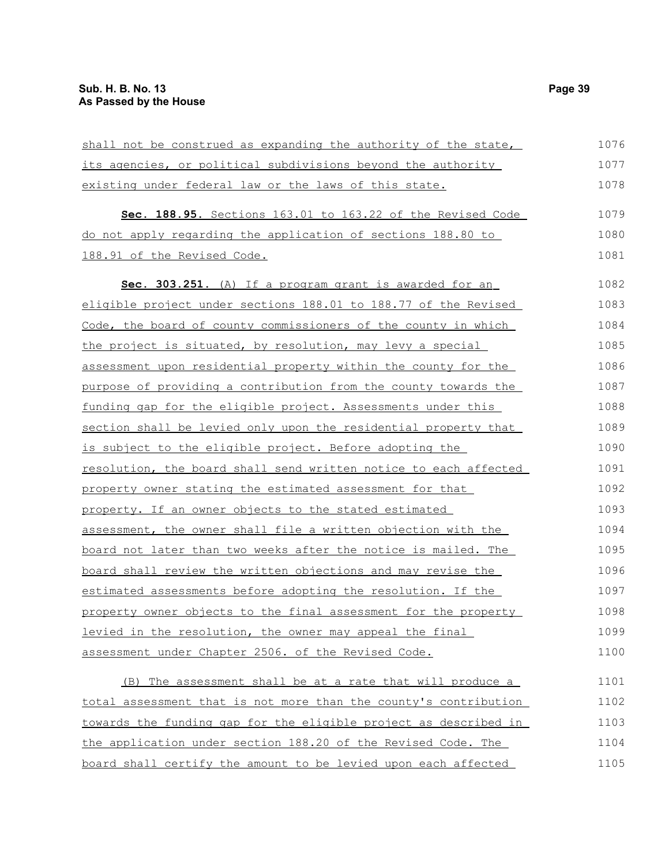| shall not be construed as expanding the authority of the state,  | 1076 |
|------------------------------------------------------------------|------|
| its agencies, or political subdivisions beyond the authority     | 1077 |
| existing under federal law or the laws of this state.            | 1078 |
| Sec. 188.95. Sections 163.01 to 163.22 of the Revised Code       | 1079 |
| do not apply regarding the application of sections 188.80 to     | 1080 |
| 188.91 of the Revised Code.                                      | 1081 |
| Sec. 303.251. (A) If a program grant is awarded for an           | 1082 |
| eligible project under sections 188.01 to 188.77 of the Revised  | 1083 |
| Code, the board of county commissioners of the county in which   | 1084 |
| the project is situated, by resolution, may levy a special       | 1085 |
| assessment upon residential property within the county for the   | 1086 |
| purpose of providing a contribution from the county towards the  | 1087 |
| funding gap for the eligible project. Assessments under this     | 1088 |
| section shall be levied only upon the residential property that  | 1089 |
| is subject to the eligible project. Before adopting the          | 1090 |
| resolution, the board shall send written notice to each affected | 1091 |
| property owner stating the estimated assessment for that         | 1092 |
| property. If an owner objects to the stated estimated            | 1093 |
| assessment, the owner shall file a written objection with the    | 1094 |
| board not later than two weeks after the notice is mailed. The   | 1095 |
| board shall review the written objections and may revise the     | 1096 |
| estimated assessments before adopting the resolution. If the     | 1097 |
| property owner objects to the final assessment for the property  | 1098 |
| levied in the resolution, the owner may appeal the final         | 1099 |
| assessment under Chapter 2506. of the Revised Code.              | 1100 |
| (B) The assessment shall be at a rate that will produce a        | 1101 |
| total assessment that is not more than the county's contribution | 1102 |
| towards the funding gap for the eligible project as described in | 1103 |
| the application under section 188.20 of the Revised Code. The    | 1104 |

board shall certify the amount to be levied upon each affected 1105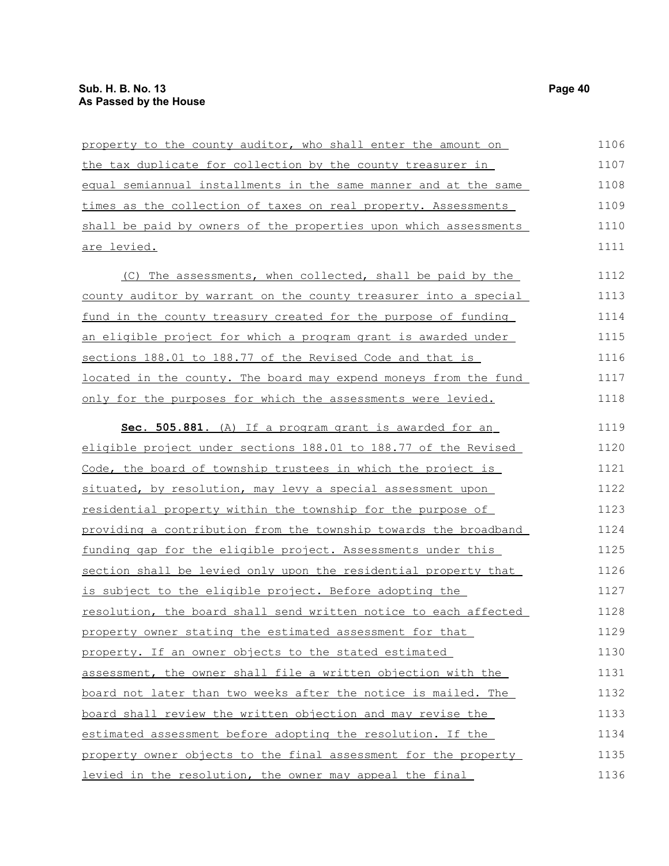| property to the county auditor, who shall enter the amount on    | 1106 |
|------------------------------------------------------------------|------|
| the tax duplicate for collection by the county treasurer in      | 1107 |
| equal semiannual installments in the same manner and at the same | 1108 |
| times as the collection of taxes on real property. Assessments   | 1109 |
| shall be paid by owners of the properties upon which assessments | 1110 |
| are levied.                                                      | 1111 |
| (C) The assessments, when collected, shall be paid by the        | 1112 |
| county auditor by warrant on the county treasurer into a special | 1113 |
| fund in the county treasury created for the purpose of funding   | 1114 |
| an eligible project for which a program grant is awarded under   | 1115 |
| sections 188.01 to 188.77 of the Revised Code and that is        | 1116 |
| located in the county. The board may expend moneys from the fund | 1117 |
| only for the purposes for which the assessments were levied.     | 1118 |
| Sec. 505.881. (A) If a program grant is awarded for an           | 1119 |
| eligible project under sections 188.01 to 188.77 of the Revised  | 1120 |
| Code, the board of township trustees in which the project is     | 1121 |
| situated, by resolution, may levy a special assessment upon      | 1122 |
| residential property within the township for the purpose of      | 1123 |
| providing a contribution from the township towards the broadband | 1124 |
| funding gap for the eligible project. Assessments under this     | 1125 |
| section shall be levied only upon the residential property that  | 1126 |
| is subject to the eligible project. Before adopting the          | 1127 |
| resolution, the board shall send written notice to each affected | 1128 |
| property owner stating the estimated assessment for that         | 1129 |
| property. If an owner objects to the stated estimated            | 1130 |
| assessment, the owner shall file a written objection with the    | 1131 |
| board not later than two weeks after the notice is mailed. The   | 1132 |
| board shall review the written objection and may revise the      | 1133 |
| estimated assessment before adopting the resolution. If the      | 1134 |
| property owner objects to the final assessment for the property  | 1135 |
| levied in the resolution, the owner may appeal the final         | 1136 |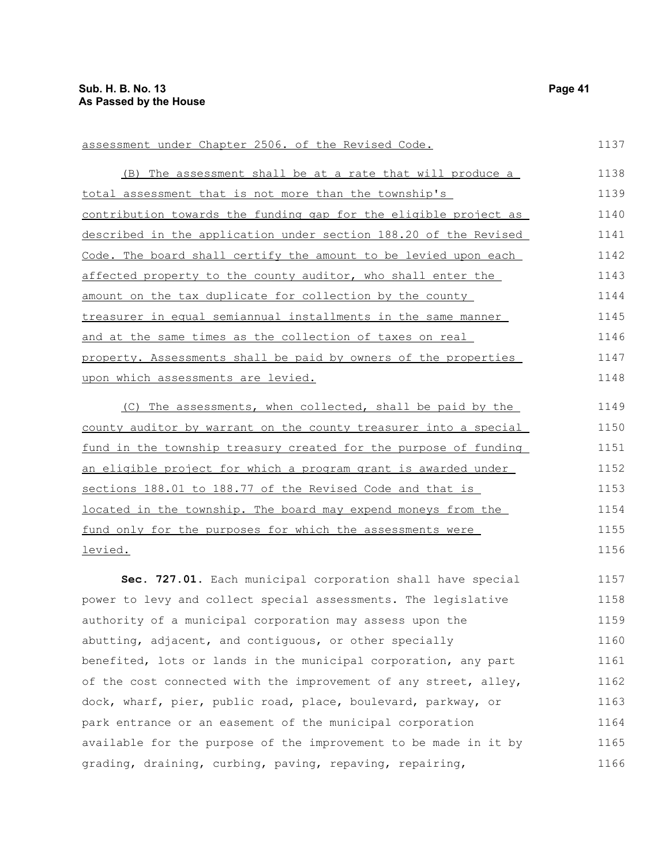(B) The assessment shall be at a rate that will produce a total assessment that is not more than the township's contribution towards the funding gap for the eligible project as described in the application under section 188.20 of the Revised Code. The board shall certify the amount to be levied upon each affected property to the county auditor, who shall enter the amount on the tax duplicate for collection by the county treasure<u>r in equal semiannual installments in the same manner</u> and at the same times as the collection of taxes on real property. Assessments shall be paid by owners of the properties upon which assessments are levied. (C) The assessments, when collected, shall be paid by the 1138 1139 1140 1141 1142 1143 1144 1145 1146 1147 1148 1149

assessment under Chapter 2506. of the Revised Code.

county auditor by warrant on the county treasurer into a special fund in the township treasury created for the purpose of funding an eligible project for which a program grant is awarded under sections 188.01 to 188.77 of the Revised Code and that is located in the township. The board may expend moneys from the fund only for the purposes for which the assessments were levied. 1150 1151 1152 1153 1154 1155 1156

**Sec. 727.01.** Each municipal corporation shall have special power to levy and collect special assessments. The legislative authority of a municipal corporation may assess upon the abutting, adjacent, and contiguous, or other specially benefited, lots or lands in the municipal corporation, any part of the cost connected with the improvement of any street, alley, dock, wharf, pier, public road, place, boulevard, parkway, or park entrance or an easement of the municipal corporation available for the purpose of the improvement to be made in it by grading, draining, curbing, paving, repaving, repairing, 1157 1158 1159 1160 1161 1162 1163 1164 1165 1166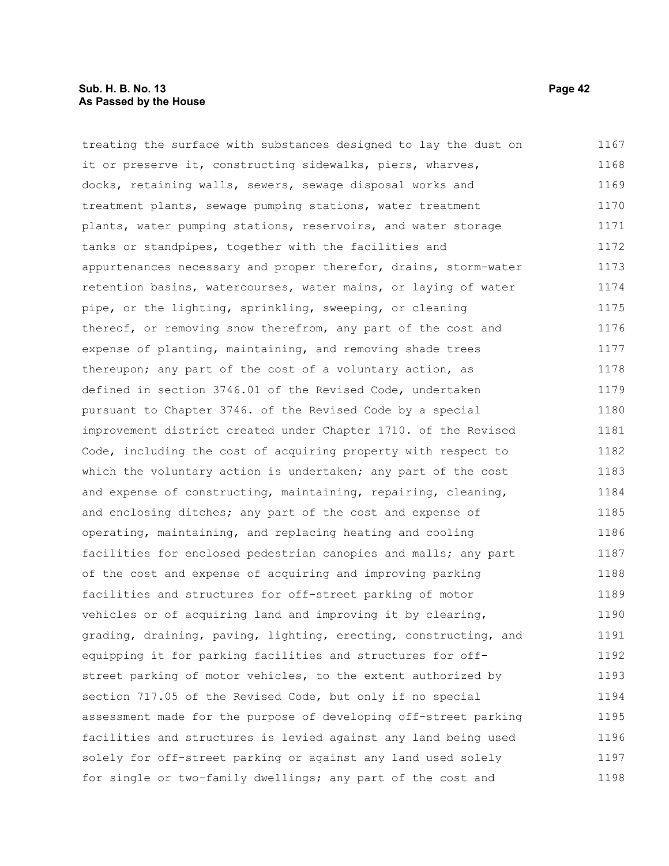#### **Sub. H. B. No. 13 Page 42 As Passed by the House**

treating the surface with substances designed to lay the dust on it or preserve it, constructing sidewalks, piers, wharves, docks, retaining walls, sewers, sewage disposal works and treatment plants, sewage pumping stations, water treatment plants, water pumping stations, reservoirs, and water storage tanks or standpipes, together with the facilities and appurtenances necessary and proper therefor, drains, storm-water retention basins, watercourses, water mains, or laying of water pipe, or the lighting, sprinkling, sweeping, or cleaning thereof, or removing snow therefrom, any part of the cost and expense of planting, maintaining, and removing shade trees thereupon; any part of the cost of a voluntary action, as defined in section 3746.01 of the Revised Code, undertaken pursuant to Chapter 3746. of the Revised Code by a special improvement district created under Chapter 1710. of the Revised Code, including the cost of acquiring property with respect to which the voluntary action is undertaken; any part of the cost and expense of constructing, maintaining, repairing, cleaning, and enclosing ditches; any part of the cost and expense of operating, maintaining, and replacing heating and cooling facilities for enclosed pedestrian canopies and malls; any part of the cost and expense of acquiring and improving parking facilities and structures for off-street parking of motor vehicles or of acquiring land and improving it by clearing, grading, draining, paving, lighting, erecting, constructing, and equipping it for parking facilities and structures for offstreet parking of motor vehicles, to the extent authorized by section 717.05 of the Revised Code, but only if no special assessment made for the purpose of developing off-street parking facilities and structures is levied against any land being used solely for off-street parking or against any land used solely for single or two-family dwellings; any part of the cost and 1167 1168 1169 1170 1171 1172 1173 1174 1175 1176 1177 1178 1179 1180 1181 1182 1183 1184 1185 1186 1187 1188 1189 1190 1191 1192 1193 1194 1195 1196 1197 1198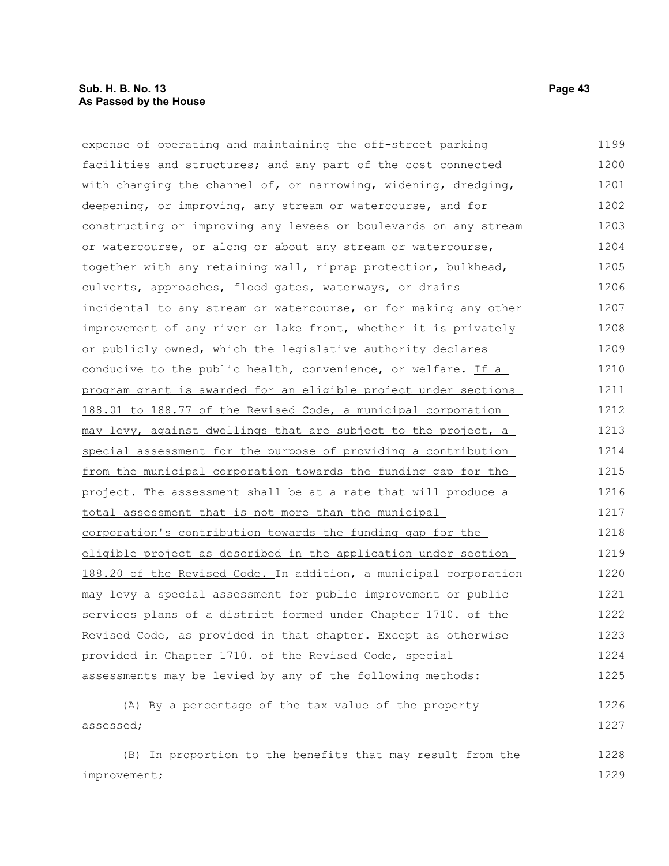#### **Sub. H. B. No. 13 Page 43 As Passed by the House**

improvement;

expense of operating and maintaining the off-street parking facilities and structures; and any part of the cost connected with changing the channel of, or narrowing, widening, dredging, deepening, or improving, any stream or watercourse, and for constructing or improving any levees or boulevards on any stream or watercourse, or along or about any stream or watercourse, together with any retaining wall, riprap protection, bulkhead, culverts, approaches, flood gates, waterways, or drains incidental to any stream or watercourse, or for making any other improvement of any river or lake front, whether it is privately or publicly owned, which the legislative authority declares conducive to the public health, convenience, or welfare. If a program grant is awarded for an eligible project under sections 188.01 to 188.77 of the Revised Code, a municipal corporation may levy, against dwellings that are subject to the project, a special assessment for the purpose of providing a contribution from the municipal corporation towards the funding gap for the project. The assessment shall be at a rate that will produce a total assessment that is not more than the municipal corporation's contribution towards the funding gap for the eligible project as described in the application under section 188.20 of the Revised Code. In addition, a municipal corporation may levy a special assessment for public improvement or public services plans of a district formed under Chapter 1710. of the Revised Code, as provided in that chapter. Except as otherwise provided in Chapter 1710. of the Revised Code, special assessments may be levied by any of the following methods: (A) By a percentage of the tax value of the property assessed; (B) In proportion to the benefits that may result from the 1199 1200 1201 1202 1203 1204 1205 1206 1207 1208 1209 1210 1211 1212 1213 1214 1215 1216 1217 1218 1219 1220 1221 1222 1223 1224 1225 1226 1227 1228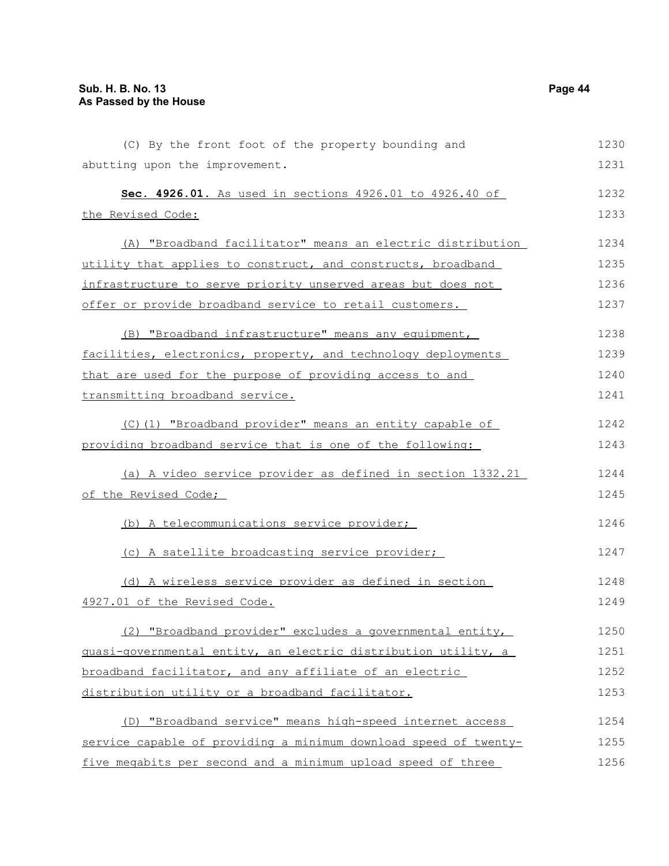| (C) By the front foot of the property bounding and               | 1230 |
|------------------------------------------------------------------|------|
| abutting upon the improvement.                                   | 1231 |
| Sec. 4926.01. As used in sections 4926.01 to 4926.40 of          | 1232 |
| the Revised Code:                                                | 1233 |
| (A) "Broadband facilitator" means an electric distribution       | 1234 |
| utility that applies to construct, and constructs, broadband     | 1235 |
| infrastructure to serve priority unserved areas but does not     | 1236 |
| offer or provide broadband service to retail customers.          | 1237 |
| (B) "Broadband infrastructure" means any equipment,              | 1238 |
| facilities, electronics, property, and technology deployments    | 1239 |
| that are used for the purpose of providing access to and         | 1240 |
| transmitting broadband service.                                  | 1241 |
| (C)(1) "Broadband provider" means an entity capable of           | 1242 |
| providing broadband service that is one of the following:        | 1243 |
| (a) A video service provider as defined in section 1332.21       | 1244 |
| of the Revised Code;                                             | 1245 |
| (b) A telecommunications service provider;                       | 1246 |
| (c) A satellite broadcasting service provider;                   | 1247 |
| (d) A wireless service provider as defined in section            | 1248 |
| 4927.01 of the Revised Code.                                     | 1249 |
| (2) "Broadband provider" excludes a governmental entity,         | 1250 |
| quasi-qovernmental entity, an electric distribution utility, a   | 1251 |
| broadband facilitator, and any affiliate of an electric          | 1252 |
| distribution utility or a broadband facilitator.                 | 1253 |
| (D) "Broadband service" means high-speed internet access         | 1254 |
| service capable of providing a minimum download speed of twenty- | 1255 |
| five megabits per second and a minimum upload speed of three     | 1256 |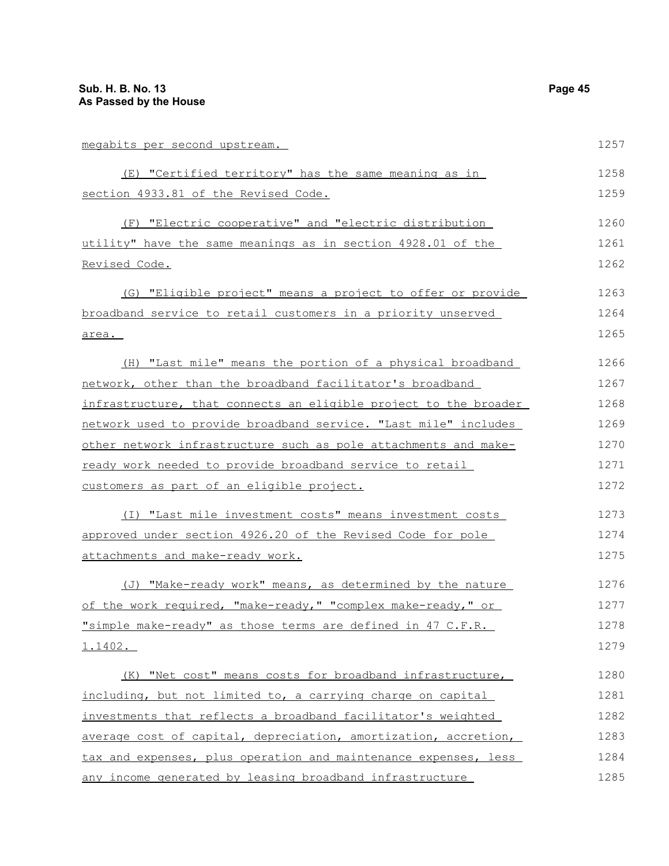| megabits per second upstream.                                          | 1257 |
|------------------------------------------------------------------------|------|
| (E) "Certified territory" has the same meaning as in                   | 1258 |
| section 4933.81 of the Revised Code.                                   | 1259 |
| (F) "Electric cooperative" and "electric distribution                  | 1260 |
| utility" have the same meanings as in section 4928.01 of the           | 1261 |
| <u>Revised Code.</u>                                                   | 1262 |
| (G) "Eligible project" means a project to offer or provide             | 1263 |
| broadband service to retail customers in a priority unserved           | 1264 |
| area.                                                                  | 1265 |
| (H) "Last mile" means the portion of a physical broadband              | 1266 |
| network, other than the broadband facilitator's broadband              | 1267 |
| infrastructure, that connects an eligible project to the broader       | 1268 |
| network used to provide broadband service. "Last mile" includes        | 1269 |
| <u>other network infrastructure such as pole attachments and make-</u> | 1270 |
| ready work needed to provide broadband service to retail               | 1271 |
| customers as part of an eligible project.                              | 1272 |
| (I) "Last mile investment costs" means investment costs                | 1273 |
| approved under section 4926.20 of the Revised Code for pole            | 1274 |
| attachments and make-ready work.                                       | 1275 |
| (J) "Make-ready work" means, as determined by the nature               | 1276 |
| of the work required, "make-ready," "complex make-ready," or           | 1277 |
| "simple make-ready" as those terms are defined in 47 C.F.R.            | 1278 |
| <u>1.1402.</u>                                                         | 1279 |
| (K) "Net cost" means costs for broadband infrastructure,               | 1280 |
| including, but not limited to, a carrying charge on capital            | 1281 |
| investments that reflects a broadband facilitator's weighted           | 1282 |
| average cost of capital, depreciation, amortization, accretion,        | 1283 |
| tax and expenses, plus operation and maintenance expenses, less        | 1284 |
| any income generated by leasing broadband infrastructure               | 1285 |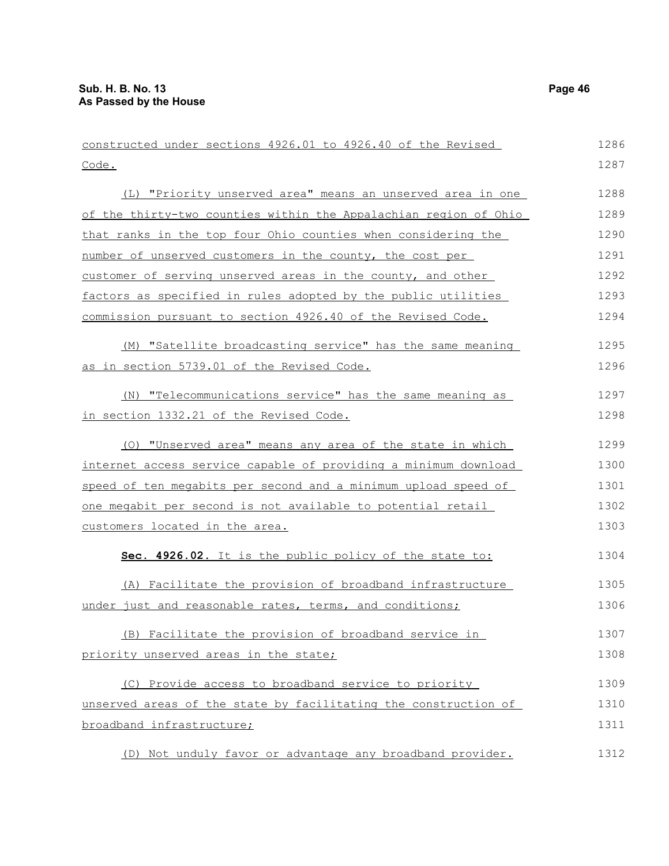| constructed under sections 4926.01 to 4926.40 of the Revised     | 1286 |
|------------------------------------------------------------------|------|
| Code.                                                            | 1287 |
| (L) "Priority unserved area" means an unserved area in one       | 1288 |
| of the thirty-two counties within the Appalachian region of Ohio | 1289 |
| that ranks in the top four Ohio counties when considering the    | 1290 |
| number of unserved customers in the county, the cost per         | 1291 |
| customer of serving unserved areas in the county, and other      | 1292 |
| factors as specified in rules adopted by the public utilities    | 1293 |
| commission pursuant to section 4926.40 of the Revised Code.      | 1294 |
| (M) "Satellite broadcasting service" has the same meaning        | 1295 |
| as in section 5739.01 of the Revised Code.                       | 1296 |
| (N) "Telecommunications service" has the same meaning as         | 1297 |
| in section 1332.21 of the Revised Code.                          | 1298 |
| (0) "Unserved area" means any area of the state in which         | 1299 |
| internet access service capable of providing a minimum download  | 1300 |
| speed of ten megabits per second and a minimum upload speed of   | 1301 |
| one megabit per second is not available to potential retail      | 1302 |
| customers located in the area.                                   | 1303 |
| Sec. 4926.02. It is the public policy of the state to:           | 1304 |
| (A) Facilitate the provision of broadband infrastructure         | 1305 |
| under just and reasonable rates, terms, and conditions;          | 1306 |
| (B) Facilitate the provision of broadband service in             | 1307 |
| priority unserved areas in the state;                            | 1308 |
| (C) Provide access to broadband service to priority              | 1309 |
| unserved areas of the state by facilitating the construction of  | 1310 |
| broadband infrastructure;                                        | 1311 |
| (D) Not unduly favor or advantage any broadband provider.        | 1312 |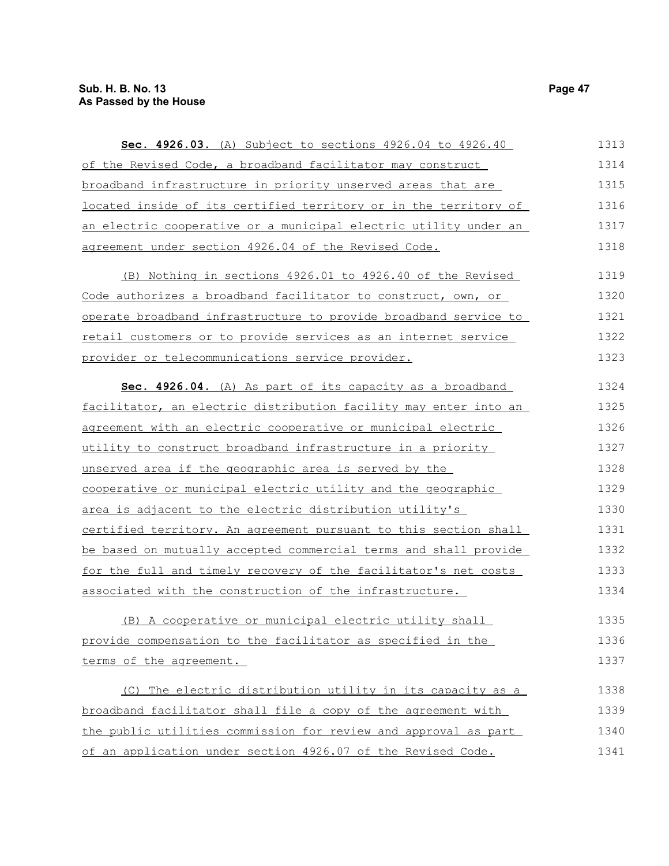| Sec. 4926.03. (A) Subject to sections 4926.04 to 4926.40           | 1313 |
|--------------------------------------------------------------------|------|
| of the Revised Code, a broadband facilitator may construct         | 1314 |
| broadband infrastructure in priority unserved areas that are       | 1315 |
| located inside of its certified territory or in the territory of   | 1316 |
| an electric cooperative or a municipal electric utility under an   | 1317 |
| agreement under section 4926.04 of the Revised Code.               | 1318 |
| (B) Nothing in sections 4926.01 to 4926.40 of the Revised          | 1319 |
| Code authorizes a broadband facilitator to construct, own, or      | 1320 |
| operate broadband infrastructure to provide broadband service to   | 1321 |
| retail customers or to provide services as an internet service     | 1322 |
| provider or telecommunications service provider.                   | 1323 |
| Sec. 4926.04. (A) As part of its capacity as a broadband           | 1324 |
| facilitator, an electric distribution facility may enter into an   | 1325 |
| agreement with an electric cooperative or municipal electric       | 1326 |
| <u>utility to construct broadband infrastructure in a priority</u> | 1327 |
| unserved area if the geographic area is served by the              | 1328 |
| cooperative or municipal electric utility and the geographic       | 1329 |
| area is adjacent to the electric distribution utility's            | 1330 |
| certified territory. An agreement pursuant to this section shall   | 1331 |
| be based on mutually accepted commercial terms and shall provide   | 1332 |
| for the full and timely recovery of the facilitator's net costs    | 1333 |
| associated with the construction of the infrastructure.            | 1334 |
| (B) A cooperative or municipal electric utility shall              | 1335 |
| provide compensation to the facilitator as specified in the        | 1336 |
| terms of the agreement.                                            | 1337 |
| The electric distribution utility in its capacity as a<br>(C)      | 1338 |
| broadband facilitator shall file a copy of the agreement with      | 1339 |
| the public utilities commission for review and approval as part    | 1340 |
| of an application under section 4926.07 of the Revised Code.       | 1341 |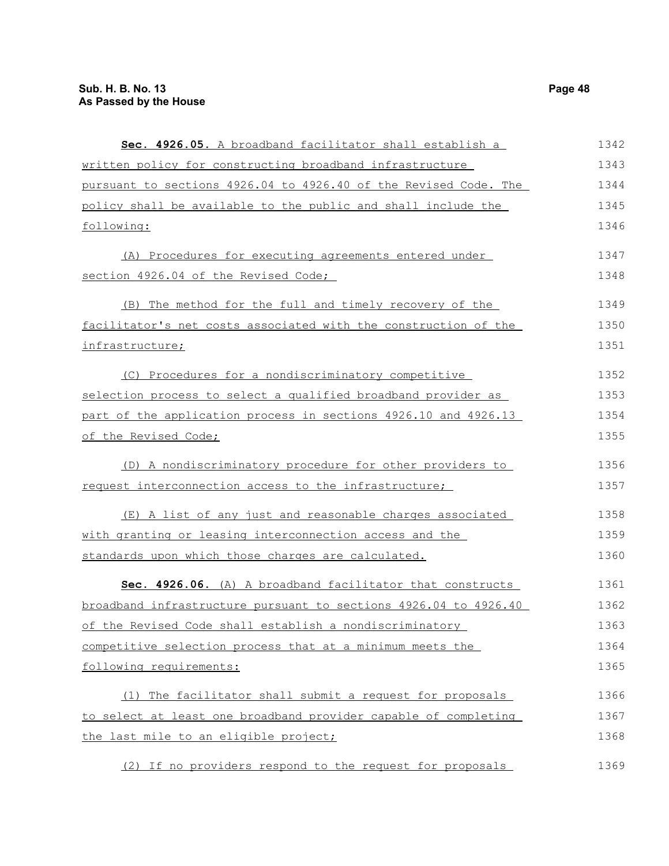| Sec. 4926.05. A broadband facilitator shall establish a          | 1342 |
|------------------------------------------------------------------|------|
| written policy for constructing broadband infrastructure         | 1343 |
| pursuant to sections 4926.04 to 4926.40 of the Revised Code. The | 1344 |
| policy shall be available to the public and shall include the    | 1345 |
| following:                                                       | 1346 |
| (A) Procedures for executing agreements entered under            | 1347 |
| section 4926.04 of the Revised Code;                             | 1348 |
| (B) The method for the full and timely recovery of the           | 1349 |
| facilitator's net costs associated with the construction of the  | 1350 |
| infrastructure;                                                  | 1351 |
| (C) Procedures for a nondiscriminatory competitive               | 1352 |
| selection process to select a qualified broadband provider as    | 1353 |
| part of the application process in sections 4926.10 and 4926.13  | 1354 |
| of the Revised Code;                                             | 1355 |
| (D) A nondiscriminatory procedure for other providers to         | 1356 |
| request interconnection access to the infrastructure;            | 1357 |
| (E) A list of any just and reasonable charges associated         | 1358 |
| with granting or leasing interconnection access and the          | 1359 |
| standards upon which those charges are calculated.               | 1360 |
| Sec. 4926.06. (A) A broadband facilitator that constructs        | 1361 |
| broadband infrastructure pursuant to sections 4926.04 to 4926.40 | 1362 |
| of the Revised Code shall establish a nondiscriminatory          | 1363 |
| competitive selection process that at a minimum meets the        | 1364 |
| following requirements:                                          | 1365 |
| (1) The facilitator shall submit a request for proposals         | 1366 |
| to select at least one broadband provider capable of completing  | 1367 |
| the last mile to an eligible project;                            | 1368 |
| (2) If no providers respond to the request for proposals         | 1369 |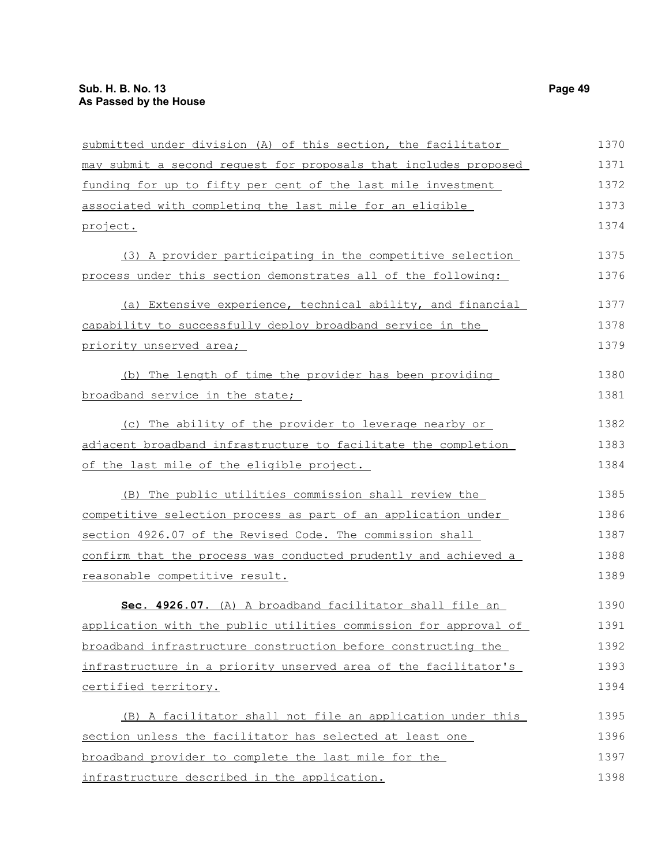| submitted under division (A) of this section, the facilitator    | 1370 |
|------------------------------------------------------------------|------|
| may submit a second request for proposals that includes proposed | 1371 |
| funding for up to fifty per cent of the last mile investment     | 1372 |
| associated with completing the last mile for an eligible         | 1373 |
| project.                                                         | 1374 |
| (3) A provider participating in the competitive selection        | 1375 |
| process under this section demonstrates all of the following:    | 1376 |
| (a) Extensive experience, technical ability, and financial       | 1377 |
| capability to successfully deploy broadband service in the       | 1378 |
| priority unserved area;                                          | 1379 |
| (b) The length of time the provider has been providing           | 1380 |
| broadband service in the state;                                  | 1381 |
| (c) The ability of the provider to leverage nearby or            | 1382 |
| adjacent broadband infrastructure to facilitate the completion   | 1383 |
| of the last mile of the eligible project.                        | 1384 |
| (B) The public utilities commission shall review the             | 1385 |
| competitive selection process as part of an application under    | 1386 |
| section 4926.07 of the Revised Code. The commission shall        | 1387 |
| confirm that the process was conducted prudently and achieved a  | 1388 |
| reasonable competitive result.                                   | 1389 |
| Sec. 4926.07. (A) A broadband facilitator shall file an          | 1390 |
| application with the public utilities commission for approval of | 1391 |
| broadband infrastructure construction before constructing the    | 1392 |
| infrastructure in a priority unserved area of the facilitator's  | 1393 |
| certified territory.                                             | 1394 |
| (B) A facilitator shall not file an application under this       | 1395 |
| section unless the facilitator has selected at least one         | 1396 |
| broadband provider to complete the last mile for the             | 1397 |
| infrastructure described in the application.                     | 1398 |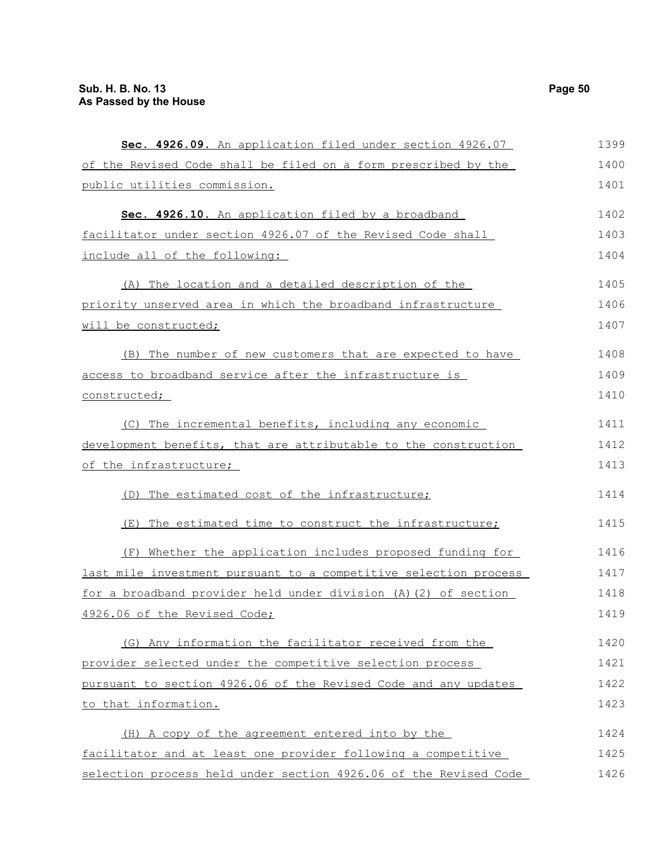| Sec. 4926.09. An application filed under section 4926.07         | 1399 |
|------------------------------------------------------------------|------|
| of the Revised Code shall be filed on a form prescribed by the   | 1400 |
| public utilities commission.                                     | 1401 |
| Sec. 4926.10. An application filed by a broadband                | 1402 |
| facilitator under section 4926.07 of the Revised Code shall      | 1403 |
| include all of the following:                                    | 1404 |
| (A) The location and a detailed description of the               | 1405 |
| priority unserved area in which the broadband infrastructure     | 1406 |
| will be constructed;                                             | 1407 |
| (B) The number of new customers that are expected to have        | 1408 |
| access to broadband service after the infrastructure is          | 1409 |
| constructed;                                                     | 1410 |
| (C) The incremental benefits, including any economic             | 1411 |
| development benefits, that are attributable to the construction  | 1412 |
| of the infrastructure;                                           | 1413 |
| (D) The estimated cost of the infrastructure;                    | 1414 |
| The estimated time to construct the infrastructure;<br>(E)       | 1415 |
| (F) Whether the application includes proposed funding for        | 1416 |
| last mile investment pursuant to a competitive selection process | 1417 |
| for a broadband provider held under division (A) (2) of section  | 1418 |
| 4926.06 of the Revised Code;                                     | 1419 |
| (G) Any information the facilitator received from the            | 1420 |
| provider selected under the competitive selection process        | 1421 |
| pursuant to section 4926.06 of the Revised Code and any updates  | 1422 |
| to that information.                                             | 1423 |
| (H) A copy of the agreement entered into by the                  | 1424 |
| facilitator and at least one provider following a competitive    | 1425 |
| selection process held under section 4926.06 of the Revised Code | 1426 |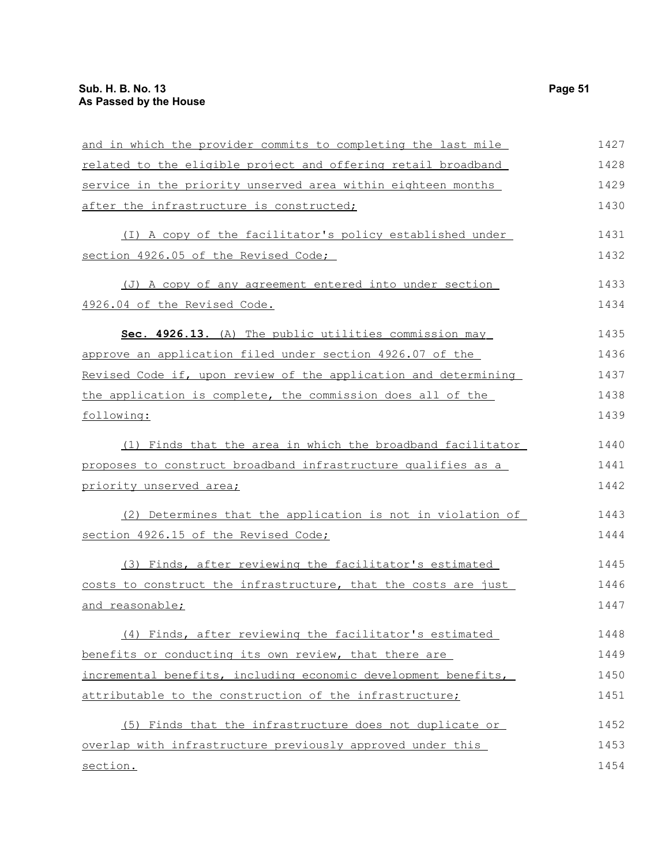| and in which the provider commits to completing the last mile   | 1427 |
|-----------------------------------------------------------------|------|
| related to the eligible project and offering retail broadband   | 1428 |
| service in the priority unserved area within eighteen months    | 1429 |
| after the infrastructure is constructed;                        | 1430 |
| (I) A copy of the facilitator's policy established under        | 1431 |
| section 4926.05 of the Revised Code;                            | 1432 |
| (J) A copy of any agreement entered into under section          | 1433 |
| 4926.04 of the Revised Code.                                    | 1434 |
| Sec. 4926.13. (A) The public utilities commission may           | 1435 |
| approve an application filed under section 4926.07 of the       | 1436 |
| Revised Code if, upon review of the application and determining | 1437 |
| the application is complete, the commission does all of the     | 1438 |
| following:                                                      | 1439 |
| (1) Finds that the area in which the broadband facilitator      | 1440 |
| proposes to construct broadband infrastructure qualifies as a   | 1441 |
| priority unserved area;                                         | 1442 |
| (2) Determines that the application is not in violation of      | 1443 |
| section 4926.15 of the Revised Code;                            | 1444 |
| (3) Finds, after reviewing the facilitator's estimated          | 1445 |
| costs to construct the infrastructure, that the costs are just  | 1446 |
| and reasonable;                                                 | 1447 |
| (4) Finds, after reviewing the facilitator's estimated          | 1448 |
| benefits or conducting its own review, that there are           | 1449 |
| incremental benefits, including economic development benefits,  | 1450 |
| attributable to the construction of the infrastructure;         | 1451 |
| (5) Finds that the infrastructure does not duplicate or         | 1452 |
| overlap with infrastructure previously approved under this      | 1453 |
| section.                                                        | 1454 |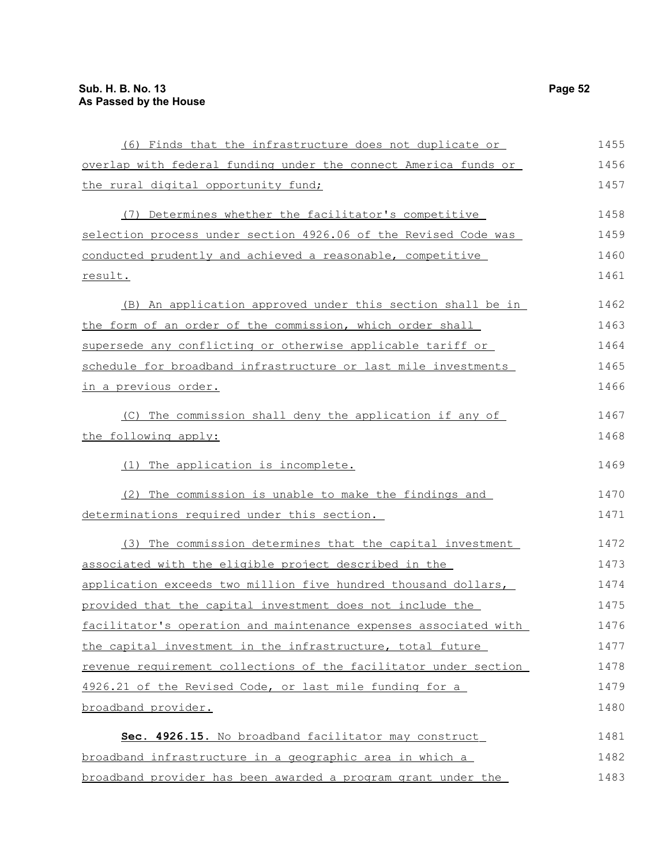| (6) Finds that the infrastructure does not duplicate or          | 1455 |
|------------------------------------------------------------------|------|
| overlap with federal funding under the connect America funds or  | 1456 |
| the rural digital opportunity fund;                              | 1457 |
| (7) Determines whether the facilitator's competitive             | 1458 |
| selection process under section 4926.06 of the Revised Code was  | 1459 |
| conducted prudently and achieved a reasonable, competitive       | 1460 |
| result.                                                          | 1461 |
| (B) An application approved under this section shall be in       | 1462 |
| the form of an order of the commission, which order shall        | 1463 |
| supersede any conflicting or otherwise applicable tariff or      | 1464 |
| schedule for broadband infrastructure or last mile investments   | 1465 |
| in a previous order.                                             | 1466 |
| (C) The commission shall deny the application if any of          | 1467 |
| the following apply:                                             | 1468 |
| The application is incomplete.<br>(1)                            | 1469 |
| (2) The commission is unable to make the findings and            | 1470 |
| determinations required under this section.                      | 1471 |
| (3) The commission determines that the capital investment        | 1472 |
| associated with the eligible project described in the            | 1473 |
| application exceeds two million five hundred thousand dollars,   | 1474 |
| provided that the capital investment does not include the        | 1475 |
| facilitator's operation and maintenance expenses associated with | 1476 |
| the capital investment in the infrastructure, total future       | 1477 |
| revenue requirement collections of the facilitator under section | 1478 |
| 4926.21 of the Revised Code, or last mile funding for a          | 1479 |
| broadband provider.                                              | 1480 |
| Sec. 4926.15. No broadband facilitator may construct             | 1481 |
| broadband infrastructure in a geographic area in which a         | 1482 |
| broadband provider has been awarded a program grant under the    | 1483 |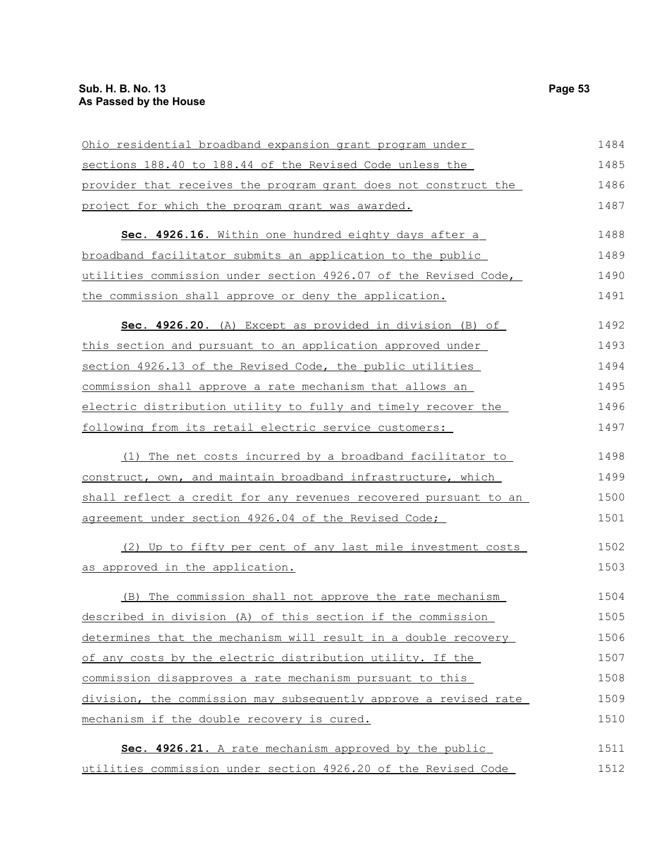| Ohio residential broadband expansion grant program under         | 1484 |
|------------------------------------------------------------------|------|
| sections 188.40 to 188.44 of the Revised Code unless the         | 1485 |
| provider that receives the program grant does not construct the  | 1486 |
| project for which the program grant was awarded.                 | 1487 |
| Sec. 4926.16. Within one hundred eighty days after a             | 1488 |
| broadband facilitator submits an application to the public       | 1489 |
| utilities commission under section 4926.07 of the Revised Code,  | 1490 |
| the commission shall approve or deny the application.            | 1491 |
| Sec. 4926.20. (A) Except as provided in division (B) of          | 1492 |
| this section and pursuant to an application approved under       | 1493 |
| section 4926.13 of the Revised Code, the public utilities        | 1494 |
| commission shall approve a rate mechanism that allows an         | 1495 |
| electric distribution utility to fully and timely recover the    | 1496 |
| following from its retail electric service customers:            | 1497 |
| (1) The net costs incurred by a broadband facilitator to         | 1498 |
| construct, own, and maintain broadband infrastructure, which     | 1499 |
| shall reflect a credit for any revenues recovered pursuant to an | 1500 |
| agreement under section 4926.04 of the Revised Code;             | 1501 |
| (2) Up to fifty per cent of any last mile investment costs       | 1502 |
| as approved in the application.                                  | 1503 |
| The commission shall not approve the rate mechanism<br>(B)       | 1504 |
| described in division (A) of this section if the commission      | 1505 |
| determines that the mechanism will result in a double recovery   | 1506 |
| of any costs by the electric distribution utility. If the        | 1507 |
| commission disapproves a rate mechanism pursuant to this         | 1508 |
| division, the commission may subsequently approve a revised rate | 1509 |
| mechanism if the double recovery is cured.                       | 1510 |
| Sec. 4926.21. A rate mechanism approved by the public            | 1511 |
| utilities commission under section 4926.20 of the Revised Code   | 1512 |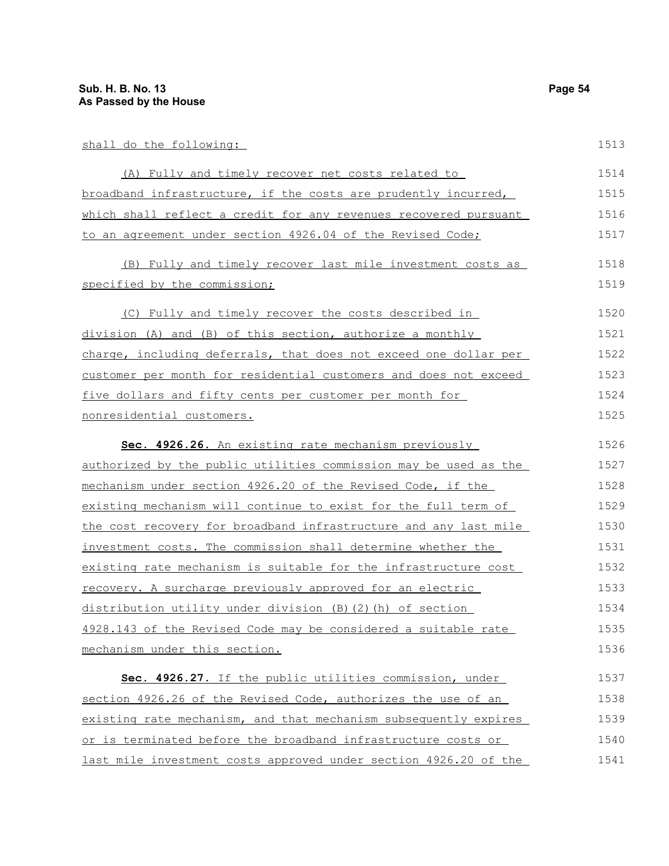| shall do the following:                                          | 1513 |
|------------------------------------------------------------------|------|
| (A) Fully and timely recover net costs related to                | 1514 |
| broadband infrastructure, if the costs are prudently incurred,   | 1515 |
| which shall reflect a credit for any revenues recovered pursuant | 1516 |
| to an agreement under section 4926.04 of the Revised Code;       | 1517 |
| (B) Fully and timely recover last mile investment costs as       | 1518 |
| specified by the commission;                                     | 1519 |
| (C) Fully and timely recover the costs described in              | 1520 |
| division (A) and (B) of this section, authorize a monthly        | 1521 |
| charge, including deferrals, that does not exceed one dollar per | 1522 |
| customer per month for residential customers and does not exceed | 1523 |
| five dollars and fifty cents per customer per month for          | 1524 |
| nonresidential customers.                                        | 1525 |
| Sec. 4926.26. An existing rate mechanism previously              | 1526 |
| authorized by the public utilities commission may be used as the | 1527 |
| mechanism under section 4926.20 of the Revised Code, if the      | 1528 |

existing mechanism will continue to exist for the full term of the cost recovery for broadband infrastructure and any last mile investment costs. The commission shall determine whether the existing rate mechanism is suitable for the infrastructure cost recovery. A surcharge previously approved for an electric distribution utility under division (B)(2)(h) of section 4928.143 of the Revised Code may be considered a suitable rate mechanism under this section. 1529 1530 1531 1532 1533 1534 1535 1536

 **Sec. 4926.27.** If the public utilities commission, under section 4926.26 of the Revised Code, authorizes the use of an existing rate mechanism, and that mechanism subsequently expires or is terminated before the broadband infrastructure costs or last mile investment costs approved under section 4926.20 of the 1537 1538 1539 1540 1541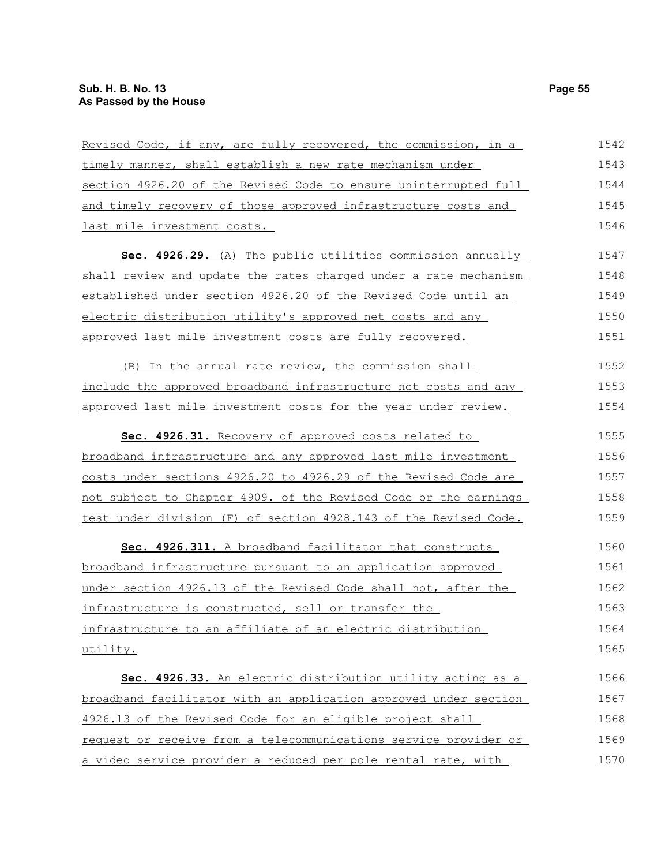| Revised Code, if any, are fully recovered, the commission, in a  | 1542 |
|------------------------------------------------------------------|------|
| timely manner, shall establish a new rate mechanism under        | 1543 |
| section 4926.20 of the Revised Code to ensure uninterrupted full | 1544 |
| and timely recovery of those approved infrastructure costs and   | 1545 |
| last mile investment costs.                                      | 1546 |
| Sec. 4926.29. (A) The public utilities commission annually       | 1547 |
| shall review and update the rates charged under a rate mechanism | 1548 |
| established under section 4926.20 of the Revised Code until an   | 1549 |
| electric distribution utility's approved net costs and any       | 1550 |
| approved last mile investment costs are fully recovered.         | 1551 |
| (B) In the annual rate review, the commission shall              | 1552 |
| include the approved broadband infrastructure net costs and any  | 1553 |
| approved last mile investment costs for the year under review.   | 1554 |
| Sec. 4926.31. Recovery of approved costs related to              | 1555 |
| broadband infrastructure and any approved last mile investment   | 1556 |
| costs under sections 4926.20 to 4926.29 of the Revised Code are  | 1557 |
| not subject to Chapter 4909. of the Revised Code or the earnings | 1558 |
| test under division (F) of section 4928.143 of the Revised Code. | 1559 |
| Sec. 4926.311. A broadband facilitator that constructs           | 1560 |
| broadband infrastructure pursuant to an application approved     | 1561 |
| under section 4926.13 of the Revised Code shall not, after the   | 1562 |
| infrastructure is constructed, sell or transfer the              | 1563 |
| infrastructure to an affiliate of an electric distribution       | 1564 |
| utility.                                                         | 1565 |
| Sec. 4926.33. An electric distribution utility acting as a       | 1566 |
| broadband facilitator with an application approved under section | 1567 |
| 4926.13 of the Revised Code for an eligible project shall        | 1568 |
| request or receive from a telecommunications service provider or | 1569 |
| a video service provider a reduced per pole rental rate, with    | 1570 |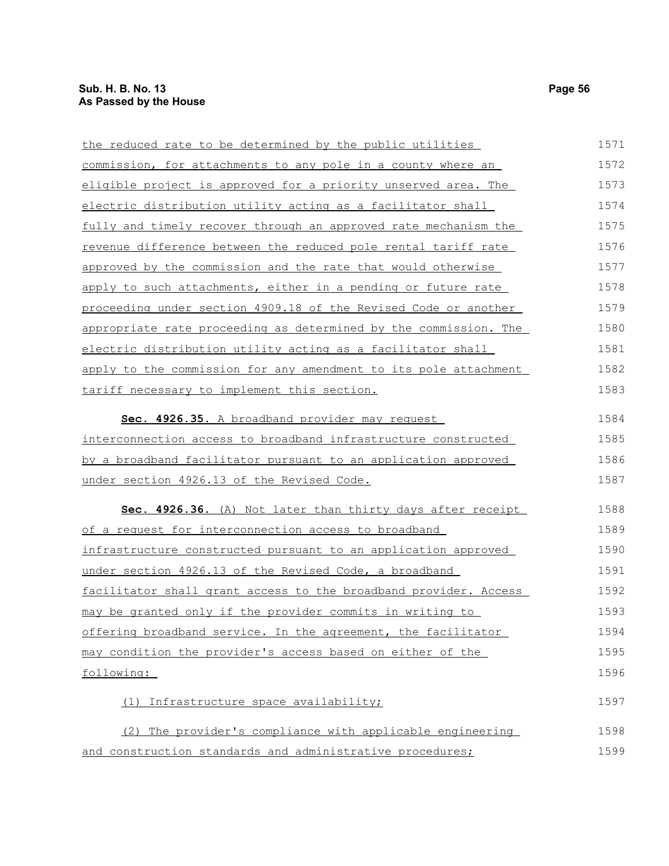| the reduced rate to be determined by the public utilities        | 1571 |
|------------------------------------------------------------------|------|
| commission, for attachments to any pole in a county where an     | 1572 |
| eligible project is approved for a priority unserved area. The   | 1573 |
| electric distribution utility acting as a facilitator shall      | 1574 |
| fully and timely recover through an approved rate mechanism the  | 1575 |
| revenue difference between the reduced pole rental tariff rate   | 1576 |
| approved by the commission and the rate that would otherwise     | 1577 |
| apply to such attachments, either in a pending or future rate    | 1578 |
| proceeding under section 4909.18 of the Revised Code or another  | 1579 |
| appropriate rate proceeding as determined by the commission. The | 1580 |
| electric distribution utility acting as a facilitator shall      | 1581 |
| apply to the commission for any amendment to its pole attachment | 1582 |
| tariff necessary to implement this section.                      | 1583 |
| Sec. 4926.35. A broadband provider may request                   | 1584 |
| interconnection access to broadband infrastructure constructed   | 1585 |
| by a broadband facilitator pursuant to an application approved   | 1586 |
| under section 4926.13 of the Revised Code.                       | 1587 |
| Sec. 4926.36. (A) Not later than thirty days after receipt       | 1588 |
| of a request for interconnection access to broadband             | 1589 |
| infrastructure constructed pursuant to an application approved   | 1590 |
| under section 4926.13 of the Revised Code, a broadband           | 1591 |
| facilitator shall grant access to the broadband provider. Access | 1592 |
| may be granted only if the provider commits in writing to        | 1593 |
| offering broadband service. In the agreement, the facilitator    | 1594 |
| may condition the provider's access based on either of the       | 1595 |
| following:                                                       | 1596 |
| Infrastructure space availability;<br>(1)                        | 1597 |
| (2) The provider's compliance with applicable engineering        | 1598 |
| and construction standards and administrative procedures;        | 1599 |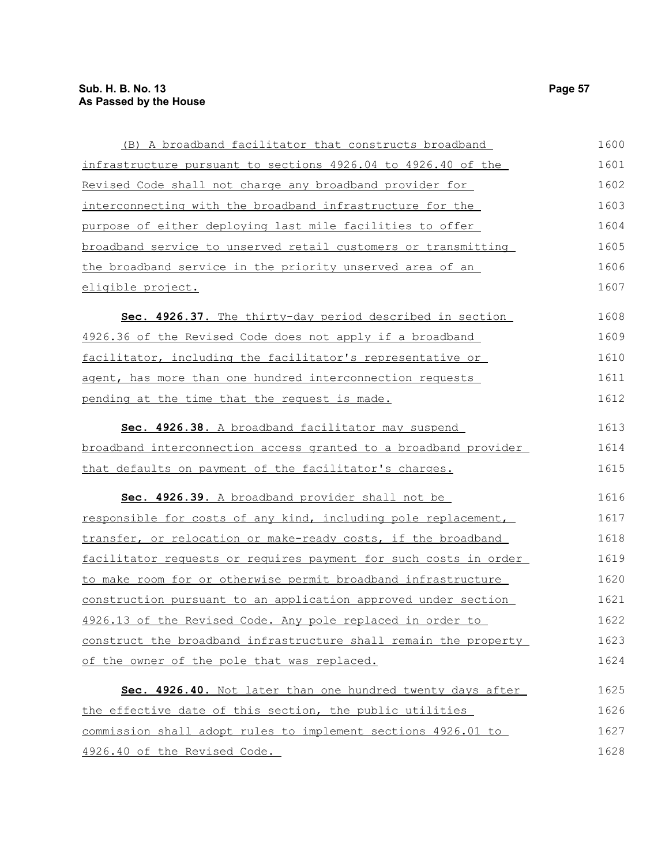| (B) A broadband facilitator that constructs broadband                   | 1600 |
|-------------------------------------------------------------------------|------|
| infrastructure pursuant to sections 4926.04 to 4926.40 of the           | 1601 |
| Revised Code shall not charge any broadband provider for                | 1602 |
| interconnecting with the broadband infrastructure for the               | 1603 |
| purpose of either deploying last mile facilities to offer               | 1604 |
| broadband service to unserved retail customers or transmitting          | 1605 |
| the broadband service in the priority unserved area of an               | 1606 |
| eligible project.                                                       | 1607 |
| Sec. 4926.37. The thirty-day period described in section                | 1608 |
| 4926.36 of the Revised Code does not apply if a broadband               | 1609 |
| facilitator, including the facilitator's representative or              | 1610 |
| agent, has more than one hundred interconnection requests               | 1611 |
| pending at the time that the request is made.                           | 1612 |
| Sec. 4926.38. A broadband facilitator may suspend                       | 1613 |
| broadband interconnection access granted to a broadband provider        | 1614 |
| that defaults on payment of the facilitator's charges.                  | 1615 |
| Sec. 4926.39. A broadband provider shall not be                         | 1616 |
| responsible for costs of any kind, including pole replacement,          | 1617 |
| transfer, or relocation or make-ready costs, if the broadband           | 1618 |
| <u>facilitator requests or requires payment for such costs in order</u> | 1619 |
| to make room for or otherwise permit broadband infrastructure           | 1620 |
| construction pursuant to an application approved under section          | 1621 |
| 4926.13 of the Revised Code. Any pole replaced in order to              | 1622 |
| construct the broadband infrastructure shall remain the property        | 1623 |
| of the owner of the pole that was replaced.                             | 1624 |
| Sec. 4926.40. Not later than one hundred twenty days after              | 1625 |
| the effective date of this section, the public utilities                | 1626 |
| commission shall adopt rules to implement sections 4926.01 to           | 1627 |
| 4926.40 of the Revised Code.                                            | 1628 |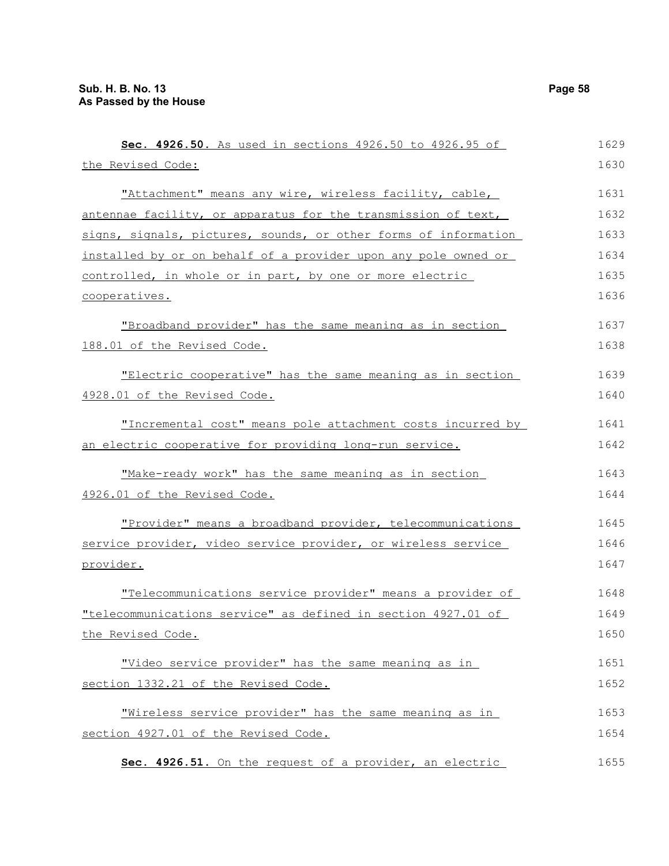| Sec. 4926.50. As used in sections 4926.50 to 4926.95 of                                | 1629         |
|----------------------------------------------------------------------------------------|--------------|
| the Revised Code:                                                                      | 1630         |
| "Attachment" means any wire, wireless facility, cable,                                 | 1631         |
| antennae facility, or apparatus for the transmission of text,                          | 1632         |
| signs, signals, pictures, sounds, or other forms of information                        | 1633         |
| installed by or on behalf of a provider upon any pole owned or                         | 1634         |
| controlled, in whole or in part, by one or more electric                               | 1635         |
| cooperatives.                                                                          | 1636         |
| "Broadband provider" has the same meaning as in section<br>188.01 of the Revised Code. | 1637<br>1638 |
|                                                                                        |              |
| "Electric cooperative" has the same meaning as in section                              | 1639         |
| 4928.01 of the Revised Code.                                                           | 1640         |
| "Incremental cost" means pole attachment costs incurred by                             | 1641         |
| an electric cooperative for providing long-run service.                                | 1642         |
| "Make-ready work" has the same meaning as in section                                   | 1643         |
| 4926.01 of the Revised Code.                                                           | 1644         |
| "Provider" means a broadband provider, telecommunications                              | 1645         |
| service provider, video service provider, or wireless service                          | 1646         |
| provider.                                                                              | 1647         |
| "Telecommunications service provider" means a provider of                              | 1648         |
| "telecommunications service" as defined in section 4927.01 of                          | 1649         |
| the Revised Code.                                                                      | 1650         |
| "Video service provider" has the same meaning as in                                    | 1651         |
| section 1332.21 of the Revised Code.                                                   | 1652         |
| "Wireless service provider" has the same meaning as in                                 | 1653         |
| section 4927.01 of the Revised Code.                                                   | 1654         |
| Sec. 4926.51. On the request of a provider, an electric                                | 1655         |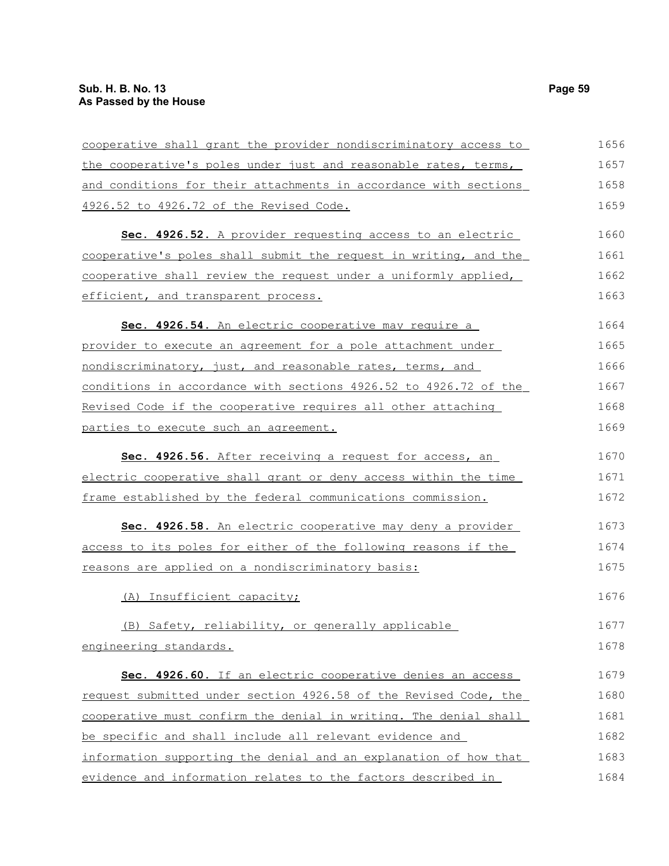| cooperative shall grant the provider nondiscriminatory access to | 1656 |
|------------------------------------------------------------------|------|
| the cooperative's poles under just and reasonable rates, terms,  | 1657 |
| and conditions for their attachments in accordance with sections | 1658 |
| 4926.52 to 4926.72 of the Revised Code.                          | 1659 |
| Sec. 4926.52. A provider requesting access to an electric        | 1660 |
| cooperative's poles shall submit the request in writing, and the | 1661 |
| cooperative shall review the request under a uniformly applied,  | 1662 |
| efficient, and transparent process.                              | 1663 |
| Sec. 4926.54. An electric cooperative may require a              | 1664 |
| provider to execute an agreement for a pole attachment under     | 1665 |
| nondiscriminatory, just, and reasonable rates, terms, and        | 1666 |
| conditions in accordance with sections 4926.52 to 4926.72 of the | 1667 |
| Revised Code if the cooperative requires all other attaching     | 1668 |
| parties to execute such an agreement.                            | 1669 |
| Sec. 4926.56. After receiving a request for access, an           | 1670 |
| electric cooperative shall grant or deny access within the time  | 1671 |
| frame established by the federal communications commission.      | 1672 |
| Sec. 4926.58. An electric cooperative may deny a provider        | 1673 |
| access to its poles for either of the following reasons if the   | 1674 |
| reasons are applied on a nondiscriminatory basis:                | 1675 |
| (A) Insufficient capacity;                                       | 1676 |
| (B) Safety, reliability, or generally applicable                 | 1677 |
| engineering standards.                                           | 1678 |
| Sec. 4926.60. If an electric cooperative denies an access        | 1679 |
| request submitted under section 4926.58 of the Revised Code, the | 1680 |
| cooperative must confirm the denial in writing. The denial shall | 1681 |
| be specific and shall include all relevant evidence and          | 1682 |
| information supporting the denial and an explanation of how that | 1683 |
| evidence and information relates to the factors described in     | 1684 |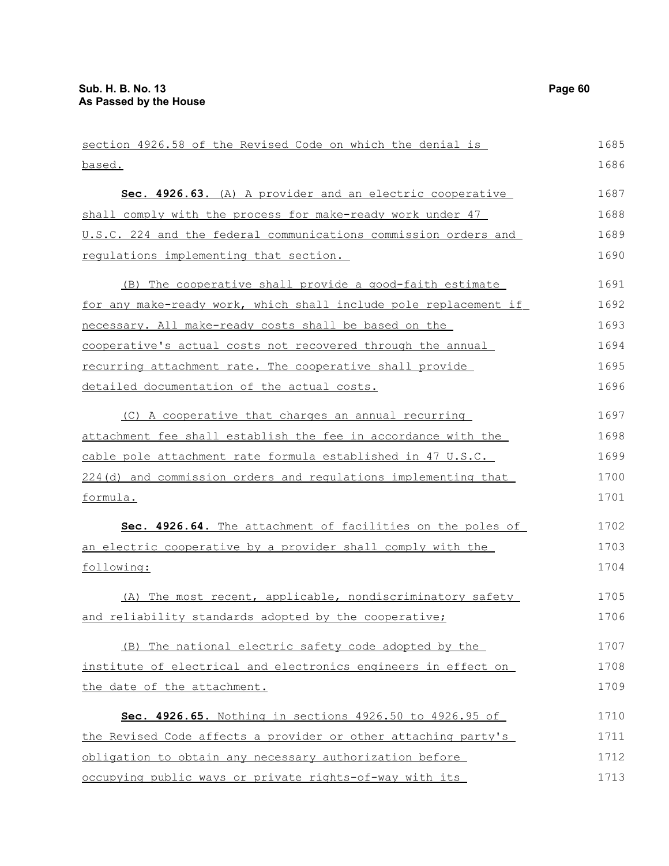| section 4926.58 of the Revised Code on which the denial is       | 1685 |
|------------------------------------------------------------------|------|
| based.                                                           | 1686 |
| Sec. 4926.63. (A) A provider and an electric cooperative         | 1687 |
| shall comply with the process for make-ready work under 47       | 1688 |
| U.S.C. 224 and the federal communications commission orders and  | 1689 |
| regulations implementing that section.                           | 1690 |
| (B) The cooperative shall provide a good-faith estimate          | 1691 |
| for any make-ready work, which shall include pole replacement if | 1692 |
| necessary. All make-ready costs shall be based on the            | 1693 |
| cooperative's actual costs not recovered through the annual      | 1694 |
| recurring attachment rate. The cooperative shall provide         | 1695 |
| detailed documentation of the actual costs.                      | 1696 |
| (C) A cooperative that charges an annual recurring               | 1697 |
| attachment fee shall establish the fee in accordance with the    | 1698 |
| cable pole attachment rate formula established in 47 U.S.C.      | 1699 |
| 224(d) and commission orders and requlations implementing that   | 1700 |
| formula.                                                         | 1701 |
| Sec. 4926.64. The attachment of facilities on the poles of       | 1702 |
| an electric cooperative by a provider shall comply with the      | 1703 |
| following:                                                       | 1704 |
| (A) The most recent, applicable, nondiscriminatory safety        | 1705 |
| and reliability standards adopted by the cooperative;            | 1706 |
| (B) The national electric safety code adopted by the             | 1707 |
| institute of electrical and electronics engineers in effect on   | 1708 |
| the date of the attachment.                                      | 1709 |
| Sec. 4926.65. Nothing in sections 4926.50 to 4926.95 of          | 1710 |
| the Revised Code affects a provider or other attaching party's   | 1711 |
| obligation to obtain any necessary authorization before          | 1712 |
| occupying public ways or private rights-of-way with its          | 1713 |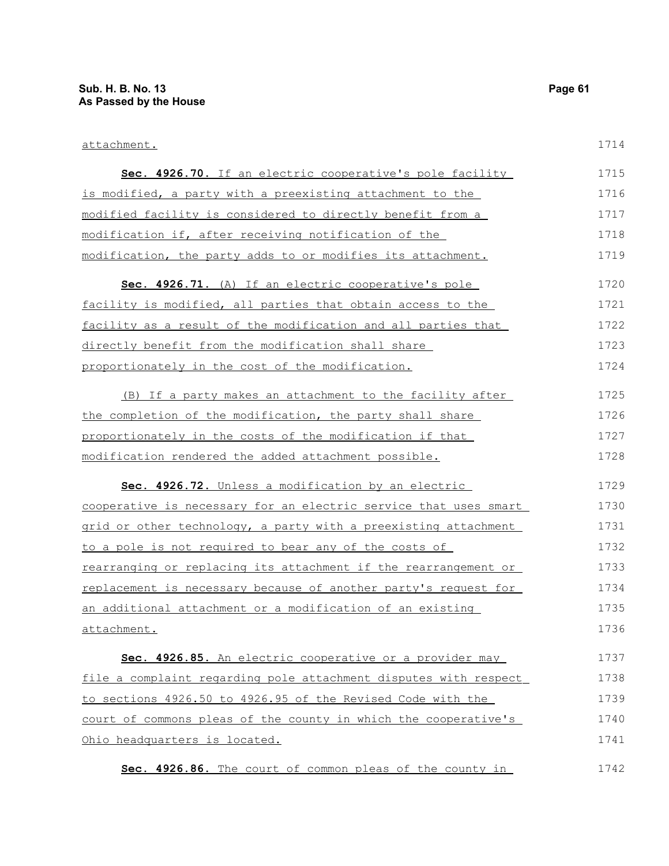| Sec. 4926.70. If an electric cooperative's pole facility         | 1715 |
|------------------------------------------------------------------|------|
| is modified, a party with a preexisting attachment to the        | 1716 |
| modified facility is considered to directly benefit from a       | 1717 |
| modification if, after receiving notification of the             | 1718 |
| modification, the party adds to or modifies its attachment.      | 1719 |
| Sec. 4926.71. (A) If an electric cooperative's pole              | 1720 |
| facility is modified, all parties that obtain access to the      | 1721 |
| facility as a result of the modification and all parties that    | 1722 |
| directly benefit from the modification shall share               | 1723 |
| proportionately in the cost of the modification.                 | 1724 |
| (B) If a party makes an attachment to the facility after         | 1725 |
| the completion of the modification, the party shall share        | 1726 |
| proportionately in the costs of the modification if that         | 1727 |
| modification rendered the added attachment possible.             | 1728 |
| Sec. 4926.72. Unless a modification by an electric               | 1729 |
| cooperative is necessary for an electric service that uses smart | 1730 |
| grid or other technology, a party with a preexisting attachment  | 1731 |
| to a pole is not required to bear any of the costs of            | 1732 |
| rearranging or replacing its attachment if the rearrangement or  | 1733 |
| replacement is necessary because of another party's request for  | 1734 |
| an additional attachment or a modification of an existing        | 1735 |
| attachment.                                                      | 1736 |
| Sec. 4926.85. An electric cooperative or a provider may          | 1737 |
| file a complaint regarding pole attachment disputes with respect | 1738 |
| to sections 4926.50 to 4926.95 of the Revised Code with the      | 1739 |
| court of commons pleas of the county in which the cooperative's  | 1740 |
| Ohio headquarters is located.                                    | 1741 |
| Sec. 4926.86. The court of common pleas of the county in         | 1742 |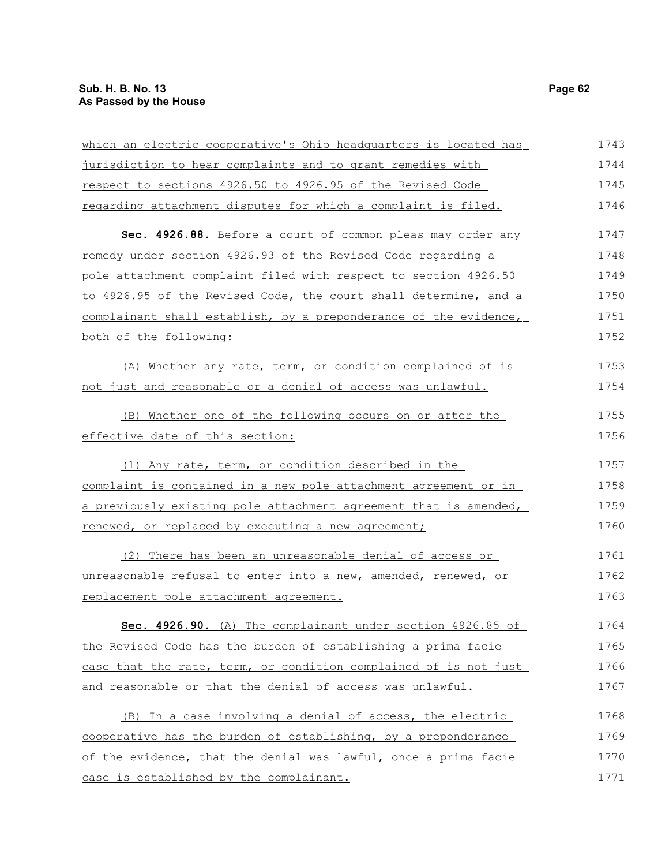| which an electric cooperative's Ohio headquarters is located has | 1743 |
|------------------------------------------------------------------|------|
| jurisdiction to hear complaints and to grant remedies with       | 1744 |
| respect to sections 4926.50 to 4926.95 of the Revised Code       | 1745 |
| regarding attachment disputes for which a complaint is filed.    | 1746 |
| Sec. 4926.88. Before a court of common pleas may order any       | 1747 |
| remedy under section 4926.93 of the Revised Code regarding a     | 1748 |
| pole attachment complaint filed with respect to section 4926.50  | 1749 |
| to 4926.95 of the Revised Code, the court shall determine, and a | 1750 |
| complainant shall establish, by a preponderance of the evidence, | 1751 |
| both of the following:                                           | 1752 |
| (A) Whether any rate, term, or condition complained of is        | 1753 |
| not just and reasonable or a denial of access was unlawful.      | 1754 |
| (B) Whether one of the following occurs on or after the          | 1755 |
| effective date of this section:                                  | 1756 |
| (1) Any rate, term, or condition described in the                | 1757 |
| complaint is contained in a new pole attachment agreement or in  | 1758 |
| a previously existing pole attachment agreement that is amended, | 1759 |
| renewed, or replaced by executing a new agreement;               | 1760 |
| (2) There has been an unreasonable denial of access or           | 1761 |
| unreasonable refusal to enter into a new, amended, renewed, or   | 1762 |
| replacement pole attachment agreement.                           | 1763 |
| Sec. 4926.90. (A) The complainant under section 4926.85 of       | 1764 |
| the Revised Code has the burden of establishing a prima facie    | 1765 |
| case that the rate, term, or condition complained of is not just | 1766 |
| and reasonable or that the denial of access was unlawful.        | 1767 |
| (B) In a case involving a denial of access, the electric         | 1768 |
| cooperative has the burden of establishing, by a preponderance   | 1769 |
| of the evidence, that the denial was lawful, once a prima facie  | 1770 |
| case is established by the complainant.                          | 1771 |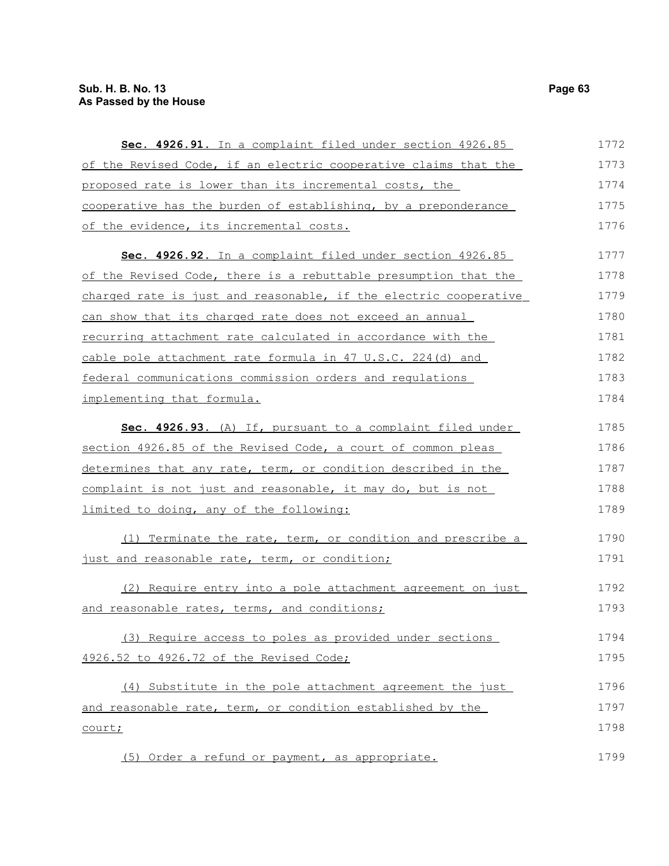| Sec. 4926.91. In a complaint filed under section 4926.85         | 1772 |
|------------------------------------------------------------------|------|
| of the Revised Code, if an electric cooperative claims that the  | 1773 |
| proposed rate is lower than its incremental costs, the           | 1774 |
| cooperative has the burden of establishing, by a preponderance   | 1775 |
| of the evidence, its incremental costs.                          | 1776 |
| Sec. 4926.92. In a complaint filed under section 4926.85         | 1777 |
| of the Revised Code, there is a rebuttable presumption that the  | 1778 |
| charged rate is just and reasonable, if the electric cooperative | 1779 |
| can show that its charged rate does not exceed an annual         | 1780 |
| recurring attachment rate calculated in accordance with the      | 1781 |
| cable pole attachment rate formula in 47 U.S.C. 224(d) and       | 1782 |
| federal communications commission orders and regulations         | 1783 |
| implementing that formula.                                       | 1784 |
| Sec. 4926.93. (A) If, pursuant to a complaint filed under        | 1785 |
| section 4926.85 of the Revised Code, a court of common pleas     | 1786 |
| determines that any rate, term, or condition described in the    | 1787 |
| complaint is not just and reasonable, it may do, but is not      | 1788 |
| limited to doing, any of the following:                          | 1789 |
| (1) Terminate the rate, term, or condition and prescribe a       | 1790 |
| just and reasonable rate, term, or condition;                    | 1791 |
| (2) Require entry into a pole attachment agreement on just       | 1792 |
| and reasonable rates, terms, and conditions;                     | 1793 |
| (3) Require access to poles as provided under sections           | 1794 |
| 4926.52 to 4926.72 of the Revised Code;                          | 1795 |
| (4) Substitute in the pole attachment agreement the just         | 1796 |
| and reasonable rate, term, or condition established by the       | 1797 |
| court;                                                           | 1798 |
| Order a refund or payment, as appropriate.<br>(5)                | 1799 |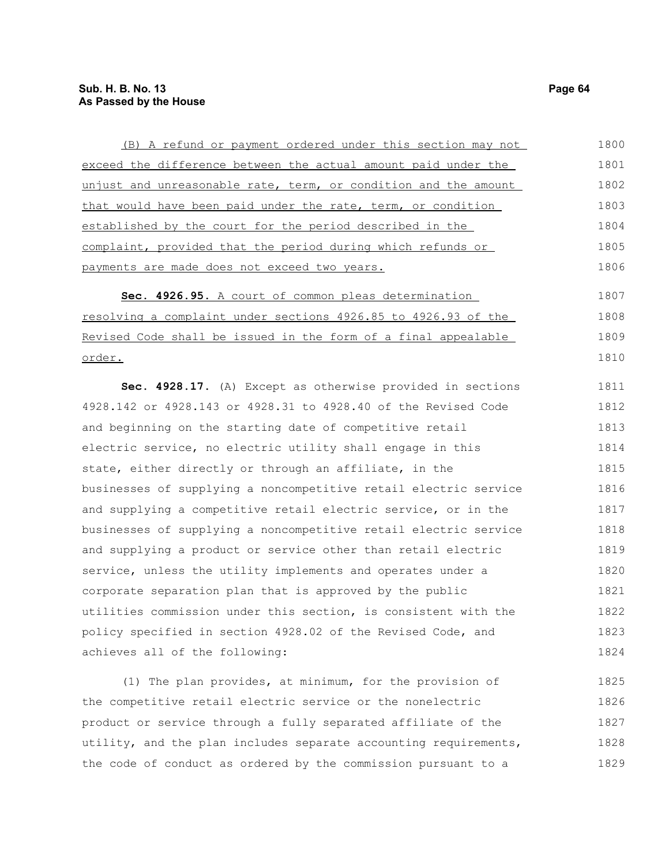### **Sub. H. B. No. 13 Page 64 As Passed by the House**

| (B) A refund or payment ordered under this section may not       | 1800 |
|------------------------------------------------------------------|------|
| exceed the difference between the actual amount paid under the   | 1801 |
| unjust and unreasonable rate, term, or condition and the amount  | 1802 |
| that would have been paid under the rate, term, or condition     | 1803 |
| established by the court for the period described in the         | 1804 |
| complaint, provided that the period during which refunds or      | 1805 |
| payments are made does not exceed two years.                     | 1806 |
| Sec. 4926.95. A court of common pleas determination              | 1807 |
| resolving a complaint under sections 4926.85 to 4926.93 of the   | 1808 |
| Revised Code shall be issued in the form of a final appealable   | 1809 |
| order.                                                           | 1810 |
| Sec. 4928.17. (A) Except as otherwise provided in sections       | 1811 |
| 4928.142 or 4928.143 or 4928.31 to 4928.40 of the Revised Code   | 1812 |
| and beginning on the starting date of competitive retail         | 1813 |
| electric service, no electric utility shall engage in this       | 1814 |
| state, either directly or through an affiliate, in the           | 1815 |
| businesses of supplying a noncompetitive retail electric service | 1816 |
| and supplying a competitive retail electric service, or in the   | 1817 |
| businesses of supplying a noncompetitive retail electric service | 1818 |
| and supplying a product or service other than retail electric    | 1819 |
| service, unless the utility implements and operates under a      | 1820 |
| corporate separation plan that is approved by the public         | 1821 |
| utilities commission under this section, is consistent with the  | 1822 |
| policy specified in section 4928.02 of the Revised Code, and     | 1823 |
| achieves all of the following:                                   | 1824 |
| (1) The plan provides, at minimum, for the provision of          | 1825 |
| the competitive retail electric service or the nonelectric       | 1826 |
| product or service through a fully separated affiliate of the    | 1827 |
| utility, and the plan includes separate accounting requirements, | 1828 |
| the code of conduct as ordered by the commission pursuant to a   | 1829 |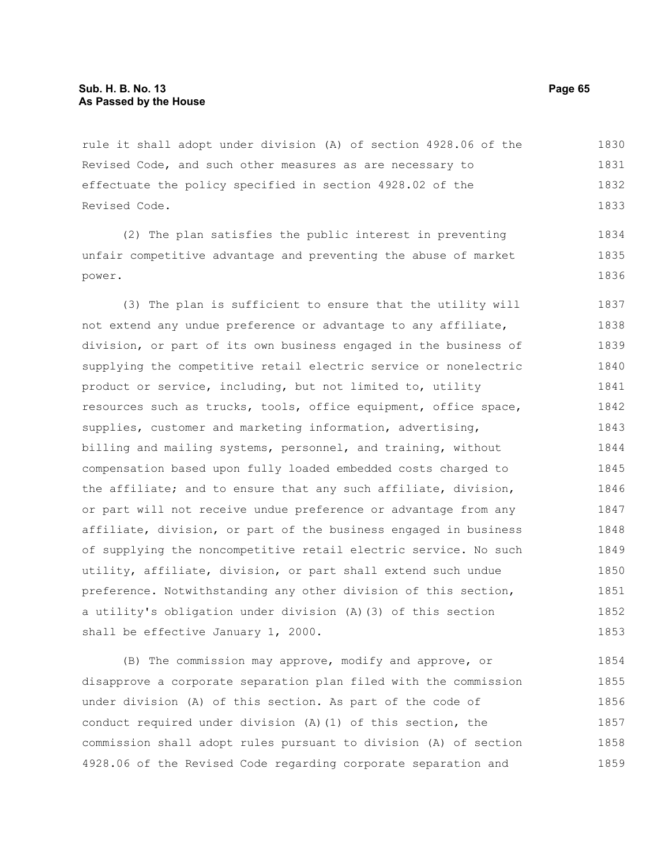rule it shall adopt under division (A) of section 4928.06 of the Revised Code, and such other measures as are necessary to effectuate the policy specified in section 4928.02 of the Revised Code. 1830 1831 1832 1833

(2) The plan satisfies the public interest in preventing unfair competitive advantage and preventing the abuse of market power. 1834 1835 1836

(3) The plan is sufficient to ensure that the utility will not extend any undue preference or advantage to any affiliate, division, or part of its own business engaged in the business of supplying the competitive retail electric service or nonelectric product or service, including, but not limited to, utility resources such as trucks, tools, office equipment, office space, supplies, customer and marketing information, advertising, billing and mailing systems, personnel, and training, without compensation based upon fully loaded embedded costs charged to the affiliate; and to ensure that any such affiliate, division, or part will not receive undue preference or advantage from any affiliate, division, or part of the business engaged in business of supplying the noncompetitive retail electric service. No such utility, affiliate, division, or part shall extend such undue preference. Notwithstanding any other division of this section, a utility's obligation under division (A)(3) of this section shall be effective January 1, 2000. 1837 1838 1839 1840 1841 1842 1843 1844 1845 1846 1847 1848 1849 1850 1851 1852 1853

(B) The commission may approve, modify and approve, or disapprove a corporate separation plan filed with the commission under division (A) of this section. As part of the code of conduct required under division (A)(1) of this section, the commission shall adopt rules pursuant to division (A) of section 4928.06 of the Revised Code regarding corporate separation and 1854 1855 1856 1857 1858 1859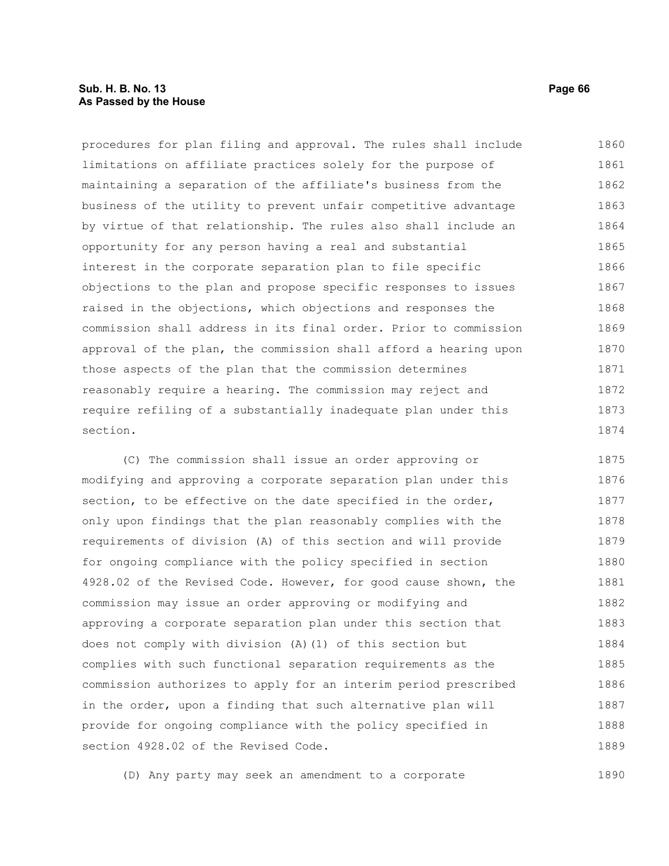#### **Sub. H. B. No. 13 Page 66 As Passed by the House**

procedures for plan filing and approval. The rules shall include limitations on affiliate practices solely for the purpose of maintaining a separation of the affiliate's business from the business of the utility to prevent unfair competitive advantage by virtue of that relationship. The rules also shall include an opportunity for any person having a real and substantial interest in the corporate separation plan to file specific objections to the plan and propose specific responses to issues raised in the objections, which objections and responses the commission shall address in its final order. Prior to commission approval of the plan, the commission shall afford a hearing upon those aspects of the plan that the commission determines reasonably require a hearing. The commission may reject and require refiling of a substantially inadequate plan under this section. 1860 1861 1862 1863 1864 1865 1866 1867 1868 1869 1870 1871 1872 1873 1874

(C) The commission shall issue an order approving or modifying and approving a corporate separation plan under this section, to be effective on the date specified in the order, only upon findings that the plan reasonably complies with the requirements of division (A) of this section and will provide for ongoing compliance with the policy specified in section 4928.02 of the Revised Code. However, for good cause shown, the commission may issue an order approving or modifying and approving a corporate separation plan under this section that does not comply with division (A)(1) of this section but complies with such functional separation requirements as the commission authorizes to apply for an interim period prescribed in the order, upon a finding that such alternative plan will provide for ongoing compliance with the policy specified in section 4928.02 of the Revised Code. 1875 1876 1877 1878 1879 1880 1881 1882 1883 1884 1885 1886 1887 1888 1889

(D) Any party may seek an amendment to a corporate 1890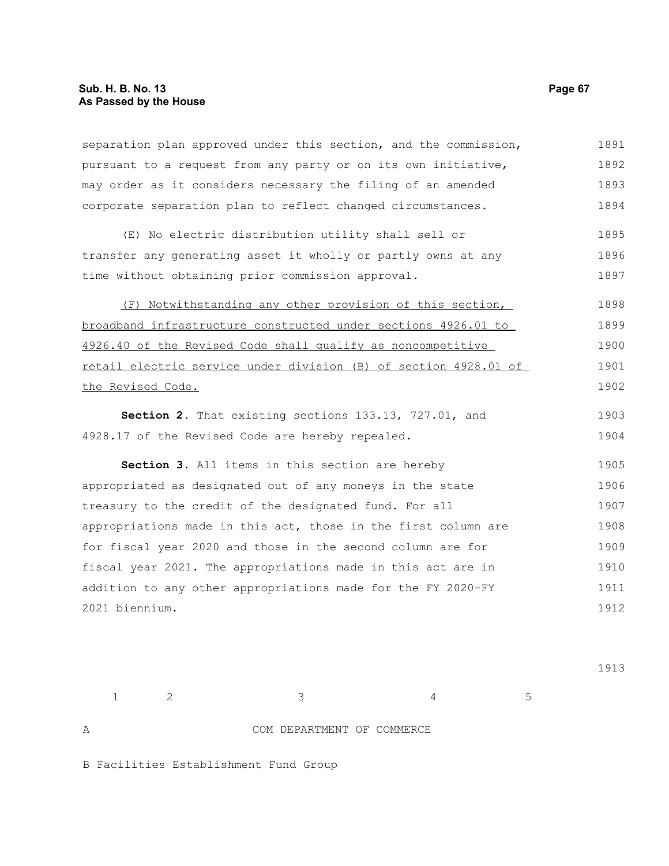separation plan approved under this section, and the commission, pursuant to a request from any party or on its own initiative, may order as it considers necessary the filing of an amended corporate separation plan to reflect changed circumstances. (E) No electric distribution utility shall sell or transfer any generating asset it wholly or partly owns at any time without obtaining prior commission approval. (F) Notwithstanding any other provision of this section, broadband infrastructure constructed under sections 4926.01 to 4926.40 of the Revised Code shall qualify as noncompetitive retail electric service under division (B) of section 4928.01 of the Revised Code. **Section 2.** That existing sections 133.13, 727.01, and 4928.17 of the Revised Code are hereby repealed. **Section 3.** All items in this section are hereby appropriated as designated out of any moneys in the state treasury to the credit of the designated fund. For all appropriations made in this act, those in the first column are for fiscal year 2020 and those in the second column are for fiscal year 2021. The appropriations made in this act are in addition to any other appropriations made for the FY 2020-FY 2021 biennium. 1891 1892 1893 1894 1895 1896 1897 1898 1899 1900 1901 1902 1903 1904 1905 1906 1907 1908 1909 1910 1911 1912

 $1 \t 2 \t 3 \t 4 \t 5$ 

1913

A COM DEPARTMENT OF COMMERCE

B Facilities Establishment Fund Group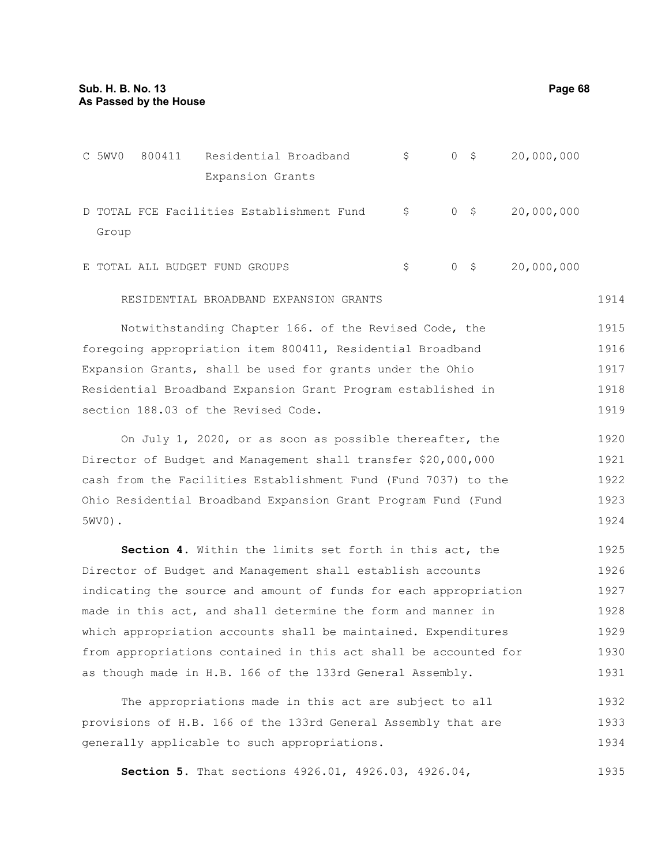C 5WV0 800411 Residential Broadband \$ 0 \$ 20,000,000 Expansion Grants D TOTAL FCE Facilities Establishment Fund \$ Group  $0 \quad$ \$ 20,000,000 E TOTAL ALL BUDGET FUND GROUPS  $\begin{array}{ccc} \xi & 0 & \xi & 20,000,000 \end{array}$ RESIDENTIAL BROADBAND EXPANSION GRANTS Notwithstanding Chapter 166. of the Revised Code, the foregoing appropriation item 800411, Residential Broadband Expansion Grants, shall be used for grants under the Ohio Residential Broadband Expansion Grant Program established in section 188.03 of the Revised Code. On July 1, 2020, or as soon as possible thereafter, the Director of Budget and Management shall transfer \$20,000,000 cash from the Facilities Establishment Fund (Fund 7037) to the Ohio Residential Broadband Expansion Grant Program Fund (Fund 5WV0). **Section 4.** Within the limits set forth in this act, the Director of Budget and Management shall establish accounts indicating the source and amount of funds for each appropriation made in this act, and shall determine the form and manner in which appropriation accounts shall be maintained. Expenditures from appropriations contained in this act shall be accounted for 1914 1915 1916 1917 1918 1919 1920 1921 1922 1923 1924 1925 1926 1927 1928 1929 1930

The appropriations made in this act are subject to all provisions of H.B. 166 of the 133rd General Assembly that are generally applicable to such appropriations. 1932 1933 1934

as though made in H.B. 166 of the 133rd General Assembly.

**Section 5.** That sections 4926.01, 4926.03, 4926.04, 1935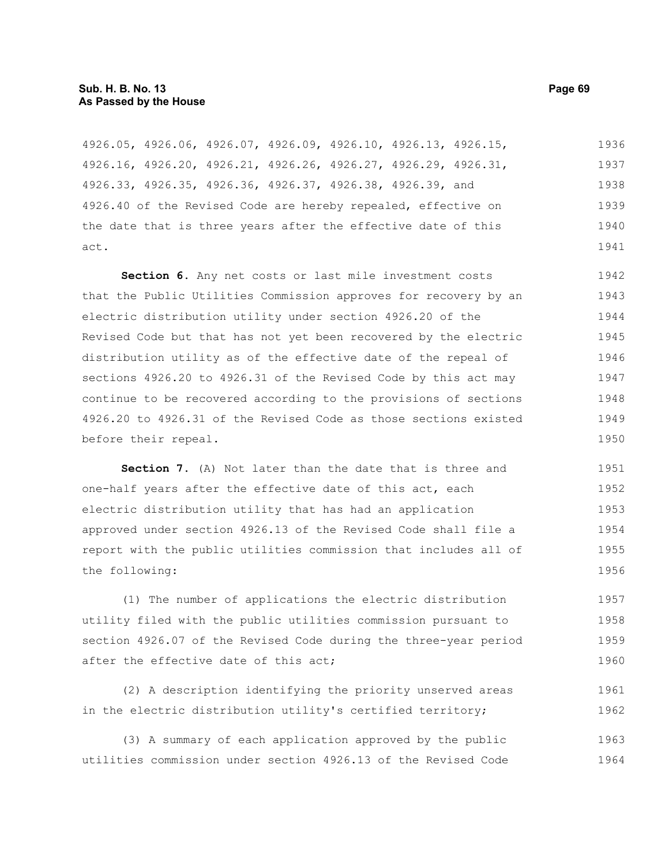#### **Sub. H. B. No. 13 Page 69 As Passed by the House**

4926.05, 4926.06, 4926.07, 4926.09, 4926.10, 4926.13, 4926.15, 4926.16, 4926.20, 4926.21, 4926.26, 4926.27, 4926.29, 4926.31, 4926.33, 4926.35, 4926.36, 4926.37, 4926.38, 4926.39, and 4926.40 of the Revised Code are hereby repealed, effective on the date that is three years after the effective date of this act. 1936 1937 1938 1939 1940 1941

**Section 6.** Any net costs or last mile investment costs that the Public Utilities Commission approves for recovery by an electric distribution utility under section 4926.20 of the Revised Code but that has not yet been recovered by the electric distribution utility as of the effective date of the repeal of sections 4926.20 to 4926.31 of the Revised Code by this act may continue to be recovered according to the provisions of sections 4926.20 to 4926.31 of the Revised Code as those sections existed before their repeal. 1942 1943 1944 1945 1946 1947 1948 1949 1950

**Section 7.** (A) Not later than the date that is three and one-half years after the effective date of this act, each electric distribution utility that has had an application approved under section 4926.13 of the Revised Code shall file a report with the public utilities commission that includes all of the following: 1951 1952 1953 1954 1955 1956

(1) The number of applications the electric distribution utility filed with the public utilities commission pursuant to section 4926.07 of the Revised Code during the three-year period after the effective date of this act; 1957 1958 1959 1960

(2) A description identifying the priority unserved areas in the electric distribution utility's certified territory; 1961 1962

(3) A summary of each application approved by the public utilities commission under section 4926.13 of the Revised Code 1963 1964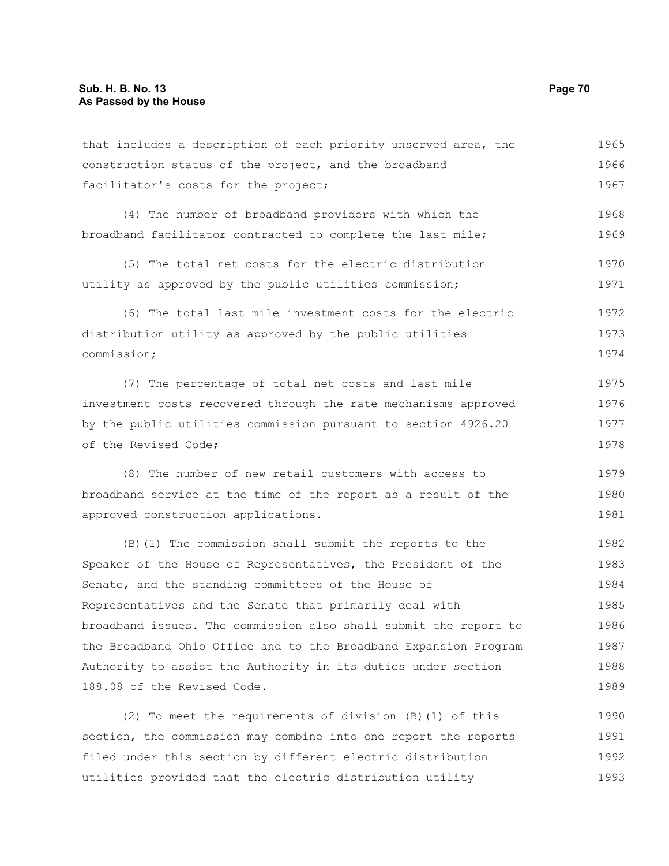that includes a description of each priority unserved area, the construction status of the project, and the broadband facilitator's costs for the project; (4) The number of broadband providers with which the broadband facilitator contracted to complete the last mile; (5) The total net costs for the electric distribution utility as approved by the public utilities commission; (6) The total last mile investment costs for the electric distribution utility as approved by the public utilities commission; (7) The percentage of total net costs and last mile investment costs recovered through the rate mechanisms approved by the public utilities commission pursuant to section 4926.20 of the Revised Code; (8) The number of new retail customers with access to broadband service at the time of the report as a result of the approved construction applications. (B)(1) The commission shall submit the reports to the Speaker of the House of Representatives, the President of the Senate, and the standing committees of the House of Representatives and the Senate that primarily deal with broadband issues. The commission also shall submit the report to the Broadband Ohio Office and to the Broadband Expansion Program Authority to assist the Authority in its duties under section 188.08 of the Revised Code. 1965 1966 1967 1968 1969 1970 1971 1972 1973 1974 1975 1976 1977 1978 1979 1980 1981 1982 1983 1984 1985 1986 1987 1988 1989

(2) To meet the requirements of division (B)(1) of this section, the commission may combine into one report the reports filed under this section by different electric distribution utilities provided that the electric distribution utility 1990 1991 1992 1993